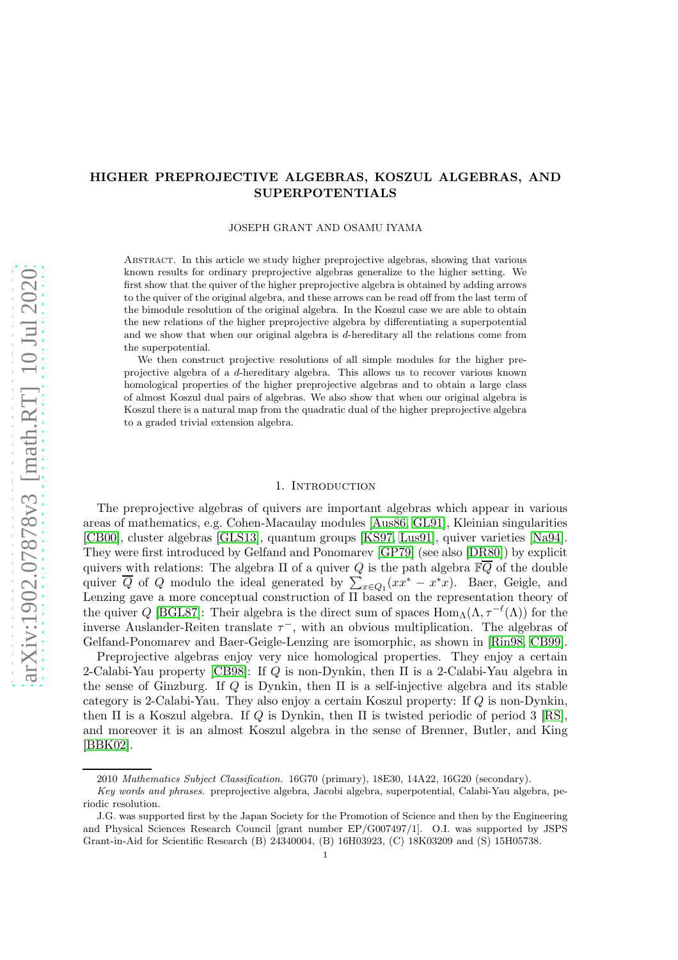# HIGHER PREPROJECTIVE ALGEBRAS, KOSZUL ALGEBRAS, AND SUPERPOTENTIALS

#### JOSEPH GRANT AND OSAMU IYAMA

Abstract. In this article we study higher preprojective algebras, showing that various known results for ordinary preprojective algebras generalize to the higher setting. We first show that the quiver of the higher preprojective algebra is obtained by adding arrows to the quiver of the original algebra, and these arrows can be read off from the last term of the bimodule resolution of the original algebra. In the Koszul case we are able to obtain the new relations of the higher preprojective algebra by differentiating a superpotential and we show that when our original algebra is d-hereditary all the relations come from the superpotential.

We then construct projective resolutions of all simple modules for the higher preprojective algebra of a d-hereditary algebra. This allows us to recover various known homological properties of the higher preprojective algebras and to obtain a large class of almost Koszul dual pairs of algebras. We also show that when our original algebra is Koszul there is a natural map from the quadratic dual of the higher preprojective algebra to a graded trivial extension algebra.

#### 1. INTRODUCTION

The preprojective algebras of quivers are important algebras which appear in various areas of mathematics, e.g. Cohen-Macaulay modules [\[Aus86,](#page-33-0) [GL91\]](#page-34-0), Kleinian singularities [\[CB00\]](#page-33-1), cluster algebras [\[GLS13\]](#page-34-1), quantum groups [\[KS97,](#page-34-2) [Lus91\]](#page-34-3), quiver varieties [\[Na94\]](#page-35-0). They were first introduced by Gelfand and Ponomarev [\[GP79\]](#page-34-4) (see also [\[DR80\]](#page-33-2)) by explicit quivers with relations: The algebra  $\Pi$  of a quiver Q is the path algebra  $\mathbb{F}\overline{Q}$  of the double quiver  $\overline{Q}$  of  $Q$  modulo the ideal generated by  $\sum_{x \in Q_1} (xx^* - x^*x)$ . Baer, Geigle, and Lenzing gave a more conceptual construction of Π based on the representation theory of the quiver Q [\[BGL87\]](#page-33-3): Their algebra is the direct sum of spaces  $\text{Hom}_{\Lambda}(\Lambda, \tau^{-\ell}(\Lambda))$  for the inverse Auslander-Reiten translate  $\tau^-$ , with an obvious multiplication. The algebras of Gelfand-Ponomarev and Baer-Geigle-Lenzing are isomorphic, as shown in [\[Rin98,](#page-35-1) [CB99\]](#page-33-4).

Preprojective algebras enjoy very nice homological properties. They enjoy a certain 2-Calabi-Yau property  $[CB98]$ : If Q is non-Dynkin, then  $\Pi$  is a 2-Calabi-Yau algebra in the sense of Ginzburg. If Q is Dynkin, then  $\Pi$  is a self-injective algebra and its stable category is 2-Calabi-Yau. They also enjoy a certain Koszul property: If Q is non-Dynkin, then  $\Pi$  is a Koszul algebra. If Q is Dynkin, then  $\Pi$  is twisted periodic of period 3 [\[RS\]](#page-35-2), and moreover it is an almost Koszul algebra in the sense of Brenner, Butler, and King [\[BBK02\]](#page-33-6).

<sup>2010</sup> Mathematics Subject Classification. 16G70 (primary), 18E30, 14A22, 16G20 (secondary).

Key words and phrases. preprojective algebra, Jacobi algebra, superpotential, Calabi-Yau algebra, periodic resolution.

J.G. was supported first by the Japan Society for the Promotion of Science and then by the Engineering and Physical Sciences Research Council [grant number EP/G007497/1]. O.I. was supported by JSPS Grant-in-Aid for Scientific Research (B) 24340004, (B) 16H03923, (C) 18K03209 and (S) 15H05738.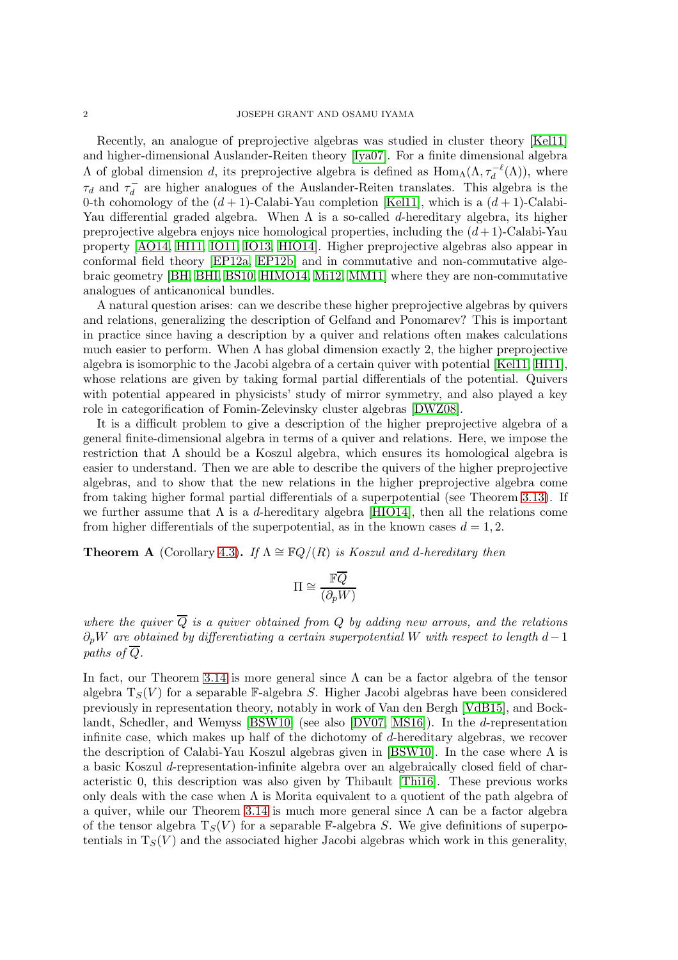Recently, an analogue of preprojective algebras was studied in cluster theory [\[Kel11\]](#page-34-5) and higher-dimensional Auslander-Reiten theory [\[Iya07\]](#page-34-6). For a finite dimensional algebra  $Λ$  of global dimension d, its preprojective algebra is defined as  $Hom_\Lambda(Λ, \tau_d^{-\ell}(Λ))$ , where  $\tau_d$  and  $\tau_d^$  $a_d^-$  are higher analogues of the Auslander-Reiten translates. This algebra is the 0-th cohomology of the  $(d + 1)$ -Calabi-Yau completion [\[Kel11\]](#page-34-5), which is a  $(d + 1)$ -Calabi-Yau differential graded algebra. When  $\Lambda$  is a so-called d-hereditary algebra, its higher preprojective algebra enjoys nice homological properties, including the  $(d+1)$ -Calabi-Yau property [\[AO14,](#page-33-7) [HI11,](#page-34-7) [IO11,](#page-34-8) [IO13,](#page-34-9) [HIO14\]](#page-34-10). Higher preprojective algebras also appear in conformal field theory [\[EP12a,](#page-34-11) [EP12b\]](#page-34-12) and in commutative and non-commutative algebraic geometry [\[BH,](#page-33-8) [BHI,](#page-33-9) [BS10,](#page-33-10) [HIMO14,](#page-34-13) [Mi12,](#page-34-14) [MM11\]](#page-35-3) where they are non-commutative analogues of anticanonical bundles.

A natural question arises: can we describe these higher preprojective algebras by quivers and relations, generalizing the description of Gelfand and Ponomarev? This is important in practice since having a description by a quiver and relations often makes calculations much easier to perform. When  $\Lambda$  has global dimension exactly 2, the higher preprojective algebra is isomorphic to the Jacobi algebra of a certain quiver with potential [\[Kel11,](#page-34-5) [HI11\]](#page-34-7), whose relations are given by taking formal partial differentials of the potential. Quivers with potential appeared in physicists' study of mirror symmetry, and also played a key role in categorification of Fomin-Zelevinsky cluster algebras [\[DWZ08\]](#page-33-11).

It is a difficult problem to give a description of the higher preprojective algebra of a general finite-dimensional algebra in terms of a quiver and relations. Here, we impose the restriction that  $\Lambda$  should be a Koszul algebra, which ensures its homological algebra is easier to understand. Then we are able to describe the quivers of the higher preprojective algebras, and to show that the new relations in the higher preprojective algebra come from taking higher formal partial differentials of a superpotential (see Theorem [3.13\)](#page-15-0). If we further assume that  $\Lambda$  is a d-hereditary algebra [\[HIO14\]](#page-34-10), then all the relations come from higher differentials of the superpotential, as in the known cases  $d = 1, 2$ .

**Theorem A** (Corollary [4.3\)](#page-18-0). If  $\Lambda \cong \mathbb{F}Q/(R)$  is Koszul and d-hereditary then

$$
\Pi \cong \frac{\mathbb{F}\overline{Q}}{(\partial_p W)}
$$

where the quiver  $\overline{Q}$  is a quiver obtained from Q by adding new arrows, and the relations  $\partial_pW$  are obtained by differentiating a certain superpotential W with respect to length  $d-1$ paths of  $\overline{Q}$ .

In fact, our Theorem [3.14](#page-15-1) is more general since  $\Lambda$  can be a factor algebra of the tensor algebra  $T_S(V)$  for a separable F-algebra S. Higher Jacobi algebras have been considered previously in representation theory, notably in work of Van den Bergh [\[VdB15\]](#page-35-4), and Bocklandt, Schedler, and Wemyss [\[BSW10\]](#page-33-12) (see also [\[DV07,](#page-34-15) [MS16\]](#page-35-5)). In the d-representation infinite case, which makes up half of the dichotomy of d-hereditary algebras, we recover the description of Calabi-Yau Koszul algebras given in [\[BSW10\]](#page-33-12). In the case where  $\Lambda$  is a basic Koszul d-representation-infinite algebra over an algebraically closed field of characteristic 0, this description was also given by Thibault [\[Thi16\]](#page-35-6). These previous works only deals with the case when  $\Lambda$  is Morita equivalent to a quotient of the path algebra of a quiver, while our Theorem [3.14](#page-15-1) is much more general since  $\Lambda$  can be a factor algebra of the tensor algebra  $T_S(V)$  for a separable F-algebra S. We give definitions of superpotentials in  $T_S(V)$  and the associated higher Jacobi algebras which work in this generality,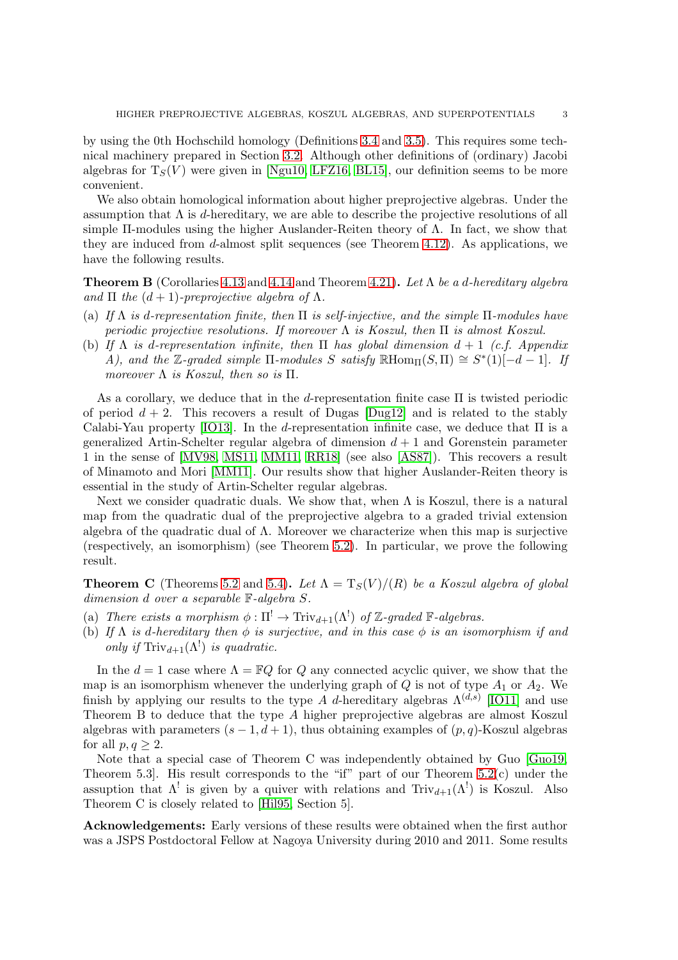by using the 0th Hochschild homology (Definitions [3.4](#page-11-0) and [3.5\)](#page-11-1). This requires some technical machinery prepared in Section [3.2.](#page-10-0) Although other definitions of (ordinary) Jacobi algebras for  $T_S(V)$  were given in [\[Ngu10,](#page-35-7) [LFZ16,](#page-34-16) [BL15\]](#page-33-13), our definition seems to be more convenient.

We also obtain homological information about higher preprojective algebras. Under the assumption that  $\Lambda$  is d-hereditary, we are able to describe the projective resolutions of all simple  $\Pi$ -modules using the higher Auslander-Reiten theory of  $\Lambda$ . In fact, we show that they are induced from d-almost split sequences (see Theorem [4.12\)](#page-21-0). As applications, we have the following results.

**Theorem B** (Corollaries [4.13](#page-22-0) and [4.14](#page-22-1) and Theorem [4.21\)](#page-25-0). Let  $\Lambda$  be a d-hereditary algebra and  $\Pi$  the  $(d+1)$ -preprojective algebra of  $\Lambda$ .

- (a) If  $\Lambda$  is d-representation finite, then  $\Pi$  is self-injective, and the simple  $\Pi$ -modules have periodic projective resolutions. If moreover  $\Lambda$  is Koszul, then  $\Pi$  is almost Koszul.
- (b) If  $\Lambda$  is d-representation infinite, then  $\Pi$  has global dimension  $d+1$  (c.f. Appendix A), and the Z-graded simple  $\Pi$ -modules S satisfy  $\mathbb{R}$ Hom $\Pi(S,\Pi) \cong S^*(1)[-d-1]$ . If moreover  $\Lambda$  is Koszul, then so is  $\Pi$ .

As a corollary, we deduce that in the d-representation finite case  $\Pi$  is twisted periodic of period  $d + 2$ . This recovers a result of Dugas [\[Dug12\]](#page-33-14) and is related to the stably Calabi-Yau property [\[IO13\]](#page-34-9). In the d-representation infinite case, we deduce that  $\Pi$  is a generalized Artin-Schelter regular algebra of dimension  $d + 1$  and Gorenstein parameter 1 in the sense of [\[MV98,](#page-34-17) [MS11,](#page-34-18) [MM11,](#page-35-3) [RR18\]](#page-35-8) (see also [\[AS87\]](#page-33-15)). This recovers a result of Minamoto and Mori [\[MM11\]](#page-35-3). Our results show that higher Auslander-Reiten theory is essential in the study of Artin-Schelter regular algebras.

Next we consider quadratic duals. We show that, when  $\Lambda$  is Koszul, there is a natural map from the quadratic dual of the preprojective algebra to a graded trivial extension algebra of the quadratic dual of  $\Lambda$ . Moreover we characterize when this map is surjective (respectively, an isomorphism) (see Theorem [5.2\)](#page-27-0). In particular, we prove the following result.

**Theorem C** (Theorems [5.2](#page-27-0) and [5.4\)](#page-28-0). Let  $\Lambda = T_S(V)/(R)$  be a Koszul algebra of global dimension d over a separable F-algebra S.

- (a) There exists a morphism  $\phi : \Pi^! \to \text{Triv}_{d+1}(\Lambda^!)$  of Z-graded F-algebras.
- (b) If  $\Lambda$  is d-hereditary then  $\phi$  is surjective, and in this case  $\phi$  is an isomorphism if and only if  $\text{Triv}_{d+1}(\Lambda^!)$  is quadratic.

In the  $d = 1$  case where  $\Lambda = \mathbb{F}Q$  for Q any connected acyclic quiver, we show that the map is an isomorphism whenever the underlying graph of  $Q$  is not of type  $A_1$  or  $A_2$ . We finish by applying our results to the type A d-hereditary algebras  $\Lambda^{(d,s)}$  [\[IO11\]](#page-34-8) and use Theorem B to deduce that the type A higher preprojective algebras are almost Koszul algebras with parameters  $(s - 1, d + 1)$ , thus obtaining examples of  $(p, q)$ -Koszul algebras for all  $p, q > 2$ .

Note that a special case of Theorem C was independently obtained by Guo [\[Guo19,](#page-34-19) Theorem 5.3]. His result corresponds to the "if" part of our Theorem [5.2\(](#page-27-0)c) under the assuption that  $\Lambda^!$  is given by a quiver with relations and  $Triv_{d+1}(\Lambda^!)$  is Koszul. Also Theorem C is closely related to [\[Hil95,](#page-34-20) Section 5].

Acknowledgements: Early versions of these results were obtained when the first author was a JSPS Postdoctoral Fellow at Nagoya University during 2010 and 2011. Some results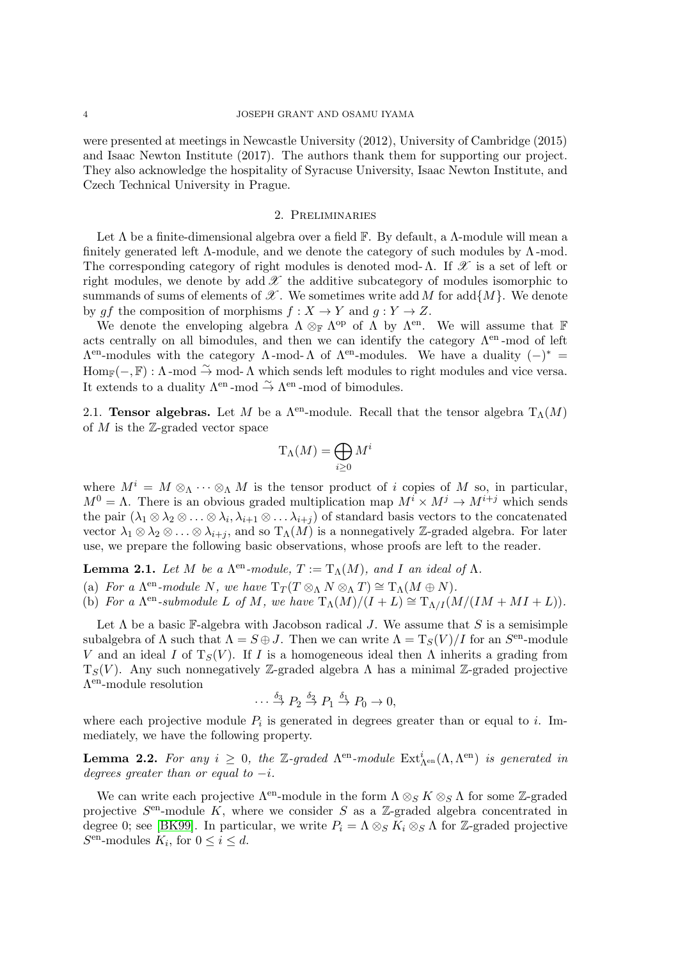were presented at meetings in Newcastle University (2012), University of Cambridge (2015) and Isaac Newton Institute (2017). The authors thank them for supporting our project. They also acknowledge the hospitality of Syracuse University, Isaac Newton Institute, and Czech Technical University in Prague.

#### 2. Preliminaries

Let  $\Lambda$  be a finite-dimensional algebra over a field  $\mathbb F$ . By default, a  $\Lambda$ -module will mean a finitely generated left  $\Lambda$ -module, and we denote the category of such modules by  $\Lambda$ -mod. The corresponding category of right modules is denoted mod-Λ. If  $\mathscr X$  is a set of left or right modules, we denote by add  $\mathscr X$  the additive subcategory of modules isomorphic to summands of sums of elements of  $\mathscr X$ . We sometimes write add M for add $\{M\}$ . We denote by gf the composition of morphisms  $f : X \to Y$  and  $g : Y \to Z$ .

We denote the enveloping algebra  $\Lambda \otimes_{\mathbb{F}} \Lambda^{\text{op}}$  of  $\Lambda$  by  $\Lambda^{\text{en}}$ . We will assume that  $\mathbb F$ acts centrally on all bimodules, and then we can identify the category  $\Lambda^{en}$ -mod of left  $Λ<sup>en</sup>$ -modules with the category Λ -mod-Λ of Λ<sup>en</sup>-modules. We have a duality (–)<sup>\*</sup> =  $\text{Hom}_{\mathbb{F}}(-,\mathbb{F}): \Lambda \text{-mod } \overset{\sim}{\to} \text{mod-}\Lambda$  which sends left modules to right modules and vice versa. It extends to a duality  $\Lambda^{\text{en}}$ -mod  $\stackrel{\sim}{\to} \Lambda^{\text{en}}$ -mod of bimodules.

2.1. **Tensor algebras.** Let M be a  $\Lambda^{en}$ -module. Recall that the tensor algebra  $T_{\Lambda}(M)$ of  $M$  is the  $\mathbb{Z}$ -graded vector space

$$
\mathrm{T}_{\Lambda}(M)=\bigoplus_{i\geq 0}M^i
$$

where  $M^i = M \otimes_{\Lambda} \cdots \otimes_{\Lambda} M$  is the tensor product of i copies of M so, in particular,  $M^0 = \Lambda$ . There is an obvious graded multiplication map  $M^i \times M^j \to M^{i+j}$  which sends the pair  $(\lambda_1 \otimes \lambda_2 \otimes \ldots \otimes \lambda_i, \lambda_{i+1} \otimes \ldots \lambda_{i+j})$  of standard basis vectors to the concatenated vector  $\lambda_1 \otimes \lambda_2 \otimes \ldots \otimes \lambda_{i+j}$ , and so  $T_{\Lambda}(M)$  is a nonnegatively Z-graded algebra. For later use, we prepare the following basic observations, whose proofs are left to the reader.

<span id="page-3-0"></span>**Lemma 2.1.** Let M be a  $\Lambda^{en}$ -module,  $T := T_{\Lambda}(M)$ , and I an ideal of  $\Lambda$ .

(a) For a  $\Lambda^{en}$ -module N, we have  $T_T(T \otimes_{\Lambda} N \otimes_{\Lambda} T) \cong T_{\Lambda}(M \oplus N)$ .

(b) For a  $\Lambda^{en}$ -submodule L of M, we have  $T_{\Lambda}(M)/(I+L) \cong T_{\Lambda/I}(M/(IM+MI+L)).$ 

Let  $\Lambda$  be a basic F-algebra with Jacobson radical J. We assume that S is a semisimple subalgebra of  $\Lambda$  such that  $\Lambda = S \oplus J$ . Then we can write  $\Lambda = T_S(V)/I$  for an  $S^{\text{en}}$ -module V and an ideal I of  $T_S(V)$ . If I is a homogeneous ideal then  $\Lambda$  inherits a grading from  $T_S(V)$ . Any such nonnegatively Z-graded algebra  $\Lambda$  has a minimal Z-graded projective Λ en-module resolution

$$
\cdots \stackrel{\delta_3}{\rightarrow} P_2 \stackrel{\delta_2}{\rightarrow} P_1 \stackrel{\delta_1}{\rightarrow} P_0 \rightarrow 0,
$$

where each projective module  $P_i$  is generated in degrees greater than or equal to i. Immediately, we have the following property.

**Lemma 2.2.** For any  $i \geq 0$ , the Z-graded  $\Lambda^{\text{en}}$ -module  $\text{Ext}^i_{\Lambda^{\text{en}}}(\Lambda, \Lambda^{\text{en}})$  is generated in degrees greater than or equal to  $-i$ .

We can write each projective  $\Lambda^{en}$ -module in the form  $\Lambda \otimes_S K \otimes_S \Lambda$  for some Z-graded projective  $S<sup>en</sup>$ -module K, where we consider S as a Z-graded algebra concentrated in degree 0; see [\[BK99\]](#page-33-16). In particular, we write  $P_i = \Lambda \otimes_S K_i \otimes_S \Lambda$  for Z-graded projective  $S<sup>en</sup>$ -modules  $K_i$ , for  $0 \leq i \leq d$ .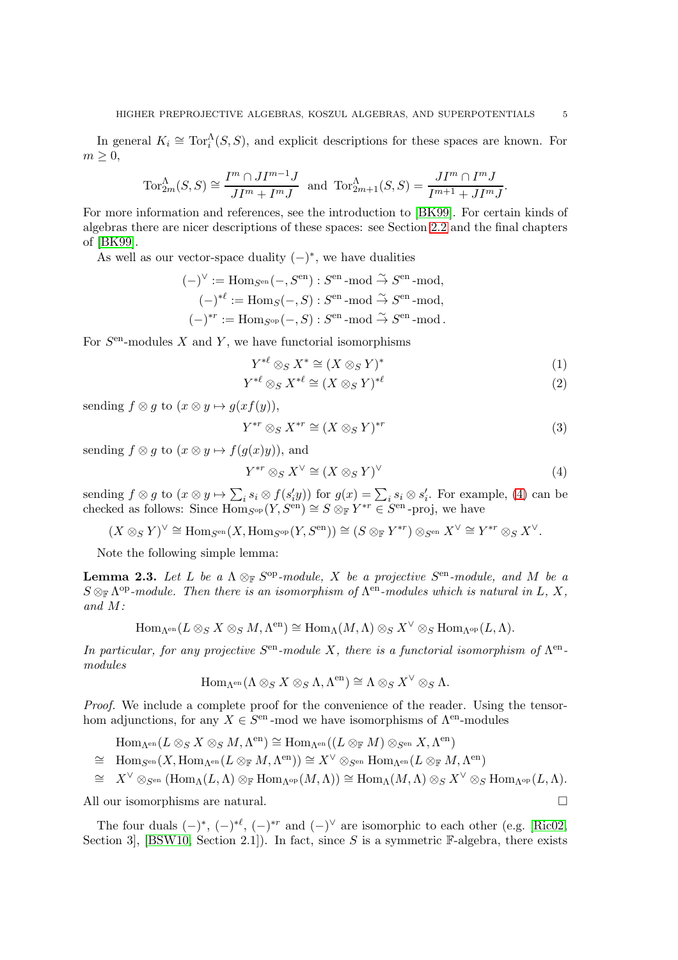In general  $K_i \cong \text{Tor}_i^{\Lambda}(S, S)$ , and explicit descriptions for these spaces are known. For  $m \geq 0$ ,

$$
\operatorname{Tor}_{2m}^{\Lambda}(S,S) \cong \frac{I^m \cap J I^{m-1} J}{JI^m + I^m J} \text{ and } \operatorname{Tor}_{2m+1}^{\Lambda}(S,S) = \frac{J I^m \cap I^m J}{I^{m+1} + J I^m J}.
$$

For more information and references, see the introduction to [\[BK99\]](#page-33-16). For certain kinds of algebras there are nicer descriptions of these spaces: see Section [2.2](#page-6-0) and the final chapters of [\[BK99\]](#page-33-16).

As well as our vector-space duality  $(-)^*$ , we have dualities

$$
(-)^{\vee} := \text{Hom}_{S^{\text{en}}}(-, S^{\text{en}}) : S^{\text{en}} \text{-mod } \stackrel{\sim}{\to} S^{\text{en}} \text{-mod},
$$

$$
(-)^{*^{\ell}} := \text{Hom}_{S}(-, S) : S^{\text{en}} \text{-mod } \stackrel{\sim}{\to} S^{\text{en}} \text{-mod},
$$

$$
(-)^{*r} := \text{Hom}_{S^{\text{op}}}(-, S) : S^{\text{en}} \text{-mod } \stackrel{\sim}{\to} S^{\text{en}} \text{-mod}.
$$

For  $S<sup>en</sup>$ -modules X and Y, we have functorial isomorphisms

<span id="page-4-1"></span>
$$
Y^{*\ell} \otimes_S X^* \cong (X \otimes_S Y)^* \tag{1}
$$

$$
Y^{*\ell} \otimes_S X^{*\ell} \cong (X \otimes_S Y)^{*\ell} \tag{2}
$$

sending  $f \otimes q$  to  $(x \otimes y \mapsto q(xf(y)),$ 

<span id="page-4-2"></span>
$$
Y^{*r} \otimes_S X^{*r} \cong (X \otimes_S Y)^{*r} \tag{3}
$$

sending  $f \otimes g$  to  $(x \otimes y \mapsto f(g(x)y))$ , and

<span id="page-4-0"></span>
$$
Y^{*r} \otimes_S X^{\vee} \cong (X \otimes_S Y)^{\vee} \tag{4}
$$

sending  $f \otimes g$  to  $(x \otimes y \mapsto \sum_i s_i \otimes f(s_i' y))$  for  $g(x) = \sum_i s_i \otimes s_i'$ . For example, [\(4\)](#page-4-0) can be checked as follows: Since  $\overline{\text{Hom}}_{S^{\text{op}}}(Y, S^{\text{en}}) \cong S \otimes_{\mathbb{F}} Y^{*r} \in S^{\text{en}}$ -proj, we have

$$
(X\otimes_S Y)^\vee\cong \mathrm{Hom}_{S^\mathrm{en}}(X,\mathrm{Hom}_{S^\mathrm{op}}(Y,S^\mathrm{en}))\cong (S\otimes_{\mathbb{F}} Y^{*r})\otimes_{S^\mathrm{en}} X^\vee\cong Y^{*r}\otimes_S X^\vee.
$$

Note the following simple lemma:

<span id="page-4-3"></span>**Lemma 2.3.** Let L be a  $\Lambda \otimes_{\mathbb{F}} S^{op}\text{-module}, X$  be a projective  $S^{en}\text{-module},$  and M be a  $S \otimes_{\mathbb{F}} \Lambda^{\text{op}}$ -module. Then there is an isomorphism of  $\Lambda^{\text{en}}$ -modules which is natural in L, X, and M:

$$
\operatorname{Hom}\nolimits_{\Lambda^{\rm en}}(L \otimes_S X \otimes_S M, \Lambda^{\rm en}) \cong \operatorname{Hom}\nolimits_{\Lambda}(M, \Lambda) \otimes_S X^\vee \otimes_S \operatorname{Hom}\nolimits_{\Lambda^{\rm op}}(L, \Lambda).
$$

In particular, for any projective  $S<sup>en</sup>$ -module X, there is a functorial isomorphism of  $\Lambda<sup>en</sup>$ modules

$$
\operatorname{Hom}\nolimits_{\Lambda^\mathrm{en}}(\Lambda \otimes_S X \otimes_S \Lambda, \Lambda^\mathrm{en}) \cong \Lambda \otimes_S X^\vee \otimes_S \Lambda.
$$

Proof. We include a complete proof for the convenience of the reader. Using the tensorhom adjunctions, for any  $X \in S^{\text{en}}$ -mod we have isomorphisms of  $\Lambda^{\text{en}}$ -modules

 $\mathrm{Hom}_{\Lambda^\mathrm{en}}(L \otimes_S X \otimes_S M, \Lambda^\mathrm{en}) \cong \mathrm{Hom}_{\Lambda^\mathrm{en}}((L \otimes_{\mathbb{F}} M) \otimes_{S^\mathrm{en}} X, \Lambda^\mathrm{en})$ 

 $\cong\quad \mathrm{Hom}_{S^{\mathrm{en}}}(X, \mathrm{Hom}_{\Lambda^{\mathrm{en}}}(L\otimes_{\mathbb{F}} M,\Lambda^{\mathrm{en}}))\cong X^\vee\otimes_{S^{\mathrm{en}}} \mathrm{Hom}_{\Lambda^{\mathrm{en}}}(L\otimes_{\mathbb{F}} M,\Lambda^{\mathrm{en}})$ 

 $\cong X^\vee \otimes_{S^{\mathrm{en}}} (\mathrm{Hom}_\Lambda(L,\Lambda) \otimes_{\mathbb{F}} \mathrm{Hom}_{\Lambda^{\mathrm{op}}}(M,\Lambda)) \cong \mathrm{Hom}_\Lambda(M,\Lambda) \otimes_S X^\vee \otimes_S \mathrm{Hom}_{\Lambda^{\mathrm{op}}}(L,\Lambda).$ 

All our isomorphisms are natural.

The four duals  $(-)^*, (-)^{*\ell}, (-)^{*\ell}$  and  $(-)^{\vee}$  are isomorphic to each other (e.g. [\[Ric02,](#page-35-9) Section 3, [\[BSW10,](#page-33-12) Section 2.1]). In fact, since S is a symmetric  $\mathbb{F}\text{-algebra}$ , there exists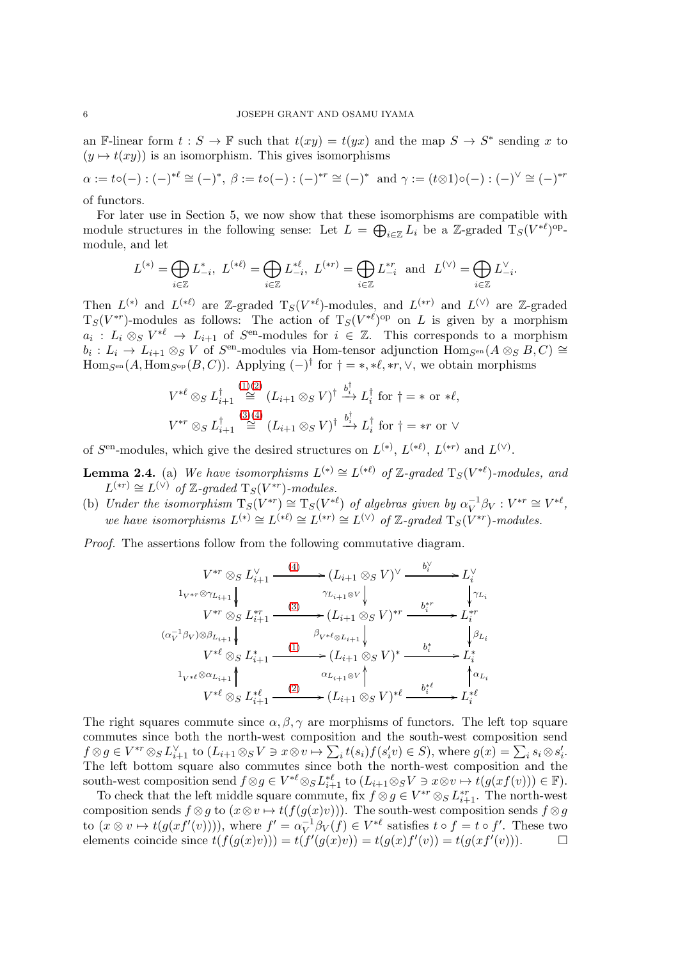an F-linear form  $t : S \to \mathbb{F}$  such that  $t(xy) = t(yx)$  and the map  $S \to S^*$  sending x to  $(y \mapsto t(xy))$  is an isomorphism. This gives isomorphisms

 $\alpha:=t\circ(-):(-)^{*\ell}\cong(-)^*,\ \beta:=t\circ(-):(-)^{*r}\cong(-)^*\ \text{ and } \gamma:=(t\otimes 1)\circ(-):(-)^{\vee}\cong(-)^{*r}$ of functors.

For later use in Section 5, we now show that these isomorphisms are compatible with module structures in the following sense: Let  $L = \bigoplus_{i \in \mathbb{Z}} L_i$  be a Z-graded  $T_S(V^{*\ell})^{\text{op}}$ -

$$
L^{(*)} = \bigoplus_{i \in \mathbb{Z}} L_{-i}^*, \ L^{(*\ell)} = \bigoplus_{i \in \mathbb{Z}} L_{-i}^{*\ell}, \ L^{(*r)} = \bigoplus_{i \in \mathbb{Z}} L_{-i}^{*r} \ \ \text{and} \ \ L^{(\vee)} = \bigoplus_{i \in \mathbb{Z}} L_{-i}^{\vee}.
$$

Then  $L^{(*)}$  and  $L^{(*)}$  are Z-graded  $T_S(V^{*\ell})$ -modules, and  $L^{(*)}$  and  $L^{(\vee)}$  are Z-graded  $T_S(V^{*r})$ -modules as follows: The action of  $T_S(V^{*\ell})^{\text{op}}$  on L is given by a morphism  $a_i: L_i \otimes_S V^{*\ell} \to L_{i+1}$  of  $S^{en}$ -modules for  $i \in \mathbb{Z}$ . This corresponds to a morphism  $b_i: L_i \to L_{i+1} \otimes_S V$  of  $S^{\text{en}}$ -modules via Hom-tensor adjunction  $\text{Hom}_{S^{\text{en}}}(A \otimes_S B, C) \cong$  $\text{Hom}_{S^{\text{en}}}(A, \text{Hom}_{S^{\text{op}}}(B, C))$ . Applying  $(-)^{\dagger}$  for  $\dagger = *, *\ell, *r, \vee,$  we obtain morphisms

$$
V^{*\ell} \otimes_S L_{i+1}^{\dagger} \stackrel{(1)(2)}{\cong} (L_{i+1} \otimes_S V)^{\dagger} \stackrel{b_i^{\dagger}}{\to} L_i^{\dagger} \text{ for } \dagger = * \text{ or } *\ell,
$$
  

$$
V^{*r} \otimes_S L_{i+1}^{\dagger} \stackrel{(3)(4)}{\cong} (L_{i+1} \otimes_S V)^{\dagger} \stackrel{b_i^{\dagger}}{\to} L_i^{\dagger} \text{ for } \dagger = *r \text{ or } \vee
$$

of  $S^{\text{en}}$ -modules, which give the desired structures on  $L^{(*)}$ ,  $L^{(*\ell)}$ ,  $L^{(*r)}$  and  $L^{(\vee)}$ .

**Lemma 2.4.** (a) We have isomorphisms  $L^{(*)} \cong L^{(*\ell)}$  of Z-graded  $T_S(V^{*\ell})$ -modules, and  $L^{(*r)} \cong L^{(\vee)}$  of Z-graded  $T_S(V^{*r})$ -modules.

(b) Under the isomorphism  $T_S(V^{*r}) \cong T_S(V^{*\ell})$  of algebras given by  $\alpha_V^{-1}$  $V^{-1}\beta V : V^{*r} \cong V^{*\ell},$ we have isomorphisms  $L^{(*)} \cong L^{(*\ell)} \cong L^{(*r)} \cong L^{(\vee)}$  of Z-graded  $T_S(V^{**})$ -modules.

Proof. The assertions follow from the following commutative diagram.

$$
V^{*r} \otimes_{S} L_{i+1}^{\vee} \xrightarrow{\qquad (4)} (L_{i+1} \otimes_{S} V)^{\vee} \xrightarrow{\qquad b_{i}^{\vee}} L_{i}^{\vee}
$$
\n
$$
1_{V^{*r} \otimes \gamma_{L_{i+1}}} \downarrow \qquad \qquad \gamma_{L_{i+1} \otimes V} \downarrow \qquad \qquad \downarrow \gamma_{L_{i}}
$$
\n
$$
V^{*r} \otimes_{S} L_{i+1}^{*r} \xrightarrow{\qquad (3)} (L_{i+1} \otimes_{S} V)^{*r} \xrightarrow{\qquad b_{i}^{*r}} L_{i}^{*r}
$$
\n
$$
(\alpha_{V}^{-1} \beta_{V}) \otimes \beta_{L_{i+1}} \downarrow \qquad \qquad \beta_{V^{*l} \otimes L_{i+1}} \downarrow \qquad \qquad \beta_{V^{*l} \otimes L_{i+1}} \downarrow \qquad \qquad \beta_{L_{i}}
$$
\n
$$
V^{*l} \otimes_{S} L_{i+1}^{*} \xrightarrow{\qquad (1)} \xrightarrow{\qquad \alpha_{L_{i+1} \otimes V}} (L_{i+1} \otimes_{S} V)^{*} \xrightarrow{\qquad b_{i}^{*}} L_{i}^{*}
$$
\n
$$
1_{V^{*l} \otimes \gamma_{L_{i+1}}} \uparrow \qquad \qquad \alpha_{L_{i+1} \otimes V} \uparrow \qquad \qquad \gamma_{L_{i}} \uparrow \qquad \qquad \gamma_{L_{i}}
$$
\n
$$
V^{*l} \otimes_{S} L_{i+1}^{*l} \xrightarrow{\qquad (2)} (L_{i+1} \otimes_{S} V)^{*l} \xrightarrow{\qquad b_{i}^{*l}} L_{i}^{*l}
$$

The right squares commute since  $\alpha, \beta, \gamma$  are morphisms of functors. The left top square commutes since both the north-west composition and the south-west composition send  $f \otimes g \in V^{*r} \otimes_S L_{i+1}^{\vee}$  to  $(L_{i+1} \otimes_S V \ni x \otimes v \mapsto \sum_i t(s_i) f(s_i' v) \in S)$ , where  $g(x) = \sum_i s_i \otimes s_i'$ . The left bottom square also commutes since both the north-west composition and the south-west composition send  $f \otimes g \in V^{*\ell} \otimes_S L_{i+1}^{*\ell}$  to  $(L_{i+1} \otimes_S V \ni x \otimes v \mapsto t(g(xf(v))) \in \mathbb{F}$ ).

To check that the left middle square commute, fix  $f \otimes g \in V^{*r} \otimes_S L^{*r}_{i+1}$ . The north-west composition sends  $f \otimes g$  to  $(x \otimes v \mapsto t(f(g(x)v)))$ . The south-west composition sends  $f \otimes g$ to  $(x \otimes v \mapsto t(g(xf'(v))))$ , where  $f' = \alpha_V^{-1}$  $V^{-1}\beta_V(f) \in V^{*\ell}$  satisfies  $t \circ f = t \circ f'$ . These two elements coincide since  $t(f(g(x)v)) = t(f'(g(x)v)) = t(g(x)f'(v)) = t(g(xf'(v))).$ 

module, and let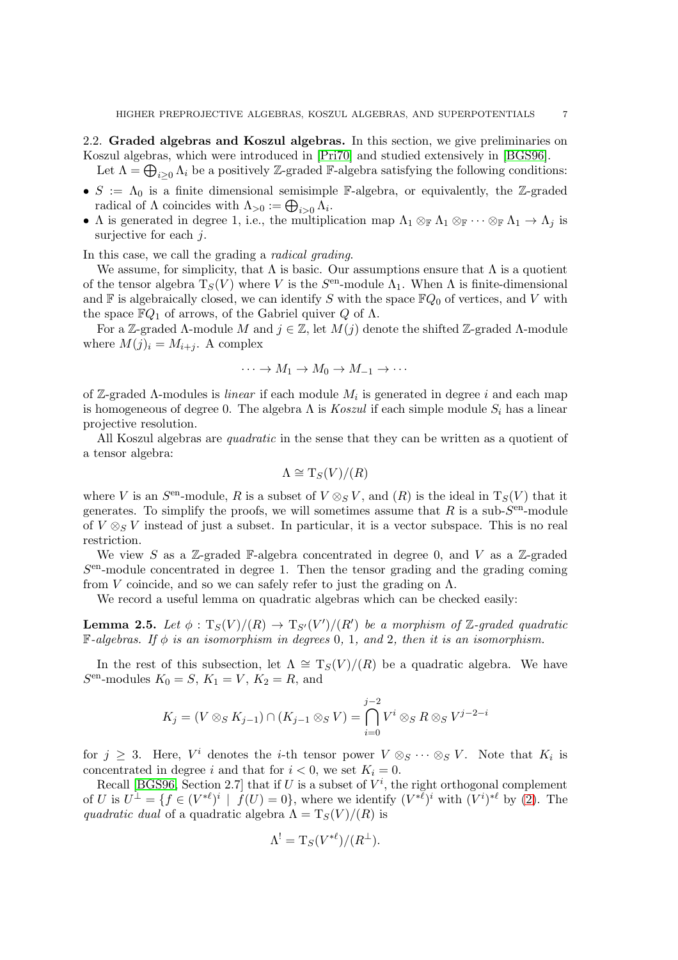<span id="page-6-0"></span>2.2. Graded algebras and Koszul algebras. In this section, we give preliminaries on Koszul algebras, which were introduced in [\[Pri70\]](#page-35-10) and studied extensively in [\[BGS96\]](#page-33-17).

Let  $\Lambda = \bigoplus_{i \geq 0} \Lambda_i$  be a positively Z-graded F-algebra satisfying the following conditions:

- $S := \Lambda_0$  is a finite dimensional semisimple F-algebra, or equivalently, the Z-graded radical of  $\Lambda$  coincides with  $\Lambda_{>0} := \bigoplus_{i>0} \Lambda_i$ .
- Λ is generated in degree 1, i.e., the multiplication map  $\Lambda_1 \otimes_{\mathbb{F}} \Lambda_1 \otimes_{\mathbb{F}} \cdots \otimes_{\mathbb{F}} \Lambda_1 \to \Lambda_i$  is surjective for each  $i$ .

In this case, we call the grading a radical grading.

We assume, for simplicity, that  $\Lambda$  is basic. Our assumptions ensure that  $\Lambda$  is a quotient of the tensor algebra  $T_S(V)$  where V is the  $S<sup>en</sup>$ -module  $\Lambda_1$ . When  $\Lambda$  is finite-dimensional and  $\mathbb F$  is algebraically closed, we can identify S with the space  $\mathbb FQ_0$  of vertices, and V with the space  $\mathbb{F}Q_1$  of arrows, of the Gabriel quiver Q of  $\Lambda$ .

For a Z-graded Λ-module M and  $j \in \mathbb{Z}$ , let  $M(j)$  denote the shifted Z-graded Λ-module where  $M(j)_i = M_{i+i}$ . A complex

$$
\cdots \to M_1 \to M_0 \to M_{-1} \to \cdots
$$

of Z-graded  $\Lambda$ -modules is *linear* if each module  $M_i$  is generated in degree i and each map is homogeneous of degree 0. The algebra  $\Lambda$  is *Koszul* if each simple module  $S_i$  has a linear projective resolution.

All Koszul algebras are *quadratic* in the sense that they can be written as a quotient of a tensor algebra:

$$
\Lambda \cong \mathrm{T}_S(V)/(R)
$$

where V is an  $S^{\text{en}}$ -module, R is a subset of  $V \otimes_S V$ , and  $(R)$  is the ideal in  $T_S(V)$  that it generates. To simplify the proofs, we will sometimes assume that  $R$  is a sub- $S^{\text{en}}$ -module of  $V \otimes_S V$  instead of just a subset. In particular, it is a vector subspace. This is no real restriction.

We view S as a Z-graded F-algebra concentrated in degree 0, and V as a Z-graded S en-module concentrated in degree 1. Then the tensor grading and the grading coming from V coincide, and so we can safely refer to just the grading on  $\Lambda$ .

We record a useful lemma on quadratic algebras which can be checked easily:

<span id="page-6-1"></span>**Lemma 2.5.** Let  $\phi : T_S(V)/(R) \to T_{S'}(V')/(R')$  be a morphism of  $\mathbb{Z}$ -graded quadratic  $\mathbb{F}\text{-}algebras.$  If  $\phi$  is an isomorphism in degrees 0, 1, and 2, then it is an isomorphism.

In the rest of this subsection, let  $\Lambda \cong T_S(V)/(R)$  be a quadratic algebra. We have  $S<sup>en</sup>$ -modules  $K_0 = S$ ,  $K_1 = V$ ,  $K_2 = R$ , and

$$
K_j = (V \otimes_S K_{j-1}) \cap (K_{j-1} \otimes_S V) = \bigcap_{i=0}^{j-2} V^i \otimes_S R \otimes_S V^{j-2-i}
$$

for  $j \geq 3$ . Here,  $V^i$  denotes the *i*-th tensor power  $V \otimes_S \cdots \otimes_S V$ . Note that  $K_i$  is concentrated in degree i and that for  $i < 0$ , we set  $K_i = 0$ .

Recall [\[BGS96,](#page-33-17) Section 2.7] that if U is a subset of  $V^i$ , the right orthogonal complement of U is  $U^{\perp} = \{f \in (V^{* \ell})^i \mid f(U) = 0\}$ , where we identify  $(V^{* \ell})^i$  with  $(V^{i})^{* \ell}$  by [\(2\)](#page-4-1). The quadratic dual of a quadratic algebra  $\Lambda = T_S(V)/(R)$  is

$$
\Lambda^! = \mathrm{T}_S(V^{*\ell})/(R^\perp).
$$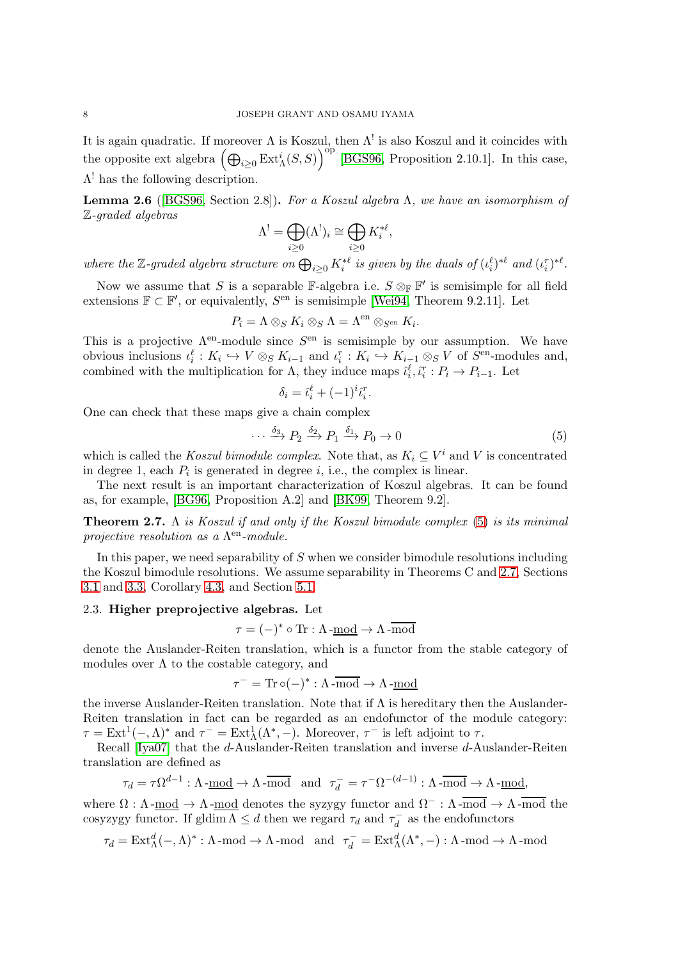It is again quadratic. If moreover  $\Lambda$  is Koszul, then  $\Lambda^!$  is also Koszul and it coincides with the opposite ext algebra  $(\bigoplus_{i\geq 0} \text{Ext}_{\Lambda}^{i}(S, S))^{op}$  [\[BGS96,](#page-33-17) Proposition 2.10.1]. In this case,  $\Lambda^!$  has the following description.

<span id="page-7-2"></span>**Lemma 2.6** ([\[BGS96,](#page-33-17) Section 2.8]). For a Koszul algebra  $\Lambda$ , we have an isomorphism of Z-graded algebras

$$
\Lambda^! = \bigoplus_{i \geq 0} (\Lambda^!)_i \cong \bigoplus_{i \geq 0} K_i^{*\ell},
$$

where the Z-graded algebra structure on  $\bigoplus_{i\geq 0} K_i^{*\ell}$  is given by the duals of  $(\iota_i^{\ell})^{*\ell}$  and  $(\iota_i^r)^{*\ell}$ .

Now we assume that S is a separable  $\mathbb{F}\text{-algebra i.e. } S \otimes_{\mathbb{F}} \mathbb{F}'$  is semisimple for all field extensions  $\mathbb{F} \subset \mathbb{F}'$ , or equivalently,  $S<sup>en</sup>$  is semisimple [\[Wei94,](#page-35-11) Theorem 9.2.11]. Let

$$
P_i = \Lambda \otimes_S K_i \otimes_S \Lambda = \Lambda^{\text{en}} \otimes_{S^{\text{en}}} K_i.
$$

This is a projective  $\Lambda^{\text{en}}$ -module since  $S^{\text{en}}$  is semisimple by our assumption. We have obvious inclusions  $\iota_i^{\ell}: K_i \hookrightarrow V \otimes_S K_{i-1}$  and  $\iota_i^r: K_i \hookrightarrow K_{i-1} \otimes_S V$  of  $S^{\text{en}}$ -modules and, combined with the multiplication for  $\Lambda$ , they induce maps  $\hat{i}_i^{\ell}, \hat{i}_i^r : P_i \to P_{i-1}$ . Let

$$
\delta_i = \hat{\iota}_i^{\ell} + (-1)^i \hat{\iota}_i^r
$$

.

One can check that these maps give a chain complex

<span id="page-7-0"></span>
$$
\cdots \xrightarrow{\delta_3} P_2 \xrightarrow{\delta_2} P_1 \xrightarrow{\delta_1} P_0 \to 0 \tag{5}
$$

which is called the *Koszul bimodule complex*. Note that, as  $K_i \subseteq V^i$  and V is concentrated in degree 1, each  $P_i$  is generated in degree *i*, i.e., the complex is linear.

The next result is an important characterization of Koszul algebras. It can be found as, for example, [\[BG96,](#page-33-18) Proposition A.2] and [\[BK99,](#page-33-16) Theorem 9.2].

<span id="page-7-1"></span>**Theorem 2.7.**  $\Lambda$  is Koszul if and only if the Koszul bimodule complex [\(5\)](#page-7-0) is its minimal projective resolution as a  $\Lambda^{\text{en}}$ -module.

In this paper, we need separability of  $S$  when we consider bimodule resolutions including the Koszul bimodule resolutions. We assume separability in Theorems C and [2.7,](#page-7-1) Sections [3.1](#page-9-0) and [3.3,](#page-12-0) Corollary [4.3,](#page-18-0) and Section [5.1.](#page-26-0)

### 2.3. Higher preprojective algebras. Let

$$
\tau = (-)^* \circ \text{Tr} : \Lambda\text{-}\underline{\text{mod}} \to \Lambda\text{-}\overline{\text{mod}}
$$

denote the Auslander-Reiten translation, which is a functor from the stable category of modules over  $\Lambda$  to the costable category, and

$$
\tau^-=\mathrm{Tr}\,\circ (-)^*:\Lambda\,\overline{\text{mod}}\to\Lambda\,\text{-}\underline{\mathrm{mod}}
$$

the inverse Auslander-Reiten translation. Note that if  $\Lambda$  is hereditary then the Auslander-Reiten translation in fact can be regarded as an endofunctor of the module category:  $\tau = \text{Ext}^1(-, \Lambda)^*$  and  $\tau^- = \text{Ext}^1_{\Lambda}(\Lambda^*, -)$ . Moreover,  $\tau^-$  is left adjoint to  $\tau$ .

Recall [\[Iya07\]](#page-34-6) that the d-Auslander-Reiten translation and inverse d-Auslander-Reiten translation are defined as

 $\tau_d = \tau \Omega^{d-1} : \Lambda \text{-}\text{\underline{mod}} \to \Lambda \text{-}\overline{\text{mod}} \text{ and } \tau_d^- = \tau^- \Omega^{-(d-1)} : \Lambda \text{-}\overline{\text{mod}} \to \Lambda \text{-}\overline{\text{mod}}$ 

where  $\Omega : \Lambda$ -mod  $\to \Lambda$ -mod denotes the syzygy functor and  $\Omega^- : \Lambda$ -mod  $\to \Lambda$ -mod the cosyzygy functor. If gldim  $\Lambda \leq d$  then we regard  $\tau_d$  and  $\tau_d^ \bar{d}$  as the endofunctors

$$
\tau_d = \text{Ext}^d_{\Lambda}(-, \Lambda)^* : \Lambda\text{-mod} \to \Lambda\text{-mod} \quad \text{and} \quad \tau_d^- = \text{Ext}^d_{\Lambda}(\Lambda^*, -) : \Lambda\text{-mod} \to \Lambda\text{-mod}
$$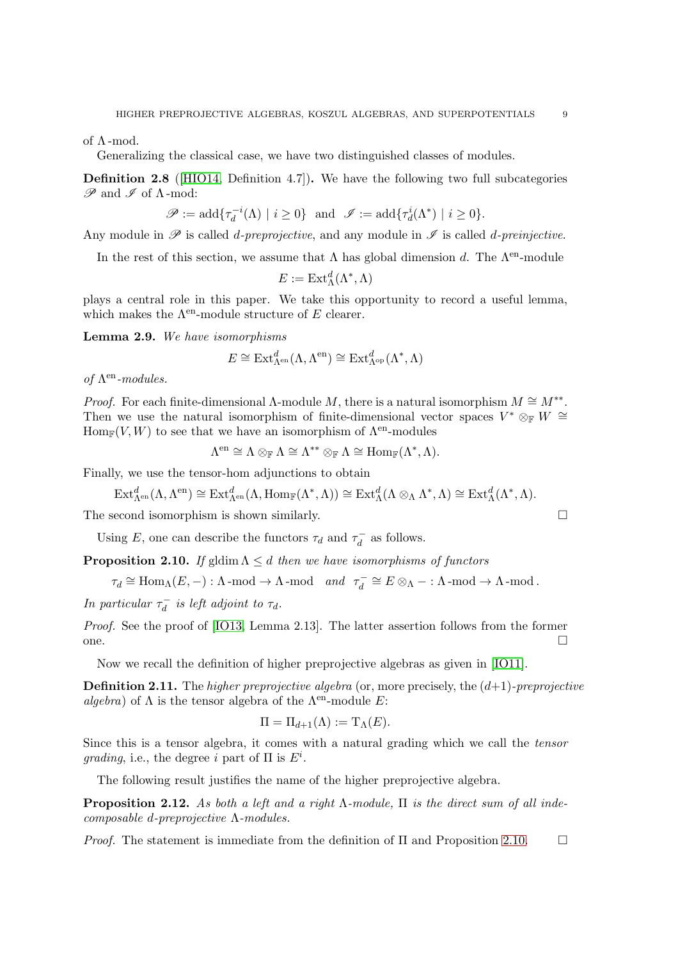of  $\Lambda$ -mod.

Generalizing the classical case, we have two distinguished classes of modules.

<span id="page-8-1"></span>Definition 2.8 ([\[HIO14,](#page-34-10) Definition 4.7]). We have the following two full subcategories  $\mathscr P$  and  $\mathscr I$  of  $\Lambda$ -mod:

$$
\mathscr{P}:=\mathrm{add}\{\tau^{-i}_d(\Lambda)\mid i\geq 0\}\ \ \text{and}\ \ \mathscr{I}:=\mathrm{add}\{\tau^{i}_d(\Lambda^*)\mid i\geq 0\}.
$$

Any module in  $\mathscr P$  is called *d-preprojective*, and any module in  $\mathscr I$  is called *d-preinjective*.

In the rest of this section, we assume that  $\Lambda$  has global dimension d. The  $\Lambda^{en}$ -module

$$
E := \operatorname{Ext}_{\Lambda}^{d}(\Lambda^*, \Lambda)
$$

plays a central role in this paper. We take this opportunity to record a useful lemma, which makes the  $\Lambda^{\text{en}}$ -module structure of E clearer.

<span id="page-8-2"></span>Lemma 2.9. We have isomorphisms

$$
E \cong \mathrm{Ext}^d_{\Lambda^{\mathrm{en}}}(\Lambda, \Lambda^{\mathrm{en}}) \cong \mathrm{Ext}^d_{\Lambda^{\mathrm{op}}}(\Lambda^*, \Lambda)
$$

of  $\Lambda^{\mathrm{en}}\textrm{-modules}.$ 

Proof. For each finite-dimensional  $\Lambda$ -module M, there is a natural isomorphism  $M \cong M^{**}$ . Then we use the natural isomorphism of finite-dimensional vector spaces  $V^* \otimes_{\mathbb{F}} W \cong$  $\text{Hom}_{\mathbb{F}}(V, W)$  to see that we have an isomorphism of  $\Lambda^{\text{en}}$ -modules

$$
\Lambda^{\mathrm{en}} \cong \Lambda \otimes_{\mathbb{F}} \Lambda \cong \Lambda^{**} \otimes_{\mathbb{F}} \Lambda \cong \mathrm{Hom}_{\mathbb{F}}(\Lambda^*, \Lambda).
$$

Finally, we use the tensor-hom adjunctions to obtain

$$
\operatorname{Ext}\nolimits_{\Lambda^{\operatorname{en}\nolimits}}^d(\Lambda, \Lambda^{\operatorname{en}\nolimits}) \cong \operatorname{Ext}\nolimits_{\Lambda^{\operatorname{en}\nolimits}}^d(\Lambda, \operatorname{Hom}\nolimits_{\mathbb F}(\Lambda^*, \Lambda)) \cong \operatorname{Ext}\nolimits_{\Lambda}^d(\Lambda \otimes_{\Lambda} \Lambda^*, \Lambda) \cong \operatorname{Ext}\nolimits_{\Lambda}^d(\Lambda^*, \Lambda).
$$

The second isomorphism is shown similarly.

Using E, one can describe the functors  $\tau_d$  and  $\tau_d^ \overline{d}$  as follows.

<span id="page-8-0"></span>**Proposition 2.10.** If gldim  $\Lambda \leq d$  then we have isomorphisms of functors

 $\tau_d \cong \text{Hom}_{\Lambda}(E, -) : \Lambda \text{-mod} \to \Lambda \text{-mod} \quad and \quad \tau_d^ \overline{d}_d^- \cong E \otimes_{\Lambda} - : \Lambda \text{-mod} \to \Lambda \text{-mod}.$ 

In particular  $\tau_d^ \overline{d}$  is left adjoint to  $\tau_d$ .

Proof. See the proof of [\[IO13,](#page-34-9) Lemma 2.13]. The latter assertion follows from the former one.  $\Box$ 

Now we recall the definition of higher preprojective algebras as given in [\[IO11\]](#page-34-8).

<span id="page-8-3"></span>**Definition 2.11.** The higher preprojective algebra (or, more precisely, the  $(d+1)$ -preprojective algebra) of  $\Lambda$  is the tensor algebra of the  $\Lambda^{en}$ -module E:

$$
\Pi = \Pi_{d+1}(\Lambda) := \mathrm{T}_{\Lambda}(E).
$$

Since this is a tensor algebra, it comes with a natural grading which we call the tensor grading, i.e., the degree i part of  $\Pi$  is  $E^i$ .

The following result justifies the name of the higher preprojective algebra.

**Proposition 2.12.** As both a left and a right  $\Lambda$ -module,  $\Pi$  is the direct sum of all indecomposable d-preprojective Λ-modules.

*Proof.* The statement is immediate from the definition of  $\Pi$  and Proposition [2.10.](#page-8-0)  $\Box$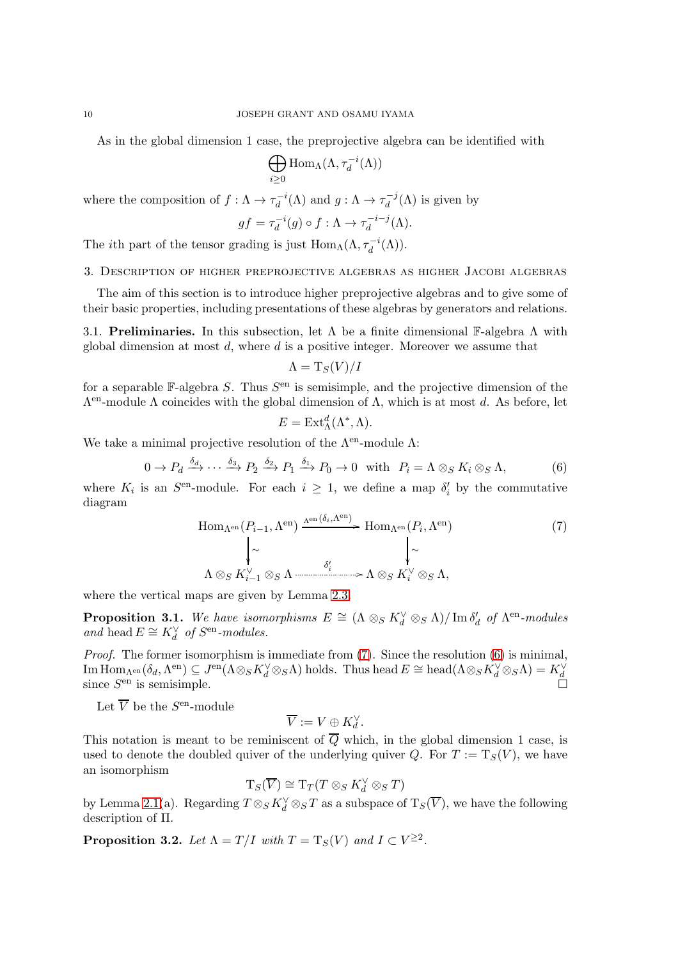As in the global dimension 1 case, the preprojective algebra can be identified with

$$
\bigoplus_{i\geq 0} \mathrm{Hom}_{\Lambda}(\Lambda, \tau_d^{-i}(\Lambda))
$$

where the composition of  $f: \Lambda \to \tau_d^{-i}$  $d_d^{-i}(\Lambda)$  and  $g: \Lambda \to \tau_d^{-j}$  $\int_{d}^{-J}(\Lambda)$  is given by

$$
gf = \tau_d^{-i}(g) \circ f : \Lambda \to \tau_d^{-i-j}(\Lambda).
$$

The *i*th part of the tensor grading is just  $\text{Hom}_{\Lambda}(\Lambda, \tau_d^{-i}(\Lambda)).$ 

3. Description of higher preprojective algebras as higher Jacobi algebras

The aim of this section is to introduce higher preprojective algebras and to give some of their basic properties, including presentations of these algebras by generators and relations.

<span id="page-9-0"></span>3.1. Preliminaries. In this subsection, let  $\Lambda$  be a finite dimensional F-algebra  $\Lambda$  with global dimension at most  $d$ , where  $d$  is a positive integer. Moreover we assume that

$$
\Lambda = \mathrm{T}_S(V)/I
$$

for a separable  $\mathbb{F}\text{-algebra } S$ . Thus  $S^{\text{en}}$  is semisimple, and the projective dimension of the  $Λ<sup>en</sup>$ -module Λ coincides with the global dimension of Λ, which is at most d. As before, let

$$
E = \operatorname{Ext}_{\Lambda}^{d}(\Lambda^*, \Lambda).
$$

We take a minimal projective resolution of the  $\Lambda^{\text{en}}$ -module  $\Lambda$ :

<span id="page-9-2"></span>
$$
0 \to P_d \xrightarrow{\delta_d} \cdots \xrightarrow{\delta_3} P_2 \xrightarrow{\delta_2} P_1 \xrightarrow{\delta_1} P_0 \to 0 \quad \text{with} \quad P_i = \Lambda \otimes_S K_i \otimes_S \Lambda,\tag{6}
$$

where  $K_i$  is an  $S^{\text{en}}$ -module. For each  $i \geq 1$ , we define a map  $\delta'_i$  by the commutative diagram

<span id="page-9-1"></span>
$$
\text{Hom}_{\Lambda^{\text{en}}}(P_{i-1}, \Lambda^{\text{en}}) \xrightarrow{\Lambda^{\text{en}}(\delta_i, \Lambda^{\text{en}})} \text{Hom}_{\Lambda^{\text{en}}}(P_i, \Lambda^{\text{en}}) \tag{7}
$$
\n
$$
\downarrow \sim \qquad \qquad \downarrow \sim
$$
\n
$$
\Lambda \otimes_S K_{i-1}^{\vee} \otimes_S \Lambda \xrightarrow{\delta'_i} \qquad \qquad \Lambda \otimes_S K_i^{\vee} \otimes_S \Lambda,
$$

where the vertical maps are given by Lemma [2.3.](#page-4-3)

<span id="page-9-3"></span>**Proposition 3.1.** We have isomorphisms  $E \cong (\Lambda \otimes_S K_d^{\vee} \otimes_S \Lambda) / \text{Im } \delta_d^{\prime}$  of  $\Lambda^{\text{en}}$ -modules and  $\mathbf{h}\mathbf{e}\mathbf{a} \in K_d^\vee$  of  $S^\mathrm{en}\text{-}modules.$ 

*Proof.* The former isomorphism is immediate from  $(7)$ . Since the resolution  $(6)$  is minimal,  $\mathrm{Im}\,\mathrm{Hom}_{\Lambda^\mathrm{en}}(\delta_d,\Lambda^\mathrm{en})\subseteq J^\mathrm{en}(\Lambda\otimes_S K_d^\vee\otimes_S\Lambda)\text{ holds.}$  Thus head  $E\cong \mathrm{head}(\Lambda\otimes_S K_d^\vee\otimes_S\Lambda)=K_d^\vee$ since  $S<sup>en</sup>$  is semisimple.

Let  $\overline{V}$  be the  $S^{\text{en}}$ -module

$$
\overline{V}:=V\oplus K^\vee_d.
$$

This notation is meant to be reminiscent of  $\overline{Q}$  which, in the global dimension 1 case, is used to denote the doubled quiver of the underlying quiver Q. For  $T := T_S(V)$ , we have an isomorphism

$$
T_S(\overline{V}) \cong T_T(T \otimes_S K_d^{\vee} \otimes_S T)
$$

by Lemma [2.1\(](#page-3-0)a). Regarding  $T \otimes_S K_d^{\vee} \otimes_S T$  as a subspace of  $T_S(\overline{V})$ , we have the following description of Π.

<span id="page-9-4"></span>**Proposition 3.2.** Let  $\Lambda = T/I$  with  $T = T_S(V)$  and  $I \subset V^{\geq 2}$ .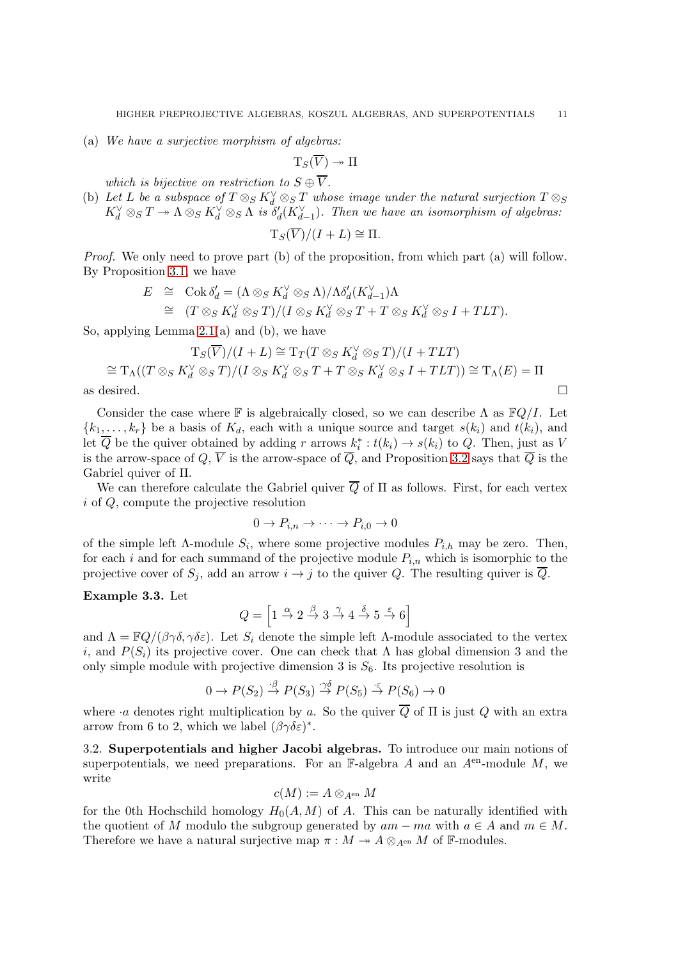(a) We have a surjective morphism of algebras:

$$
\mathrm{T}_S(\overline{V}) \twoheadrightarrow \Pi
$$

which is bijective on restriction to  $S \oplus \overline{V}$ .

(b) Let L be a subspace of  $T \otimes_S K_d^{\vee} \otimes_S T$  whose image under the natural surjection  $T \otimes_S T$  $K_d^{\vee} \otimes_S T \twoheadrightarrow \Lambda \otimes_S K_d^{\vee} \otimes_S \Lambda$  is  $\delta_d^{\prime}(K_{d-1}^{\vee})$ . Then we have an isomorphism of algebras:

$$
T_S(\overline{V})/(I+L) \cong \Pi.
$$

Proof. We only need to prove part (b) of the proposition, from which part (a) will follow. By Proposition [3.1,](#page-9-3) we have

$$
E \cong \operatorname{Cok} \delta_d' = (\Lambda \otimes_S K_d^{\vee} \otimes_S \Lambda) / \Lambda \delta_d' (K_{d-1}^{\vee}) \Lambda
$$
  
\n
$$
\cong (T \otimes_S K_d^{\vee} \otimes_S T) / (I \otimes_S K_d^{\vee} \otimes_S T + T \otimes_S K_d^{\vee} \otimes_S I + TLT).
$$

So, applying Lemma  $2.1(a)$  and (b), we have

$$
T_S(\overline{V})/(I+L) \cong T_T(T \otimes_S K_d^{\vee} \otimes_S T)/(I+TLT)
$$
  
\n
$$
\cong T_{\Lambda}((T \otimes_S K_d^{\vee} \otimes_S T)/(I \otimes_S K_d^{\vee} \otimes_S T + T \otimes_S K_d^{\vee} \otimes_S I + TLT)) \cong T_{\Lambda}(E) = \Pi
$$
  
\nas desired.

Consider the case where F is algebraically closed, so we can describe  $\Lambda$  as  $\mathbb{F}Q/I$ . Let  ${k_1, \ldots, k_r}$  be a basis of  $K_d$ , each with a unique source and target  $s(k_i)$  and  $t(k_i)$ , and let  $\overline{Q}$  be the quiver obtained by adding r arrows  $k_i^* : t(k_i) \to s(k_i)$  to  $Q$ . Then, just as V is the arrow-space of  $Q, \overline{V}$  is the arrow-space of  $\overline{Q}$ , and Proposition [3.2](#page-9-4) says that  $\overline{Q}$  is the Gabriel quiver of Π.

We can therefore calculate the Gabriel quiver  $\overline{Q}$  of  $\Pi$  as follows. First, for each vertex i of Q, compute the projective resolution

$$
0 \to P_{i,n} \to \cdots \to P_{i,0} \to 0
$$

of the simple left  $\Lambda$ -module  $S_i$ , where some projective modules  $P_{i,h}$  may be zero. Then, for each i and for each summand of the projective module  $P_{i,n}$  which is isomorphic to the projective cover of  $S_i$ , add an arrow  $i \to j$  to the quiver Q. The resulting quiver is  $\overline{Q}$ .

# Example 3.3. Let

$$
Q = \left[1 \stackrel{\alpha}{\to} 2 \stackrel{\beta}{\to} 3 \stackrel{\gamma}{\to} 4 \stackrel{\delta}{\to} 5 \stackrel{\varepsilon}{\to} 6\right]
$$

and  $\Lambda = \mathbb{F}Q/(\beta \gamma \delta, \gamma \delta \varepsilon)$ . Let  $S_i$  denote the simple left  $\Lambda$ -module associated to the vertex i, and  $P(S_i)$  its projective cover. One can check that  $\Lambda$  has global dimension 3 and the only simple module with projective dimension 3 is  $S_6$ . Its projective resolution is

$$
0 \to P(S_2) \stackrel{\cdot \beta}{\to} P(S_3) \stackrel{\cdot \gamma \delta}{\to} P(S_5) \stackrel{\cdot \varepsilon}{\to} P(S_6) \to 0
$$

where *a* denotes right multiplication by a. So the quiver  $\overline{Q}$  of  $\Pi$  is just  $Q$  with an extra arrow from 6 to 2, which we label  $(\beta \gamma \delta \varepsilon)^*$ .

<span id="page-10-0"></span>3.2. Superpotentials and higher Jacobi algebras. To introduce our main notions of superpotentials, we need preparations. For an F-algebra A and an  $A<sup>en</sup>$ -module M, we write

$$
c(M):=A\otimes_{A^{\mathrm{en}}}M
$$

for the 0th Hochschild homology  $H_0(A, M)$  of A. This can be naturally identified with the quotient of M modulo the subgroup generated by  $am - ma$  with  $a \in A$  and  $m \in M$ . Therefore we have a natural surjective map  $\pi : M \to A \otimes_{A^{en}} M$  of F-modules.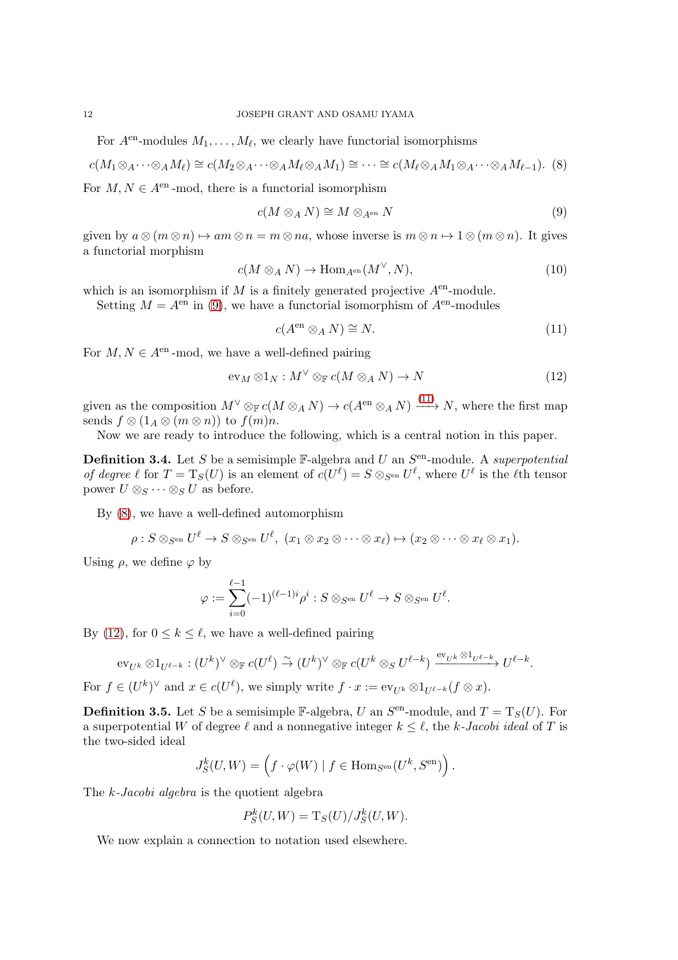For  $A<sup>en</sup>$ -modules  $M_1, \ldots, M_\ell$ , we clearly have functorial isomorphisms

<span id="page-11-4"></span>
$$
c(M_1 \otimes_A \cdots \otimes_A M_\ell) \cong c(M_2 \otimes_A \cdots \otimes_A M_\ell \otimes_A M_1) \cong \cdots \cong c(M_\ell \otimes_A M_1 \otimes_A \cdots \otimes_A M_{\ell-1}).
$$
 (8)

For  $M, N \in A^{en}$ -mod, there is a functorial isomorphism

<span id="page-11-2"></span>
$$
c(M \otimes_A N) \cong M \otimes_{A^{\text{en}}} N \tag{9}
$$

given by  $a \otimes (m \otimes n) \mapsto am \otimes n = m \otimes na$ , whose inverse is  $m \otimes n \mapsto 1 \otimes (m \otimes n)$ . It gives a functorial morphism

<span id="page-11-6"></span>
$$
c(M \otimes_A N) \to \text{Hom}_{A^{\text{en}}}(M^{\vee}, N), \tag{10}
$$

which is an isomorphism if M is a finitely generated projective  $A<sup>en</sup>$ -module.

Setting  $M = A^{\text{en}}$  in [\(9\)](#page-11-2), we have a functorial isomorphism of  $A^{\text{en}}$ -modules

<span id="page-11-3"></span>
$$
c(A^{\text{en}} \otimes_A N) \cong N. \tag{11}
$$

For  $M, N \in A^{en}$ -mod, we have a well-defined pairing

<span id="page-11-5"></span>
$$
\operatorname{ev}_M \otimes 1_N : M^\vee \otimes_{\mathbb{F}} c(M \otimes_A N) \to N \tag{12}
$$

given as the composition  $M^{\vee} \otimes_{\mathbb{F}} c(M \otimes_A N) \to c(A^{\text{en}} \otimes_A N) \xrightarrow{(11)} N$  $M^{\vee} \otimes_{\mathbb{F}} c(M \otimes_A N) \to c(A^{\text{en}} \otimes_A N) \xrightarrow{(11)} N$  $M^{\vee} \otimes_{\mathbb{F}} c(M \otimes_A N) \to c(A^{\text{en}} \otimes_A N) \xrightarrow{(11)} N$ , where the first map sends  $f \otimes (1_A \otimes (m \otimes n))$  to  $f(m)n$ .

Now we are ready to introduce the following, which is a central notion in this paper.

<span id="page-11-0"></span>**Definition 3.4.** Let S be a semisimple  $\mathbb{F}-$ algebra and U an  $S^{\text{en}}-$ module. A superpotential of degree  $\ell$  for  $T = T_S(U)$  is an element of  $c(U^{\ell}) = S \otimes_{S^{en}} U^{\ell}$ , where  $U^{\ell}$  is the  $\ell$ th tensor power  $U \otimes_S \cdots \otimes_S U$  as before.

By [\(8\)](#page-11-4), we have a well-defined automorphism

$$
\rho: S \otimes_{S^{\mathrm{en}}} U^{\ell} \to S \otimes_{S^{\mathrm{en}}} U^{\ell}, \ (x_1 \otimes x_2 \otimes \cdots \otimes x_{\ell}) \mapsto (x_2 \otimes \cdots \otimes x_{\ell} \otimes x_1).
$$

Using  $\rho$ , we define  $\varphi$  by

$$
\varphi:=\sum_{i=0}^{\ell-1}(-1)^{(\ell-1)i}\rho^i:S\otimes_{S^{\mathrm{en}}}U^\ell\to S\otimes_{S^{\mathrm{en}}}U^\ell.
$$

By [\(12\)](#page-11-5), for  $0 \leq k \leq \ell$ , we have a well-defined pairing

$$
\mathrm{ev}_{U^k}\otimes 1_{U^{\ell-k}}:(U^k)^\vee\otimes_{\mathbb F}c(U^\ell)\stackrel{\sim}{\to}(U^k)^\vee\otimes_{\mathbb F}c(U^k\otimes_S U^{\ell-k})\xrightarrow{\mathrm{ev}_{U^k}\otimes 1_{U^{\ell-k}}}U^{\ell-k}.
$$

For  $f \in (U^k)^\vee$  and  $x \in c(U^\ell)$ , we simply write  $f \cdot x := \text{ev}_{U^k} \otimes 1_{U^{\ell-k}} (f \otimes x)$ .

<span id="page-11-1"></span>**Definition 3.5.** Let S be a semisimple  $\mathbb{F}\text{-algebra}, U$  an  $S^{\text{en}}\text{-module},$  and  $T = T_S(U)$ . For a superpotential W of degree  $\ell$  and a nonnegative integer  $k \leq \ell$ , the k-Jacobi ideal of T is the two-sided ideal

$$
J_S^k(U, W) = \left(f \cdot \varphi(W) \mid f \in \text{Hom}_{S^{\text{en}}}(U^k, S^{\text{en}})\right).
$$

The k-Jacobi algebra is the quotient algebra

$$
P_S^k(U, W) = T_S(U)/J_S^k(U, W).
$$

We now explain a connection to notation used elsewhere.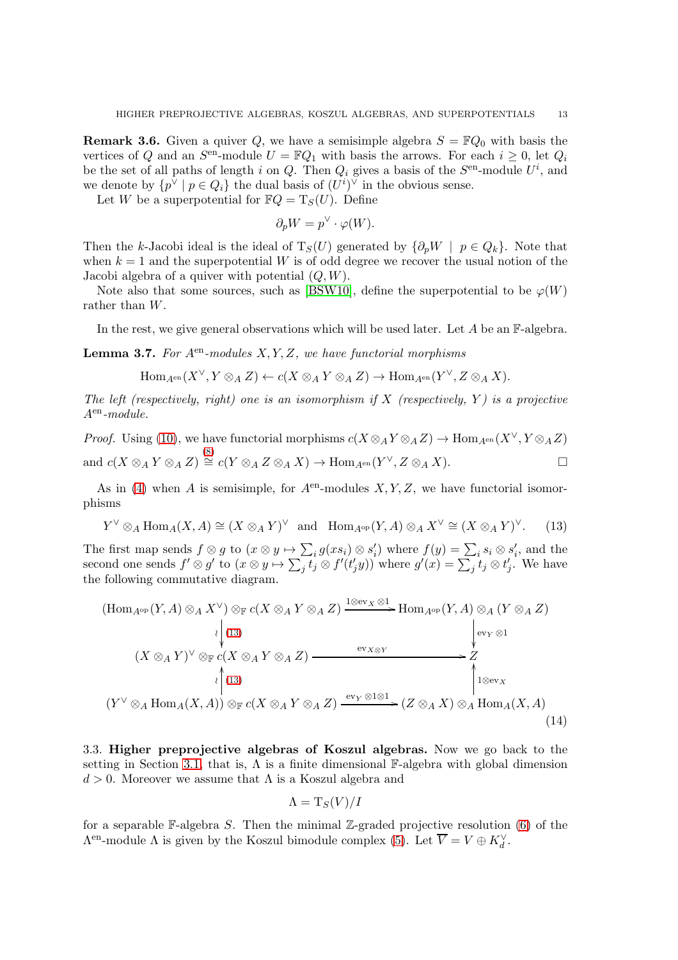**Remark 3.6.** Given a quiver Q, we have a semisimple algebra  $S = \mathbb{F}Q_0$  with basis the vertices of Q and an  $S^{\text{en}}$ -module  $U = \mathbb{F}Q_1$  with basis the arrows. For each  $i \geq 0$ , let  $Q_i$ be the set of all paths of length i on Q. Then  $Q_i$  gives a basis of the  $S<sup>en</sup>$ -module  $U<sup>i</sup>$ , and we denote by  $\{p^{\vee} \mid p \in Q_i\}$  the dual basis of  $(U^i)^{\vee}$  in the obvious sense.

Let W be a superpotential for  $\mathbb{F}Q = T_S(U)$ . Define

$$
\partial_p W = p^{\vee} \cdot \varphi(W).
$$

Then the k-Jacobi ideal is the ideal of  $T_S(U)$  generated by  $\{\partial_p W \mid p \in Q_k\}$ . Note that when  $k = 1$  and the superpotential W is of odd degree we recover the usual notion of the Jacobi algebra of a quiver with potential  $(Q, W)$ .

Note also that some sources, such as [\[BSW10\]](#page-33-12), define the superpotential to be  $\varphi(W)$ rather than W.

In the rest, we give general observations which will be used later. Let  $A$  be an  $\mathbb{F}\text{-algebra}$ .

<span id="page-12-2"></span>**Lemma 3.7.** For  $A^{en}$ -modules  $X, Y, Z$ , we have functorial morphisms

$$
\mathrm{Hom}_{A^\mathrm{en}}(X^\vee, Y \otimes_A Z) \leftarrow c(X \otimes_A Y \otimes_A Z) \rightarrow \mathrm{Hom}_{A^\mathrm{en}}(Y^\vee, Z \otimes_A X).
$$

The left (respectively, right) one is an isomorphism if X (respectively, Y) is a projective  $A<sup>en</sup>$ -module.

*Proof.* Using [\(10\)](#page-11-6), we have functorial morphisms  $c(X \otimes_A Y \otimes_A Z) \to \text{Hom}_{A^{\text{en}}}(X^{\vee}, Y \otimes_A Z)$ and  $c(X \otimes_A Y \otimes_A Z) \stackrel{(8)}{\cong} c(Y \otimes_A Z \otimes_A X) \to \text{Hom}_{A^{en}}(Y^{\vee}, Z \otimes_A X).$  $c(X \otimes_A Y \otimes_A Z) \stackrel{(8)}{\cong} c(Y \otimes_A Z \otimes_A X) \to \text{Hom}_{A^{en}}(Y^{\vee}, Z \otimes_A X).$  $c(X \otimes_A Y \otimes_A Z) \stackrel{(8)}{\cong} c(Y \otimes_A Z \otimes_A X) \to \text{Hom}_{A^{en}}(Y^{\vee}, Z \otimes_A X).$ 

As in [\(4\)](#page-4-0) when A is semisimple, for  $A<sup>en</sup>$ -modules  $X, Y, Z$ , we have functorial isomorphisms

<span id="page-12-1"></span>
$$
Y^{\vee} \otimes_A \text{Hom}_A(X, A) \cong (X \otimes_A Y)^{\vee} \text{ and } \text{Hom}_{A^{\text{op}}}(Y, A) \otimes_A X^{\vee} \cong (X \otimes_A Y)^{\vee}. \tag{13}
$$

The first map sends  $f \otimes g$  to  $(x \otimes y \mapsto \sum_i g(xs_i) \otimes s'_i)$  where  $f(y) = \sum_i s_i \otimes s'_i$ , and the second one sends  $f' \otimes g'$  to  $(x \otimes y \mapsto \sum_j t_j \otimes f'(t'_jy))$  where  $g'(x) = \sum_j t_j \otimes t'_j$ . We have the following commutative diagram.

<span id="page-12-3"></span>
$$
\begin{array}{c}\n\text{(Hom}_{A^{\mathrm{op}}}(Y, A) \otimes_A X^{\vee}) \otimes_{\mathbb{F}} c(X \otimes_A Y \otimes_A Z) \xrightarrow{\text{1} \otimes \mathrm{ev}_X \otimes 1} \text{Hom}_{A^{\mathrm{op}}}(Y, A) \otimes_A (Y \otimes_A Z) \\
\downarrow^{(13)} & \downarrow^{(13)} & \downarrow^{(13)} \\
(X \otimes_A Y)^{\vee} \otimes_{\mathbb{F}} c(X \otimes_A Y \otimes_A Z) \xrightarrow{\text{ev}_{X \otimes Y}} Z \\
\downarrow^{(13)} & \downarrow^{(13)} & \downarrow^{(13)} \\
(Y^{\vee} \otimes_A \text{Hom}_A(X, A)) \otimes_{\mathbb{F}} c(X \otimes_A Y \otimes_A Z) \xrightarrow{\text{ev}_Y \otimes 1 \otimes 1} (Z \otimes_A X) \otimes_A \text{Hom}_A(X, A) \\
\text{(14)}\n\end{array}
$$

<span id="page-12-0"></span>3.3. Higher preprojective algebras of Koszul algebras. Now we go back to the setting in Section [3.1,](#page-9-0) that is,  $\Lambda$  is a finite dimensional F-algebra with global dimension  $d > 0$ . Moreover we assume that  $\Lambda$  is a Koszul algebra and

$$
\Lambda = \mathrm{T}_S(V)/I
$$

for a separable  $\mathbb{F}\text{-algebra } S$ . Then the minimal Z-graded projective resolution [\(6\)](#page-9-2) of the  $\Lambda^{\text{en}}$ -module  $\Lambda$  is given by the Koszul bimodule complex [\(5\)](#page-7-0). Let  $\overline{V} = V \oplus K_d^{\vee}$ .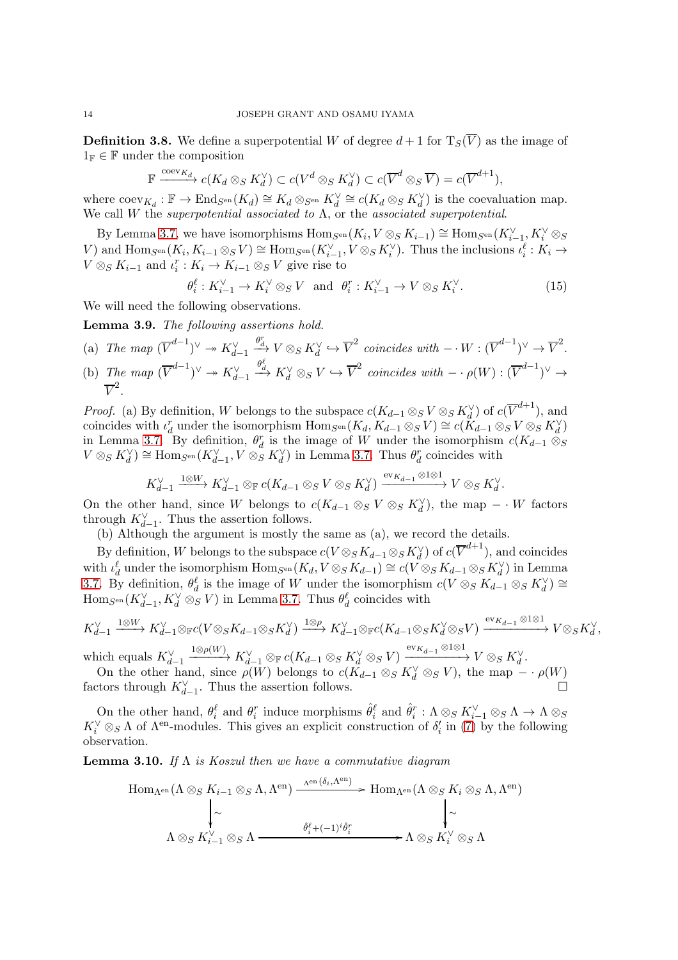**Definition 3.8.** We define a superpotential W of degree  $d+1$  for  $T_S(\overline{V})$  as the image of  $1_F \in \mathbb{F}$  under the composition

$$
\mathbb{F} \xrightarrow{\operatorname{coev}_{K_d}} c(K_d \otimes_S K_d^{\vee}) \subset c(V^d \otimes_S K_d^{\vee}) \subset c(\overline{V}^d \otimes_S \overline{V}) = c(\overline{V}^{d+1}),
$$

where  $\operatorname{coev}_{K_d}: \mathbb{F} \to \operatorname{End}_{S^{\rm en}}(K_d) \cong K_d \otimes_{S^{\rm en}} K_d^{\vee} \cong c(K_d \otimes_S K_d^{\vee})$  is the coevaluation map. We call W the superpotential associated to  $\Lambda$ , or the associated superpotential.

By Lemma [3.7,](#page-12-2) we have isomorphisms  $\text{Hom}_{S^{\text{en}}}(K_i, V \otimes_S K_{i-1}) \cong \text{Hom}_{S^{\text{en}}}(K_{i-1}^{\vee}, K_i^{\vee} \otimes_S K_{i-1})$ V) and  $\text{Hom}_{S^{\text{en}}}(K_i, K_{i-1} \otimes_S V) \cong \text{Hom}_{S^{\text{en}}}(K_{i-1}^{\vee}, V \otimes_S K_i^{\vee})$ . Thus the inclusions  $\iota_i^{\ell}: K_i \to$  $V \otimes_S K_{i-1}$  and  $\iota_i^r : K_i \to K_{i-1} \otimes_S V$  give rise to

<span id="page-13-2"></span>
$$
\theta_i^{\ell}: K_{i-1}^{\vee} \to K_i^{\vee} \otimes_S V \quad \text{and} \quad \theta_i^r: K_{i-1}^{\vee} \to V \otimes_S K_i^{\vee}.
$$
 (15)

We will need the following observations.

<span id="page-13-1"></span>Lemma 3.9. The following assertions hold.

(a) The map 
$$
(\overline{V}^{d-1})^{\vee} \twoheadrightarrow K_{d-1}^{\vee} \xrightarrow{\theta_{d}^{r}} V \otimes_{S} K_{d}^{\vee} \hookrightarrow \overline{V}^{2}
$$
 coincides with  $-\cdot W : (\overline{V}^{d-1})^{\vee} \rightarrow \overline{V}^{2}$ .  
\n(b) The mean  $(\overline{V}^{d-1})^{\vee} \twoheadrightarrow K^{\vee} \xrightarrow{\theta_{d}^{e}} K^{\vee} \otimes_{S} V \hookrightarrow \overline{V}^{2}$  coincides with  $-(W) : (\overline{V}^{d-1})^{\vee}$ .

(b) The map 
$$
(\overline{V}^{d-1})^{\vee} \to K_{d-1}^{\vee} \xrightarrow{\sigma_d} K_d^{\vee} \otimes_S V \hookrightarrow \overline{V}^2
$$
 coincides with  $-\cdot \rho(W) : (\overline{V}^{d-1})^{\vee} \to \overline{V}^2$ .

*Proof.* (a) By definition, W belongs to the subspace  $c(K_{d-1}\otimes_S V\otimes_S K_d^{\vee})$  of  $c(\overline{V}^{d+1})$ , and coincides with  $\iota_d^r$  under the isomorphism  $\text{Hom}_{S^{\text{en}}}(K_d, K_{d-1}\otimes_S V) \cong c(K_{d-1}\otimes_S V \otimes_S K_d^{\vee})$ in Lemma [3.7.](#page-12-2) By definition,  $\theta_d^r$  is the image of W under the isomorphism  $c(K_{d-1} \otimes_S$  $V \otimes_S K_d^{\vee}$   $\cong$  Hom<sub>S</sub><sup>en</sup>( $K_{d-1}^{\vee}$ ,  $V \otimes_S^{\alpha} K_d^{\vee}$ ) in Lemma [3.7.](#page-12-2) Thus  $\theta_d^r$  coincides with

$$
K_{d-1}^\vee\xrightarrow{1\otimes W}K_{d-1}^\vee\otimes_{\mathbb F}c(K_{d-1}\otimes_S V\otimes_S K_d^\vee)\xrightarrow{\operatorname{ev}_{K_{d-1}}\otimes 1\otimes 1}V\otimes_S K_d^\vee.
$$

On the other hand, since W belongs to  $c(K_{d-1}\otimes_S V\otimes_S K_d^{\vee})$ , the map  $-\cdot W$  factors through  $K_{d-1}^{\vee}$ . Thus the assertion follows.

(b) Although the argument is mostly the same as (a), we record the details.

By definition, W belongs to the subspace  $c(V \otimes_S K_{d-1} \otimes_S K_d^{\vee})$  of  $c(\overline{V}^{d+1})$ , and coincides with  $\iota_d^{\ell}$  under the isomorphism  $\text{Hom}_{S^{\text{en}}}(K_d, V \otimes_S K_{d-1}) \cong c(\tilde{V} \otimes_S K_{d-1} \otimes_S K_d^{\vee})$  in Lemma [3.7.](#page-12-2) By definition,  $\theta_d^{\ell}$  is the image of W under the isomorphism  $c(V \otimes_S K_{d-1} \otimes_S K_d^{\vee}) \cong$  $\text{Hom}_{S^{\text{en}}}(K_{d-1}^{\vee}, K_d^{\vee} \otimes_S V)$  in Lemma [3.7.](#page-12-2) Thus  $\theta_d^{\ell}$  coincides with

$$
K_{d-1}^{\vee} \xrightarrow{1 \otimes W} K_{d-1}^{\vee} \otimes_{\mathbb{F}} c(V \otimes_{S} K_{d-1} \otimes_{S} K_{d}^{\vee}) \xrightarrow{1 \otimes \rho} K_{d-1}^{\vee} \otimes_{\mathbb{F}} c(K_{d-1} \otimes_{S} K_{d}^{\vee} \otimes_{S} V) \xrightarrow{\text{ev}_{K_{d-1}} \otimes 1 \otimes 1} V \otimes_{S} K_{d}^{\vee},
$$

which equals  $K_{d-1}^{\vee}$  $\xrightarrow[]{1\otimes\rho(W)} K_{d-1}^\vee \otimes_{\mathbb F} c(K_{d-1}\otimes_S K_d^\vee \otimes_S V) \xrightarrow[]{\mathrm{ev}_{K_{d-1}}\otimes 1\otimes 1} V\otimes_S K_d^\vee.$ On the other hand, since  $\rho(W)$  belongs to  $c(K_{d-1} \otimes_S K_d^{\vee} \otimes_S V)$ , the map  $-\cdot \rho(W)$ 

factors through  $K_{d-1}^{\vee}$ . Thus the assertion follows.

On the other hand,  $\theta_i^{\ell}$  and  $\theta_i^r$  induce morphisms  $\hat{\theta}_i^{\ell}$  and  $\hat{\theta}_i^r : \Lambda \otimes_S K_{i-1}^{\vee} \otimes_S \Lambda \to \Lambda \otimes_S$  $K_i^{\vee} \otimes_S \Lambda$  of  $\Lambda^{en}$ -modules. This gives an explicit construction of  $\delta_i'$  in [\(7\)](#page-9-1) by the following observation.

<span id="page-13-0"></span>**Lemma 3.10.** If  $\Lambda$  is Koszul then we have a commutative diagram

$$
\text{Hom}_{\Lambda^{\text{en}}}(\Lambda \otimes_{S} K_{i-1} \otimes_{S} \Lambda, \Lambda^{\text{en}}) \xrightarrow{\Lambda^{\text{en}}(\delta_{i}, \Lambda^{\text{en}})} \text{Hom}_{\Lambda^{\text{en}}}(\Lambda \otimes_{S} K_{i} \otimes_{S} \Lambda, \Lambda^{\text{en}})
$$
\n
$$
\downarrow \sim \qquad \qquad \downarrow \sim
$$
\n
$$
\Lambda \otimes_{S} K_{i-1}^{\vee} \otimes_{S} \Lambda \xrightarrow{\hat{\theta}_{i}^{\ell} + (-1)^{i} \hat{\theta}_{i}^{r}} \Lambda \otimes_{S} K_{i}^{\vee} \otimes_{S} \Lambda
$$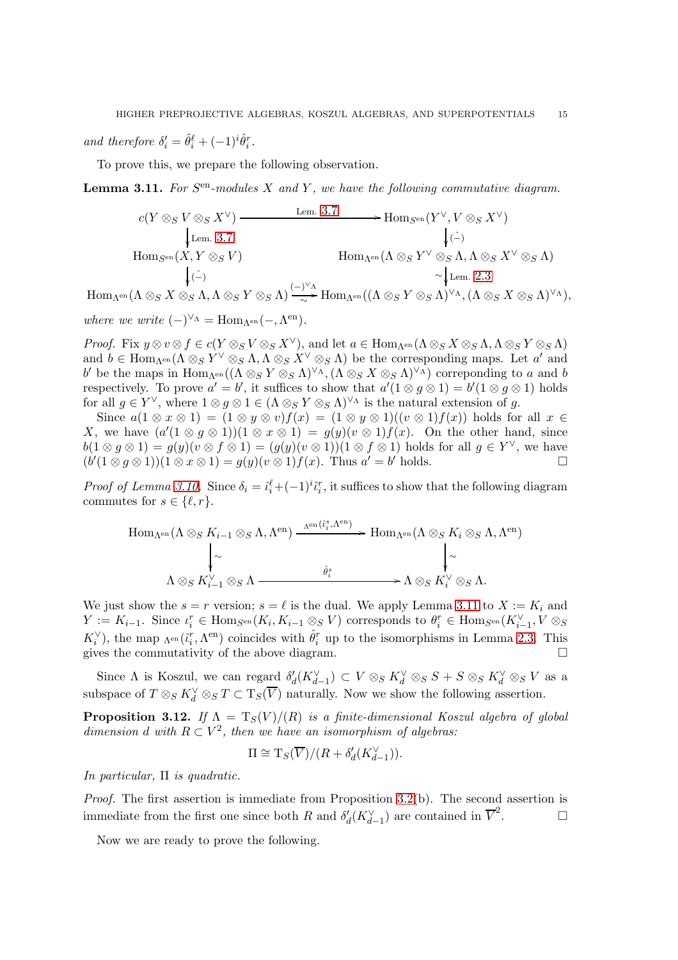and therefore  $\delta_i' = \hat{\theta}_i^{\ell} + (-1)^i \hat{\theta}_i^r$ .

To prove this, we prepare the following observation.

<span id="page-14-0"></span>**Lemma 3.11.** For  $S^{en}$ -modules  $X$  and  $Y$ , we have the following commutative diagram.

$$
c(Y \otimes_S V \otimes_S X^{\vee}) \xrightarrow{\text{ Lem. 3.7}} \text{Hom}_{S^{en}}(Y^{\vee}, V \otimes_S X^{\vee})
$$
  
\n
$$
\downarrow \text{ Lem. 3.7}
$$
  
\n
$$
\downarrow \text{Com}_{S^{en}}(X, Y \otimes_S V)
$$
  
\n
$$
\downarrow \text{Com}_{\Lambda^{en}}(\Lambda \otimes_S Y^{\vee} \otimes_S \Lambda, \Lambda \otimes_S X^{\vee} \otimes_S \Lambda)
$$
  
\n
$$
\downarrow \text{Com}_{\Lambda^{en}}(X, Y \otimes_S V)
$$
  
\n
$$
\downarrow \text{Com}_{\Lambda^{en}}(X, Y \otimes_S \Lambda)
$$
  
\n
$$
\downarrow \text{Com}_{\Lambda^{en}}(X, Y \otimes_S \Lambda, \Lambda \otimes_S X^{\vee} \otimes_S \Lambda)
$$

 $\operatorname{Hom}\nolimits_{\Lambda^{\operatorname{en}}}\nolimits(\Lambda \otimes_S X \otimes_S \Lambda, \Lambda \otimes_S Y \otimes_S \Lambda) \xrightarrow[\sim]{(-)^{\vee} \Lambda} \operatorname{Hom}\nolimits_{\Lambda^{\operatorname{en}}}\nolimits((\Lambda \otimes_S Y \otimes_S \Lambda)^{\vee_{\Lambda}}, (\Lambda \otimes_S X \otimes_S \Lambda)^{\vee_{\Lambda}}),$  $\frac{1}{\sim}$ → 1 where we write  $(-)^{\vee_{\Lambda}} = \text{Hom}_{\Lambda^{\text{en}}}(-, \Lambda^{\text{en}})$ .

*Proof.* Fix  $y \otimes v \otimes f \in c(Y \otimes_S V \otimes_S X^{\vee})$ , and let  $a \in \text{Hom}_{\Lambda^{\text{en}}}(\Lambda \otimes_S X \otimes_S \Lambda, \Lambda \otimes_S Y \otimes_S \Lambda)$ and  $b \in \text{Hom}_{\Lambda^{\text{en}}}(\Lambda \otimes_S Y^{\vee} \otimes_S \Lambda, \Lambda \otimes_S X^{\vee} \otimes_S \Lambda)$  be the corresponding maps. Let  $a'$  and b' be the maps in Hom<sub>Λ</sub><sub>en</sub>(( $Λ ⊗_S Y ⊗_S Λ$ )<sup>∨</sup>Δ, ( $Λ ⊗_S X ⊗_S Λ$ )<sup>∨</sup>Δ) correponding to a and b respectively. To prove  $a' = b'$ , it suffices to show that  $a'(1 \otimes g \otimes 1) = b'(1 \otimes g \otimes 1)$  holds for all  $g \in Y^{\vee}$ , where  $1 \otimes g \otimes 1 \in (\Lambda \otimes_S Y \otimes_S \Lambda)^{\vee_{\Lambda}}$  is the natural extension of g.

Since  $a(1 \otimes x \otimes 1) = (1 \otimes y \otimes v)f(x) = (1 \otimes y \otimes 1)((v \otimes 1)f(x))$  holds for all  $x \in$ X, we have  $(a'(1 \otimes g \otimes 1))(1 \otimes x \otimes 1) = g(y)(v \otimes 1)f(x)$ . On the other hand, since  $b(1 \otimes g \otimes 1) = g(y)(v \otimes f \otimes 1) = (g(y)(v \otimes 1))(1 \otimes f \otimes 1)$  holds for all  $g \in Y^{\vee}$ , we have  $(b'(1 \otimes g \otimes 1))(1 \otimes x \otimes 1) = g(y)(v \otimes 1)f(x)$ . Thus  $a' = b'$  holds.

*Proof of Lemma [3.10.](#page-13-0)* Since  $\delta_i = \hat{i}_i^{\ell} + (-1)^i \hat{i}_i^r$ , it suffices to show that the following diagram commutes for  $s \in \{\ell, r\}.$ 

$$
\text{Hom}_{\Lambda^{\text{en}}}(\Lambda \otimes_{S} K_{i-1} \otimes_{S} \Lambda, \Lambda^{\text{en}}) \xrightarrow{\Lambda^{\text{en}}(\hat{\iota}_{i}^{s}, \Lambda^{\text{en}})} \text{Hom}_{\Lambda^{\text{en}}}(\Lambda \otimes_{S} K_{i} \otimes_{S} \Lambda, \Lambda^{\text{en}})
$$
\n
$$
\downarrow \sim \qquad \qquad \downarrow \sim
$$
\n
$$
\Lambda \otimes_{S} K_{i-1}^{\vee} \otimes_{S} \Lambda \xrightarrow{\qquad \qquad \hat{\theta}_{i}^{s}} \qquad \qquad \Lambda \otimes_{S} K_{i}^{\vee} \otimes_{S} \Lambda.
$$

We just show the  $s = r$  version;  $s = \ell$  is the dual. We apply Lemma [3.11](#page-14-0) to  $X := K_i$  and  $Y := K_{i-1}$ . Since  $\iota_i^r \in \text{Hom}_{S^{\text{en}}}(K_i, K_{i-1} \otimes_S V)$  corresponds to  $\theta_i^r \in \text{Hom}_{S^{\text{en}}}(K_{i-1}^{\vee}, V \otimes_S V)$  $K_i^{\vee}$ , the map  $_{\Lambda^{en}}(\tilde{i}_i^r, \Lambda^{en})$  coincides with  $\hat{\theta}_i^r$  up to the isomorphisms in Lemma [2.3.](#page-4-3) This gives the commutativity of the above diagram.

Since  $\Lambda$  is Koszul, we can regard  $\delta'_d(K_{d-1}^{\vee}) \subset V \otimes_S K_d^{\vee} \otimes_S S + S \otimes_S K_d^{\vee} \otimes_S V$  as a subspace of  $T \otimes_S K_d^{\vee} \otimes_S T \subset T_S(\overline{V})$  naturally. Now we show the following assertion.

<span id="page-14-1"></span>**Proposition 3.12.** If  $\Lambda = T_S(V)/(R)$  is a finite-dimensional Koszul algebra of global dimension d with  $R \subset V^2$ , then we have an isomorphism of algebras:

$$
\Pi\cong \mathrm{T}_S(\overline{V})/(R+\delta'_d(K_{d-1}^\vee)).
$$

In particular,  $\Pi$  is quadratic.

Proof. The first assertion is immediate from Proposition [3.2\(](#page-9-4)b). The second assertion is immediate from the first one since both R and  $\delta_d'(K_{d-1}^{\vee})$  are contained in  $\overline{V}^2$  $\Box$ 

Now we are ready to prove the following.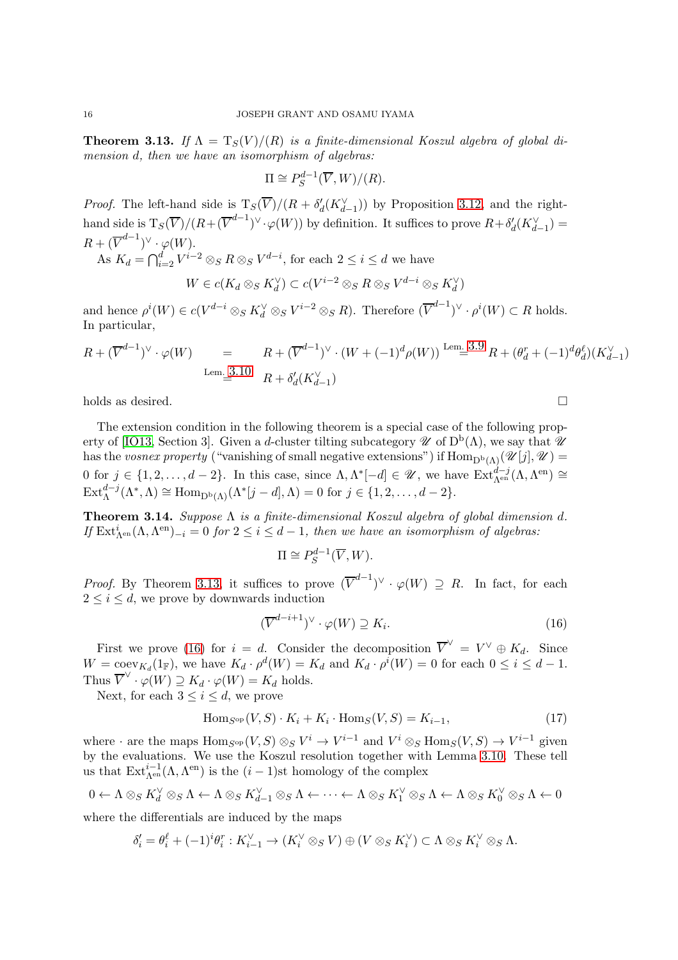<span id="page-15-0"></span>**Theorem 3.13.** If  $\Lambda = T_S(V)/(R)$  is a finite-dimensional Koszul algebra of global dimension d, then we have an isomorphism of algebras:

$$
\Pi \cong P_S^{d-1}(\overline{V}, W)/(R).
$$

*Proof.* The left-hand side is  $T_S(\overline{V})/(R + \delta_d'(K_{d-1}^{\vee}))$  by Proposition [3.12,](#page-14-1) and the righthand side is  $T_S(\overline{V})/(R+(\overline{V}^{d-1})^{\vee} \cdot \varphi(W))$  by definition. It suffices to prove  $R+\delta_d'(K_{d-1}^{\vee})=$  $R + (\overline{V}^{d-1})^{\vee} \cdot \varphi(W).$ As  $K_d = \bigcap_{i=2}^d V^{i-2} \otimes_S R \otimes_S V^{d-i}$ , for each  $2 \leq i \leq d$  we have  $W \in c(K_d \otimes_S K_d^{\vee}) \subset c(V^{i-2} \otimes_S R \otimes_S V^{d-i} \otimes_S K_d^{\vee})$ 

and hence  $\rho^i(W) \in c(V^{d-i} \otimes_S K_d^{\vee} \otimes_S V^{i-2} \otimes_S R)$ . Therefore  $(\overline{V}^{d-1})^{\vee} \cdot \rho^i(W) \subset R$  holds. In particular,

$$
R + (\overline{V}^{d-1})^{\vee} \cdot \varphi(W) = R + (\overline{V}^{d-1})^{\vee} \cdot (W + (-1)^{d} \rho(W)) \stackrel{\text{Lem. 3.9}}{=} R + (\theta_{d}^{r} + (-1)^{d} \theta_{d}^{\ell})(K_{d-1}^{\vee})
$$
  
\n
$$
\lim_{m \to \infty} \frac{3.10}{m} R + \delta_{d}^{\prime}(K_{d-1}^{\vee})
$$

holds as desired.

The extension condition in the following theorem is a special case of the following prop-erty of [\[IO13,](#page-34-9) Section 3]. Given a d-cluster tilting subcategory  $\mathscr U$  of  $D^b(\Lambda)$ , we say that  $\mathscr U$ has the vosnex property ("vanishing of small negative extensions") if  $\text{Hom}_{D^b(\Lambda)}(\mathscr{U}[j], \mathscr{U}) =$ 0 for  $j \in \{1, 2, ..., d-2\}$ . In this case, since  $\Lambda, \Lambda^*[-d] \in \mathscr{U}$ , we have  $\text{Ext}_{\Lambda^{\text{en}}}^{d-j}(\Lambda, \Lambda^{\text{en}}) \cong$  $\text{Ext}_{\Lambda}^{d-j}(\Lambda^*, \Lambda) \cong \text{Hom}_{\mathbf{D}^{\mathrm{b}}(\Lambda)}(\Lambda^*[j-d], \Lambda) = 0 \text{ for } j \in \{1, 2, \ldots, d-2\}.$ 

<span id="page-15-1"></span>**Theorem 3.14.** Suppose  $\Lambda$  is a finite-dimensional Koszul algebra of global dimension d. If  $\mathrm{Ext}^i_{\Lambda^{en}}(\Lambda, \Lambda^{en})_{-i} = 0$  for  $2 \leq i \leq d-1$ , then we have an isomorphism of algebras:

$$
\Pi \cong P_S^{d-1}(\overline{V}, W).
$$

*Proof.* By Theorem [3.13,](#page-15-0) it suffices to prove  $(\overline{V}^{d-1})^{\vee} \cdot \varphi(W) \supseteq R$ . In fact, for each  $2 \leq i \leq d$ , we prove by downwards induction

<span id="page-15-2"></span>
$$
(\overline{V}^{d-i+1})^{\vee} \cdot \varphi(W) \supseteq K_i. \tag{16}
$$

First we prove [\(16\)](#page-15-2) for  $i = d$ . Consider the decomposition  $\overline{V}^{\vee} = V^{\vee} \oplus K_d$ . Since  $W = \text{coev}_{K_d}(1_F)$ , we have  $K_d \cdot \rho^d(W) = K_d$  and  $K_d \cdot \rho^i(W) = 0$  for each  $0 \le i \le d - 1$ . Thus  $\overline{V}^{\vee} \cdot \varphi(W) \supseteq K_d \cdot \varphi(W) = K_d$  holds.

Next, for each  $3 \leq i \leq d$ , we prove

<span id="page-15-3"></span>
$$
\text{Hom}_{S^{\text{op}}}(V, S) \cdot K_i + K_i \cdot \text{Hom}_S(V, S) = K_{i-1},\tag{17}
$$

where  $\cdot$  are the maps  $\text{Hom}_{S^{\text{op}}}(V, S) \otimes_S V^i \to V^{i-1}$  and  $V^i \otimes_S \text{Hom}_S(V, S) \to V^{i-1}$  given by the evaluations. We use the Koszul resolution together with Lemma [3.10.](#page-13-0) These tell us that  $\text{Ext}_{\Lambda^{\text{en}}}^{i-1}(\Lambda, \Lambda^{\text{en}})$  is the  $(i-1)$ st homology of the complex

$$
0 \leftarrow \Lambda \otimes_{S} K_{d}^{\vee} \otimes_{S} \Lambda \leftarrow \Lambda \otimes_{S} K_{d-1}^{\vee} \otimes_{S} \Lambda \leftarrow \cdots \leftarrow \Lambda \otimes_{S} K_{1}^{\vee} \otimes_{S} \Lambda \leftarrow \Lambda \otimes_{S} K_{0}^{\vee} \otimes_{S} \Lambda \leftarrow 0
$$

where the differentials are induced by the maps

$$
\delta_i' = \theta_i^{\ell} + (-1)^i \theta_i^r : K_{i-1}^{\vee} \to (K_i^{\vee} \otimes_S V) \oplus (V \otimes_S K_i^{\vee}) \subset \Lambda \otimes_S K_i^{\vee} \otimes_S \Lambda.
$$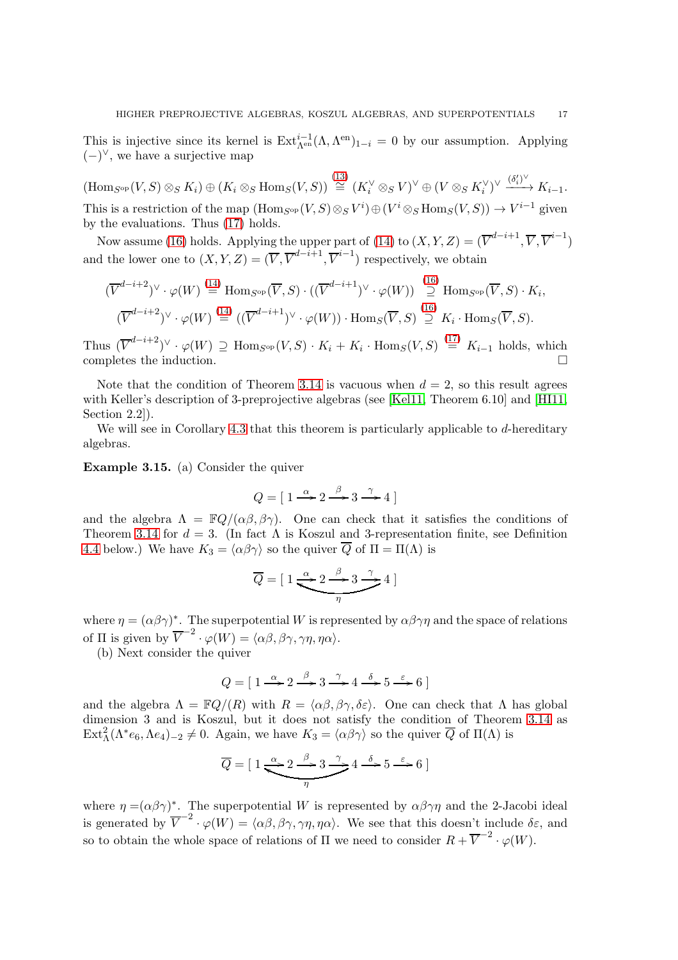This is injective since its kernel is  $Ext_{\Lambda^{en}}^{i-1}(\Lambda, \Lambda^{en})_{1-i} = 0$  by our assumption. Applying  $(-)^\vee$ , we have a surjective map

 $(\mathrm{Hom}_{S^{\mathrm{op}}}(V, S) \otimes_S K_i) \oplus (K_i \otimes_S \mathrm{Hom}_S(V, S)) \stackrel{(13)}{\cong} (K_i^{\vee} \otimes_S V)^{\vee} \oplus (V \otimes_S K_i^{\vee})^{\vee} \xrightarrow{(\delta_i')^{\vee}} K_{i-1}.$  $(\mathrm{Hom}_{S^{\mathrm{op}}}(V, S) \otimes_S K_i) \oplus (K_i \otimes_S \mathrm{Hom}_S(V, S)) \stackrel{(13)}{\cong} (K_i^{\vee} \otimes_S V)^{\vee} \oplus (V \otimes_S K_i^{\vee})^{\vee} \xrightarrow{(\delta_i')^{\vee}} K_{i-1}.$  $(\mathrm{Hom}_{S^{\mathrm{op}}}(V, S) \otimes_S K_i) \oplus (K_i \otimes_S \mathrm{Hom}_S(V, S)) \stackrel{(13)}{\cong} (K_i^{\vee} \otimes_S V)^{\vee} \oplus (V \otimes_S K_i^{\vee})^{\vee} \xrightarrow{(\delta_i')^{\vee}} K_{i-1}.$ This is a restriction of the map  $(\text{Hom}_{S^{\text{op}}}(V, S) \otimes_S V^i) \oplus (V^i \otimes_S \text{Hom}_S(V, S)) \to V^{i-1}$  given by the evaluations. Thus [\(17\)](#page-15-3) holds.

Now assume [\(16\)](#page-15-2) holds. Applying the upper part of [\(14\)](#page-12-3) to  $(X, Y, Z) = (\overline{V}^{d-i+1}, \overline{V}, \overline{V}^{i-1})$ and the lower one to  $(X, Y, Z) = (\overline{V}, \overline{V}^{d-i+1}, \overline{V}^{i-1})$  respectively, we obtain

$$
(\overline{V}^{d-i+2})^{\vee} \cdot \varphi(W) \stackrel{(14)}{=} \text{Hom}_{S^{\text{op}}}(\overline{V}, S) \cdot ((\overline{V}^{d-i+1})^{\vee} \cdot \varphi(W)) \stackrel{(16)}{=} \text{Hom}_{S^{\text{op}}}(\overline{V}, S) \cdot K_i,
$$

$$
(\overline{V}^{d-i+2})^{\vee} \cdot \varphi(W) \stackrel{(14)}{=} ((\overline{V}^{d-i+1})^{\vee} \cdot \varphi(W)) \cdot \text{Hom}_{S}(\overline{V}, S) \stackrel{(16)}{=} K_i \cdot \text{Hom}_{S}(\overline{V}, S).
$$

Thus  $(\overline{V}^{d-i+2})^{\vee} \cdot \varphi(W) \supseteq \text{Hom}_{S^{\text{op}}}(V, S) \cdot K_i + K_i \cdot \text{Hom}_S(V, S) \stackrel{(17)}{=} K_{i-1}$  $(\overline{V}^{d-i+2})^{\vee} \cdot \varphi(W) \supseteq \text{Hom}_{S^{\text{op}}}(V, S) \cdot K_i + K_i \cdot \text{Hom}_S(V, S) \stackrel{(17)}{=} K_{i-1}$  $(\overline{V}^{d-i+2})^{\vee} \cdot \varphi(W) \supseteq \text{Hom}_{S^{\text{op}}}(V, S) \cdot K_i + K_i \cdot \text{Hom}_S(V, S) \stackrel{(17)}{=} K_{i-1}$  holds, which completes the induction.

Note that the condition of Theorem [3.14](#page-15-1) is vacuous when  $d = 2$ , so this result agrees with Keller's description of 3-preprojective algebras (see [\[Kel11,](#page-34-5) Theorem 6.10] and [\[HI11,](#page-34-7) Section 2.2]).

We will see in Corollary [4.3](#page-18-0) that this theorem is particularly applicable to  $d$ -hereditary algebras.

Example 3.15. (a) Consider the quiver

$$
Q = [1 \xrightarrow{\alpha} 2 \xrightarrow{\beta} 3 \xrightarrow{\gamma} 4]
$$

and the algebra  $\Lambda = \mathbb{F}Q/(\alpha\beta, \beta\gamma)$ . One can check that it satisfies the conditions of Theorem [3.14](#page-15-1) for  $d = 3$ . (In fact  $\Lambda$  is Koszul and 3-representation finite, see Definition [4.4](#page-18-1) below.) We have  $K_3 = \langle \alpha \beta \gamma \rangle$  so the quiver  $\overline{Q}$  of  $\Pi = \Pi(\Lambda)$  is

$$
\overline{Q} = [1 \underbrace{\xrightarrow{\alpha} 2 \xrightarrow{\beta} 3 \xrightarrow{\gamma}} 4]
$$

where  $\eta = (\alpha \beta \gamma)^*$ . The superpotential W is represented by  $\alpha \beta \gamma \eta$  and the space of relations of  $\Pi$  is given by  $\overline{V}^{-2} \cdot \varphi(W) = \langle \alpha \beta, \beta \gamma, \gamma \eta, \eta \alpha \rangle$ .

(b) Next consider the quiver

$$
Q = [1 \xrightarrow{\alpha} 2 \xrightarrow{\beta} 3 \xrightarrow{\gamma} 4 \xrightarrow{\delta} 5 \xrightarrow{\varepsilon} 6]
$$

and the algebra  $\Lambda = \mathbb{F}Q/(R)$  with  $R = \langle \alpha \beta, \beta \gamma, \delta \varepsilon \rangle$ . One can check that  $\Lambda$  has global dimension 3 and is Koszul, but it does not satisfy the condition of Theorem [3.14](#page-15-1) as  $\text{Ext}^2_{\Lambda}(\Lambda^* e_6, \Lambda e_4)_{-2} \neq 0$ . Again, we have  $K_3 = \langle \alpha \beta \gamma \rangle$  so the quiver  $\overline{Q}$  of  $\Pi(\Lambda)$  is

$$
\overline{Q} = [1 \xrightarrow{\alpha} 2 \xrightarrow{\beta} 3 \xrightarrow{\gamma} 4 \xrightarrow{\delta} 5 \xrightarrow{\varepsilon} 6]
$$

where  $\eta = (\alpha \beta \gamma)^*$ . The superpotential W is represented by  $\alpha \beta \gamma \eta$  and the 2-Jacobi ideal is generated by  $\overline{V}^{-2} \cdot \varphi(W) = \langle \alpha \beta, \beta \gamma, \gamma \eta, \eta \alpha \rangle$ . We see that this doesn't include  $\delta \varepsilon$ , and so to obtain the whole space of relations of  $\Pi$  we need to consider  $R + \overline{V}^{-2} \cdot \varphi(W)$ .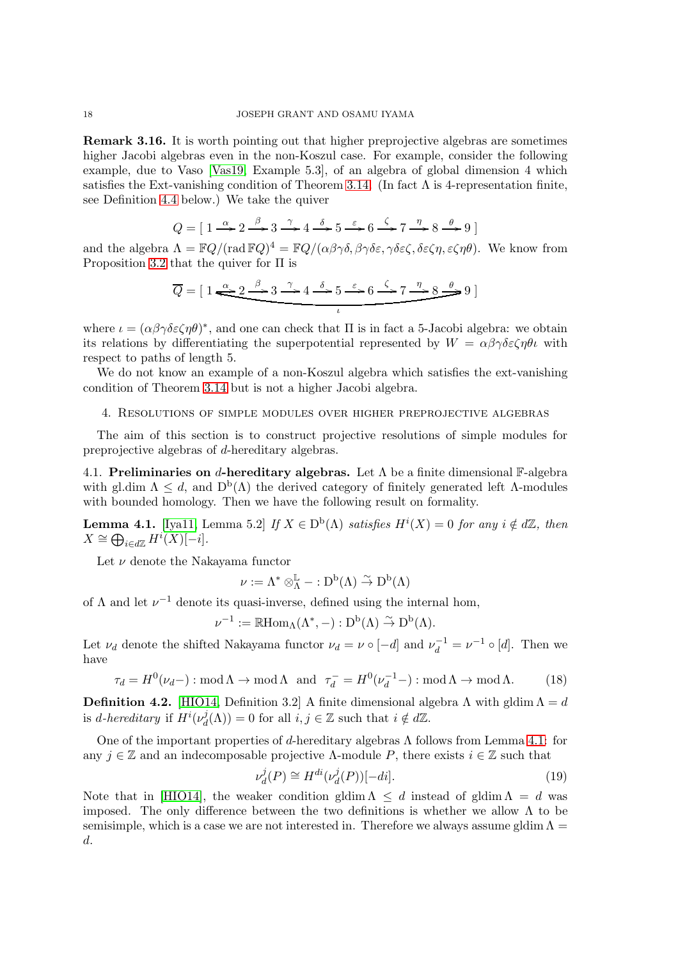Remark 3.16. It is worth pointing out that higher preprojective algebras are sometimes higher Jacobi algebras even in the non-Koszul case. For example, consider the following example, due to Vaso [\[Vas19,](#page-35-12) Example 5.3], of an algebra of global dimension 4 which satisfies the Ext-vanishing condition of Theorem [3.14.](#page-15-1) (In fact  $\Lambda$  is 4-representation finite, see Definition [4.4](#page-18-1) below.) We take the quiver

$$
Q = [1 \xrightarrow{\alpha} 2 \xrightarrow{\beta} 3 \xrightarrow{\gamma} 4 \xrightarrow{\delta} 5 \xrightarrow{\varepsilon} 6 \xrightarrow{\zeta} 7 \xrightarrow{\eta} 8 \xrightarrow{\theta} 9]
$$

and the algebra  $\Lambda = \mathbb{F}Q/(\text{rad }\mathbb{F}Q)^4 = \mathbb{F}Q/(\alpha\beta\gamma\delta, \beta\gamma\delta\varepsilon, \gamma\delta\varepsilon\zeta, \delta\varepsilon\zeta\eta, \varepsilon\zeta\eta\theta)$ . We know from Proposition [3.2](#page-9-4) that the quiver for Π is

$$
\overline{Q} = [1 \xrightarrow{\alpha} 2 \xrightarrow{\beta} 3 \xrightarrow{\gamma} 4 \xrightarrow{\delta} 5 \xrightarrow{\varepsilon} 6 \xrightarrow{\zeta} 7 \xrightarrow{\eta} 8 \xrightarrow{\theta} 9]
$$

where  $\iota = (\alpha \beta \gamma \delta \varepsilon \zeta \eta \theta)^*$ , and one can check that  $\Pi$  is in fact a 5-Jacobi algebra: we obtain its relations by differentiating the superpotential represented by  $W = \alpha \beta \gamma \delta \epsilon \zeta \eta \theta \iota$  with respect to paths of length 5.

We do not know an example of a non-Koszul algebra which satisfies the ext-vanishing condition of Theorem [3.14](#page-15-1) but is not a higher Jacobi algebra.

## 4. Resolutions of simple modules over higher preprojective algebras

The aim of this section is to construct projective resolutions of simple modules for preprojective algebras of d-hereditary algebras.

4.1. Preliminaries on d-hereditary algebras. Let  $\Lambda$  be a finite dimensional F-algebra with gl.dim  $\Lambda \leq d$ , and  $D^b(\Lambda)$  the derived category of finitely generated left  $\Lambda$ -modules with bounded homology. Then we have the following result on formality.

<span id="page-17-0"></span>**Lemma 4.1.** [\[Iya11,](#page-34-21) Lemma 5.2] If  $X \in D^b(\Lambda)$  satisfies  $H^i(X) = 0$  for any  $i \notin d\mathbb{Z}$ , then  $X \cong \bigoplus_{i \in d\mathbb{Z}} H^i(X)[-i].$ 

Let  $\nu$  denote the Nakayama functor

$$
\nu:=\Lambda^*\otimes^{\mathbb{L}}_{\Lambda}-:D^b(\Lambda)\stackrel{\sim}{\to}D^b(\Lambda)
$$

of  $\Lambda$  and let  $\nu^{-1}$  denote its quasi-inverse, defined using the internal hom,

$$
\nu^{-1}:=\mathbb{R}\mathrm{Hom}_{\Lambda}(\Lambda^{\ast},-):D^b(\Lambda)\stackrel{\sim}{\rightarrow}D^b(\Lambda).
$$

Let  $\nu_d$  denote the shifted Nakayama functor  $\nu_d = \nu \circ [-d]$  and  $\nu_d^{-1} = \nu^{-1} \circ [d]$ . Then we have

$$
\tau_d = H^0(\nu_d -) : \text{mod} \,\Lambda \to \text{mod} \,\Lambda \quad \text{and} \quad \tau_d^- = H^0(\nu_d^{-1} -) : \text{mod} \,\Lambda \to \text{mod} \,\Lambda. \tag{18}
$$

**Definition 4.2.** [\[HIO14,](#page-34-10) Definition 3.2] A finite dimensional algebra  $\Lambda$  with gldim  $\Lambda = d$ is d-hereditary if  $H^i(\nu_d^j)$  $d_d^J(\Lambda) = 0$  for all  $i, j \in \mathbb{Z}$  such that  $i \notin d\mathbb{Z}$ .

One of the important properties of d-hereditary algebras  $\Lambda$  follows from Lemma [4.1:](#page-17-0) for any  $j \in \mathbb{Z}$  and an indecomposable projective  $\Lambda$ -module P, there exists  $i \in \mathbb{Z}$  such that

$$
\nu_d^j(P) \cong H^{di}(\nu_d^j(P))[-di].\tag{19}
$$

Note that in [\[HIO14\]](#page-34-10), the weaker condition gldim  $\Lambda \leq d$  instead of gldim  $\Lambda = d$  was imposed. The only difference between the two definitions is whether we allow  $\Lambda$  to be semisimple, which is a case we are not interested in. Therefore we always assume gldim  $\Lambda =$ d.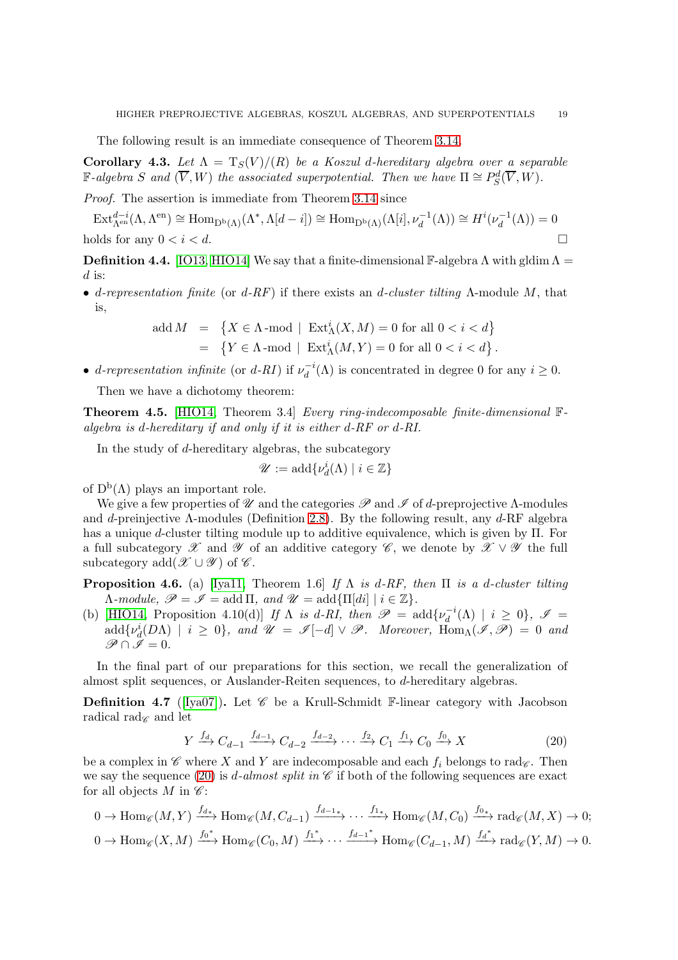The following result is an immediate consequence of Theorem [3.14.](#page-15-1)

<span id="page-18-0"></span>**Corollary 4.3.** Let  $\Lambda = T_S(V)/(R)$  be a Koszul d-hereditary algebra over a separable  $\mathbb{F}\text{-}algebra\ S\ and\ (\overline{V},W)\ the\ associated\ superpotential. Then we have 
$$
\Pi\cong P^d_S(\overline{V},W).
$$$ 

Proof. The assertion is immediate from Theorem [3.14](#page-15-1) since

 $\mathrm{Ext}_{\Lambda^{\mathrm{en}}}^{d-i}(\Lambda, \Lambda^{\mathrm{en}}) \cong \mathrm{Hom}_{\mathrm{D^b}(\Lambda)}(\Lambda^*, \Lambda[d-i]) \cong \mathrm{Hom}_{\mathrm{D^b}(\Lambda)}(\Lambda[i], \nu_d^{-1}(\Lambda)) \cong H^i(\nu_d^{-1})$  $\overline{d}^{-1}(\Lambda)) = 0$ holds for any  $0 < i < d$ .

<span id="page-18-1"></span>**Definition 4.4.** [\[IO13,](#page-34-9) [HIO14\]](#page-34-10) We say that a finite-dimensional F-algebra  $\Lambda$  with gldim  $\Lambda$  =  $d$  is:

• d-representation finite (or d-RF) if there exists an d-cluster tilting  $\Lambda$ -module M, that is,

$$
\begin{array}{lcl} \mathrm{add}\, M & = & \left\{X \in \Lambda \operatorname{-mod} \ | \ \mathrm{Ext}^i_{\Lambda}(X,M) = 0 \ \mathrm{for} \ \mathrm{all} \ 0 < i < d \right\} \\ & = & \left\{Y \in \Lambda \operatorname{-mod} \ | \ \mathrm{Ext}^i_{\Lambda}(M,Y) = 0 \ \mathrm{for} \ \mathrm{all} \ 0 < i < d \right\}. \end{array}
$$

• d-representation infinite (or d-RI) if  $\nu_d^{-1}$  $d_d^{-i}(\Lambda)$  is concentrated in degree 0 for any  $i \geq 0$ .

Then we have a dichotomy theorem:

**Theorem 4.5.** [\[HIO14,](#page-34-10) Theorem 3.4] Every ring-indecomposable finite-dimensional  $\mathbb{F}$ algebra is d-hereditary if and only if it is either d-RF or d-RI.

In the study of d-hereditary algebras, the subcategory

$$
\mathscr{U}:=\mathrm{add}\{\nu_d^i(\Lambda)\mid i\in\mathbb{Z}\}
$$

of  $D^b(\Lambda)$  plays an important role.

We give a few properties of  $\mathscr U$  and the categories  $\mathscr P$  and  $\mathscr I$  of d-preprojective  $\Lambda$ -modules and d-preinjective  $\Lambda$ -modules (Definition [2.8\)](#page-8-1). By the following result, any  $d$ -RF algebra has a unique d-cluster tilting module up to additive equivalence, which is given by Π. For a full subcategory X and Y of an additive category  $\mathscr{C}$ , we denote by  $\mathscr{X} \vee \mathscr{Y}$  the full subcategory add $(\mathscr{X} \cup \mathscr{Y})$  of  $\mathscr{C}$ .

**Proposition 4.6.** (a) [\[Iya11,](#page-34-21) Theorem 1.6] If  $\Lambda$  is d-RF, then  $\Pi$  is a d-cluster tilting  $\Lambda$ -module,  $\mathscr{P} = \mathscr{I} = \text{add } \Pi$ , and  $\mathscr{U} = \text{add } \{\Pi[\text{di}] \mid i \in \mathbb{Z}\}.$ 

(b) [\[HIO14,](#page-34-10) Proposition 4.10(d)] If  $\Lambda$  is d-RI, then  $\mathscr{P} = \text{add}\{v_d^{-1}\}$  $d_d^{-i}(\Lambda) | i \geq 0$ ,  $\mathscr{I} =$  $add\{\nu_d^i(D\Lambda)\mid i\geq 0\}$ , and  $\mathscr{U}=\mathscr{I}[-d]\vee\mathscr{P}$ . Moreover,  $\text{Hom}_{\Lambda}(\mathscr{I},\mathscr{P})=0$  and  $\mathscr{P} \cap \tilde{\mathscr{I}} = 0.$ 

In the final part of our preparations for this section, we recall the generalization of almost split sequences, or Auslander-Reiten sequences, to d-hereditary algebras.

**Definition 4.7** ([\[Iya07\]](#page-34-6)). Let  $\mathscr C$  be a Krull-Schmidt F-linear category with Jacobson radical rad $\epsilon$  and let

<span id="page-18-2"></span>
$$
Y \xrightarrow{f_d} C_{d-1} \xrightarrow{f_{d-1}} C_{d-2} \xrightarrow{f_{d-2}} \cdots \xrightarrow{f_2} C_1 \xrightarrow{f_1} C_0 \xrightarrow{f_0} X
$$
 (20)

be a complex in  $\mathscr C$  where X and Y are indecomposable and each  $f_i$  belongs to rad $\mathscr C$ . Then we say the sequence [\(20\)](#page-18-2) is *d*-almost split in  $\mathscr C$  if both of the following sequences are exact for all objects M in  $\mathscr{C}$ :

$$
0 \to \text{Hom}_{\mathscr{C}}(M, Y) \xrightarrow{f_{d*}} \text{Hom}_{\mathscr{C}}(M, C_{d-1}) \xrightarrow{f_{d-1*}} \cdots \xrightarrow{f_{1*}} \text{Hom}_{\mathscr{C}}(M, C_0) \xrightarrow{f_{0*}} \text{rad}_{\mathscr{C}}(M, X) \to 0;
$$
  

$$
0 \to \text{Hom}_{\mathscr{C}}(X, M) \xrightarrow{f_0^*} \text{Hom}_{\mathscr{C}}(C_0, M) \xrightarrow{f_1^*} \cdots \xrightarrow{f_{d-1}^*} \text{Hom}_{\mathscr{C}}(C_{d-1}, M) \xrightarrow{f_d^*} \text{rad}_{\mathscr{C}}(Y, M) \to 0.
$$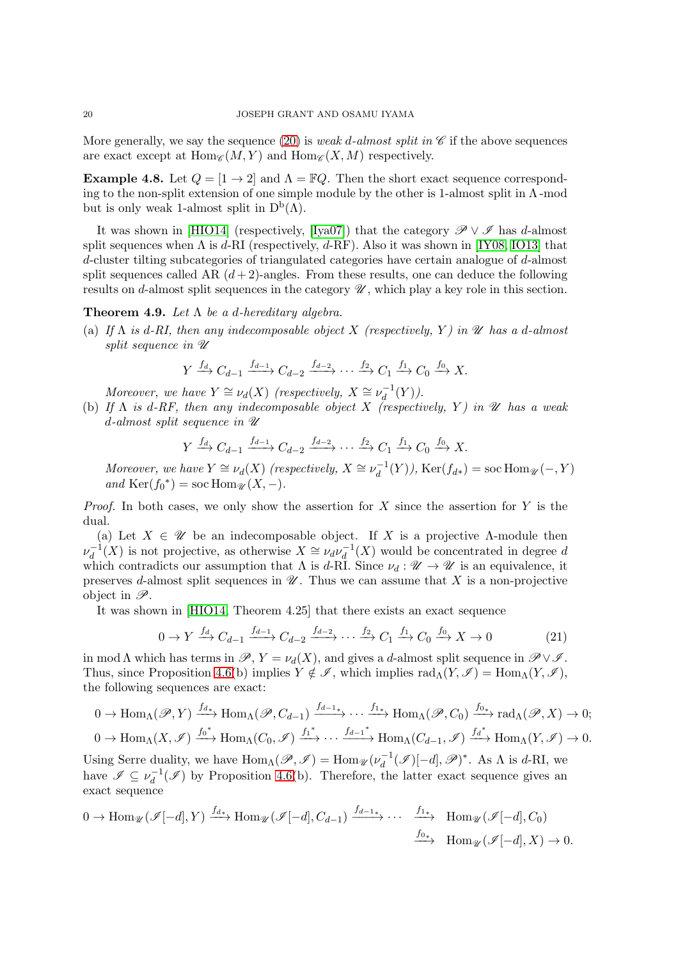More generally, we say the sequence [\(20\)](#page-18-2) is *weak d-almost split in*  $\mathscr C$  if the above sequences are exact except at  $\text{Hom}_{\mathscr{C}}(M, Y)$  and  $\text{Hom}_{\mathscr{C}}(X, M)$  respectively.

**Example 4.8.** Let  $Q = \begin{bmatrix} 1 & -2 \end{bmatrix}$  and  $\Lambda = \mathbb{F}Q$ . Then the short exact sequence corresponding to the non-split extension of one simple module by the other is 1-almost split in  $\Lambda$ -mod but is only weak 1-almost split in  $D^b(\Lambda)$ .

It was shown in [\[HIO14\]](#page-34-10) (respectively, [\[Iya07\]](#page-34-6)) that the category  $\mathscr{P} \vee \mathscr{I}$  has d-almost split sequences when  $\Lambda$  is d-RI (respectively, d-RF). Also it was shown in [\[IY08,](#page-34-22) [IO13\]](#page-34-9) that d-cluster tilting subcategories of triangulated categories have certain analogue of d-almost split sequences called AR  $(d+2)$ -angles. From these results, one can deduce the following results on d-almost split sequences in the category  $\mathscr U$ , which play a key role in this section.

### <span id="page-19-1"></span>**Theorem 4.9.** Let  $\Lambda$  be a d-hereditary algebra.

(a) If  $\Lambda$  is d-RI, then any indecomposable object X (respectively, Y) in  $\mathscr U$  has a d-almost split sequence in  $\mathscr U$ 

$$
Y \xrightarrow{f_d} C_{d-1} \xrightarrow{f_{d-1}} C_{d-2} \xrightarrow{f_{d-2}} \cdots \xrightarrow{f_2} C_1 \xrightarrow{f_1} C_0 \xrightarrow{f_0} X.
$$

Moreover, we have  $Y \cong \nu_d(X)$  (respectively,  $X \cong \nu_d^{-1}$ )  $_d^{-1}(Y)$ ).

(b) If  $\Lambda$  is d-RF, then any indecomposable object X (respectively, Y) in  $\mathscr U$  has a weak d-almost split sequence in  $\mathscr U$ 

$$
Y \xrightarrow{f_d} C_{d-1} \xrightarrow{f_{d-1}} C_{d-2} \xrightarrow{f_{d-2}} \cdots \xrightarrow{f_2} C_1 \xrightarrow{f_1} C_0 \xrightarrow{f_0} X.
$$

Moreover, we have  $Y \cong \nu_d(X)$  (respectively,  $X \cong \nu_d^{-1}$  $d_d^{-1}(Y)$ ), Ker $(f_{d*}) = \text{soc Hom}_{\mathscr{U}}(-, Y)$ and  $\text{Ker}(f_0^*) = \text{soc Hom}_{\mathscr{U}}(X, -).$ 

*Proof.* In both cases, we only show the assertion for X since the assertion for Y is the dual.

(a) Let  $X \in \mathcal{U}$  be an indecomposable object. If X is a projective Λ-module then  $\nu_d^{-1}$  $\overline{d}^{-1}(X)$  is not projective, as otherwise  $X \cong \nu_d \nu_d^{-1}$  $d_d^{-1}(X)$  would be concentrated in degree d which contradicts our assumption that  $\Lambda$  is d-RI. Since  $\nu_d : \mathcal{U} \to \mathcal{U}$  is an equivalence, it preserves d-almost split sequences in  $\mathscr U$ . Thus we can assume that X is a non-projective object in  $\mathscr{P}$ .

It was shown in [\[HIO14,](#page-34-10) Theorem 4.25] that there exists an exact sequence

<span id="page-19-0"></span>
$$
0 \to Y \xrightarrow{f_d} C_{d-1} \xrightarrow{f_{d-1}} C_{d-2} \xrightarrow{f_{d-2}} \cdots \xrightarrow{f_2} C_1 \xrightarrow{f_1} C_0 \xrightarrow{f_0} X \to 0
$$
 (21)

in mod  $\Lambda$  which has terms in  $\mathscr{P}, Y = \nu_d(X)$ , and gives a d-almost split sequence in  $\mathscr{P} \vee \mathscr{I}$ . Thus, since Proposition 4.6(b) implies  $Y \notin \mathscr{I}$ , which implies  $rad_\Lambda(Y, \mathscr{I}) = Hom_\Lambda(Y, \mathscr{I})$ , the following sequences are exact:

$$
0 \to \text{Hom}_{\Lambda}(\mathscr{P}, Y) \xrightarrow{f_{d*}} \text{Hom}_{\Lambda}(\mathscr{P}, C_{d-1}) \xrightarrow{f_{d-1*}} \cdots \xrightarrow{f_{1*}} \text{Hom}_{\Lambda}(\mathscr{P}, C_0) \xrightarrow{f_{0*}} \text{rad}_{\Lambda}(\mathscr{P}, X) \to 0;
$$
  

$$
0 \to \text{Hom}_{\Lambda}(X, \mathscr{I}) \xrightarrow{f_0^*} \text{Hom}_{\Lambda}(C_0, \mathscr{I}) \xrightarrow{f_1^*} \cdots \xrightarrow{f_{d-1}^*} \text{Hom}_{\Lambda}(C_{d-1}, \mathscr{I}) \xrightarrow{f_d^*} \text{Hom}_{\Lambda}(Y, \mathscr{I}) \to 0.
$$

Using Serre duality, we have  $\text{Hom}_{\Lambda}(\mathscr{P}, \mathscr{I}) = \text{Hom}_{\mathscr{U}}(\nu_d^{-1})$  $d_d^{-1}(\mathscr{I})[-d], \mathscr{P})^*$ . As  $\Lambda$  is d-RI, we have  $\mathscr{I} \subseteq \nu_d^{-1}$  $d_d^{-1}(\mathscr{I})$  by Proposition 4.6(b). Therefore, the latter exact sequence gives an exact sequence

$$
0 \to \text{Hom}_{\mathscr{U}}(\mathscr{I}[-d], Y) \xrightarrow{f_{d*}} \text{Hom}_{\mathscr{U}}(\mathscr{I}[-d], C_{d-1}) \xrightarrow{f_{d-1*}} \cdots \xrightarrow{f_{1*}} \text{Hom}_{\mathscr{U}}(\mathscr{I}[-d], C_0)
$$

$$
\xrightarrow{f_{0*}} \text{Hom}_{\mathscr{U}}(\mathscr{I}[-d], X) \to 0.
$$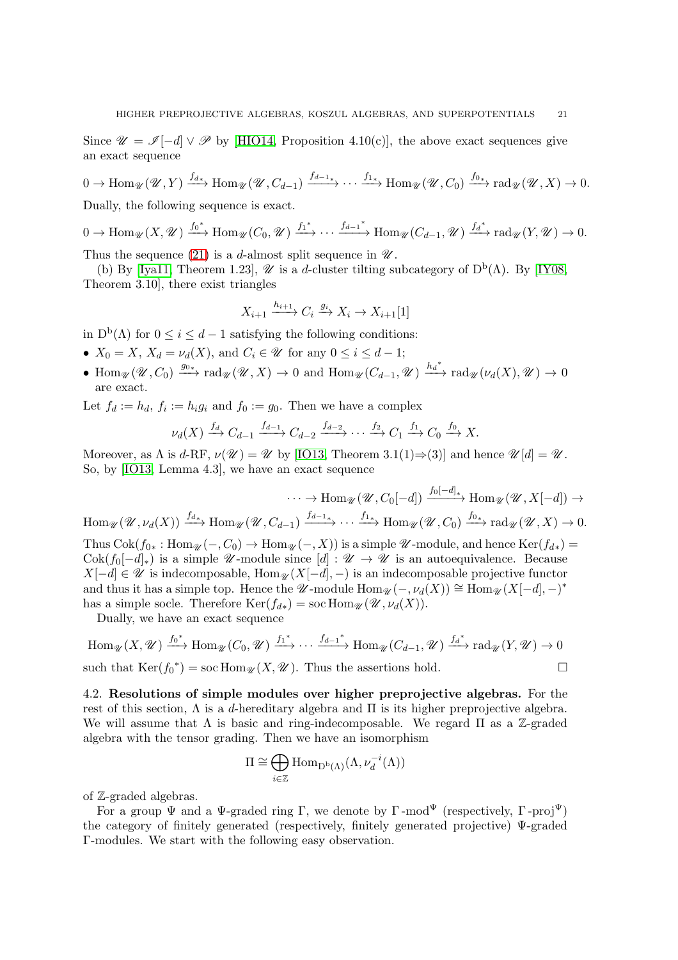Since  $\mathscr{U} = \mathscr{I}[-d] \vee \mathscr{P}$  by [\[HIO14,](#page-34-10) Proposition 4.10(c)], the above exact sequences give an exact sequence

 $0 \to \text{Hom}_{\mathscr{U}}(\mathscr{U}, Y) \xrightarrow{f_{d*}} \text{Hom}_{\mathscr{U}}(\mathscr{U}, C_{d-1}) \xrightarrow{f_{d-1*}} \cdots \xrightarrow{f_{1*}} \text{Hom}_{\mathscr{U}}(\mathscr{U}, C_0) \xrightarrow{f_{0*}} \text{rad}_{\mathscr{U}}(\mathscr{U}, X) \to 0.$ Dually, the following sequence is exact.

 $0 \to \text{Hom}_{\mathscr{U}}(X,\mathscr{U}) \xrightarrow{f_0^*} \text{Hom}_{\mathscr{U}}(C_0,\mathscr{U}) \xrightarrow{f_1^*} \cdots \xrightarrow{f_{d-1}^*} \text{Hom}_{\mathscr{U}}(C_{d-1},\mathscr{U}) \xrightarrow{f_d^*} \text{rad}_{\mathscr{U}}(Y,\mathscr{U}) \to 0.$ 

Thus the sequence [\(21\)](#page-19-0) is a d-almost split sequence in  $\mathcal{U}$ .

(b) By [\[Iya11,](#page-34-21) Theorem 1.23],  $\mathscr U$  is a d-cluster tilting subcategory of  $D^b(\Lambda)$ . By [\[IY08,](#page-34-22) Theorem 3.10], there exist triangles

$$
X_{i+1} \xrightarrow{h_{i+1}} C_i \xrightarrow{g_i} X_i \to X_{i+1}[1]
$$

in  $D^b(\Lambda)$  for  $0 \leq i \leq d-1$  satisfying the following conditions:

- $X_0 = X$ ,  $X_d = \nu_d(X)$ , and  $C_i \in \mathcal{U}$  for any  $0 \leq i \leq d-1$ ;
- Hom  $\mathscr{U}(\mathscr{U}, C_0) \xrightarrow{g_{0*}} \text{rad}_{\mathscr{U}}(\mathscr{U}, X) \to 0$  and  $\text{Hom}_{\mathscr{U}}(C_{d-1}, \mathscr{U}) \xrightarrow{h_d^*} \text{rad}_{\mathscr{U}}(\nu_d(X), \mathscr{U}) \to 0$ are exact.

Let  $f_d := h_d$ ,  $f_i := h_i g_i$  and  $f_0 := g_0$ . Then we have a complex

$$
\nu_d(X) \xrightarrow{f_d} C_{d-1} \xrightarrow{f_{d-1}} C_{d-2} \xrightarrow{f_{d-2}} \cdots \xrightarrow{f_2} C_1 \xrightarrow{f_1} C_0 \xrightarrow{f_0} X.
$$

Moreover, as  $\Lambda$  is d-RF,  $\nu(\mathscr{U}) = \mathscr{U}$  by [\[IO13,](#page-34-9) Theorem 3.1(1) $\Rightarrow$ (3)] and hence  $\mathscr{U}[d] = \mathscr{U}$ . So, by [\[IO13,](#page-34-9) Lemma 4.3], we have an exact sequence

$$
\cdots \to \text{Hom}_{\mathcal{U}}(\mathcal{U}, C_0[-d]) \xrightarrow{f_0[-d]_*} \text{Hom}_{\mathcal{U}}(\mathcal{U}, X[-d]) \to
$$
  
\n
$$
\text{Hom}_{\mathcal{U}}(\mathcal{U}, \nu_d(X)) \xrightarrow{f_{d_*}} \text{Hom}_{\mathcal{U}}(\mathcal{U}, C_{d-1}) \xrightarrow{f_{d-1_*}} \cdots \xrightarrow{f_{1_*}} \text{Hom}_{\mathcal{U}}(\mathcal{U}, C_0) \xrightarrow{f_{0_*}} \text{rad}_{\mathcal{U}}(\mathcal{U}, X) \to 0.
$$
  
\nThus  $\text{Cok}(f_{0_*}: \text{Hom}_{\mathcal{U}}(-, C_0) \to \text{Hom}_{\mathcal{U}}(-, X))$  is a simple  $\mathcal{U}$ -module, and hence  $\text{Ker}(f_{d_*}) =$   
\n $\text{Cok}(f_0[-d]_*)$  is a simple  $\mathcal{U}$ -module since  $[d]: \mathcal{U} \to \mathcal{U}$  is an autoequivalence. Because

 $X[-d] \in \mathscr{U}$  is indecomposable,  $\text{Hom}_{\mathscr{U}}(X[-d], -)$  is an indecomposable projective functor and thus it has a simple top. Hence the  $\mathscr{U}\text{-module Hom}_{\mathscr{U}}(-, \nu_d(X)) \cong \text{Hom}_{\mathscr{U}}(X[-d], -)^*$ has a simple socle. Therefore  $\text{Ker}(f_{d*}) = \text{soc Hom}_{\mathscr{U}}(\mathscr{U}, \nu_d(X)).$ 

Dually, we have an exact sequence

Hom<sub>$$
\mathcal{U}
$$</sub>(X,  $\mathcal{U}$ )  $\xrightarrow{f_0^*}$  Hom <sub>$\mathcal{U}$</sub> (C<sub>0</sub>,  $\mathcal{U}$ )  $\xrightarrow{f_1^*}$ ...  $\xrightarrow{f_{d-1}^*}$  Hom <sub>$\mathcal{U}$</sub> (C<sub>d-1</sub>,  $\mathcal{U}$ )  $\xrightarrow{f_d^*}$  rad <sub>$\mathcal{U}$</sub> (Y,  $\mathcal{U}$ )  $\rightarrow$  0  
such that Ker( $f_0^*$ ) = soc Hom <sub>$\mathcal{U}$</sub> (X,  $\mathcal{U}$ ). Thus the assertions hold.

4.2. Resolutions of simple modules over higher preprojective algebras. For the rest of this section,  $\Lambda$  is a d-hereditary algebra and  $\Pi$  is its higher preprojective algebra. We will assume that  $\Lambda$  is basic and ring-indecomposable. We regard  $\Pi$  as a Z-graded algebra with the tensor grading. Then we have an isomorphism

$$
\Pi \cong \bigoplus_{i \in \mathbb{Z}} \text{Hom}_{\mathcal{D}^{\mathbf{b}}(\Lambda)}(\Lambda, \nu_d^{-i}(\Lambda))
$$

of Z-graded algebras.

For a group  $\Psi$  and a  $\Psi$ -graded ring Γ, we denote by Γ-mod<sup> $\Psi$ </sup> (respectively, Γ-proj<sup> $\Psi$ </sup>) the category of finitely generated (respectively, finitely generated projective) Ψ-graded Γ-modules. We start with the following easy observation.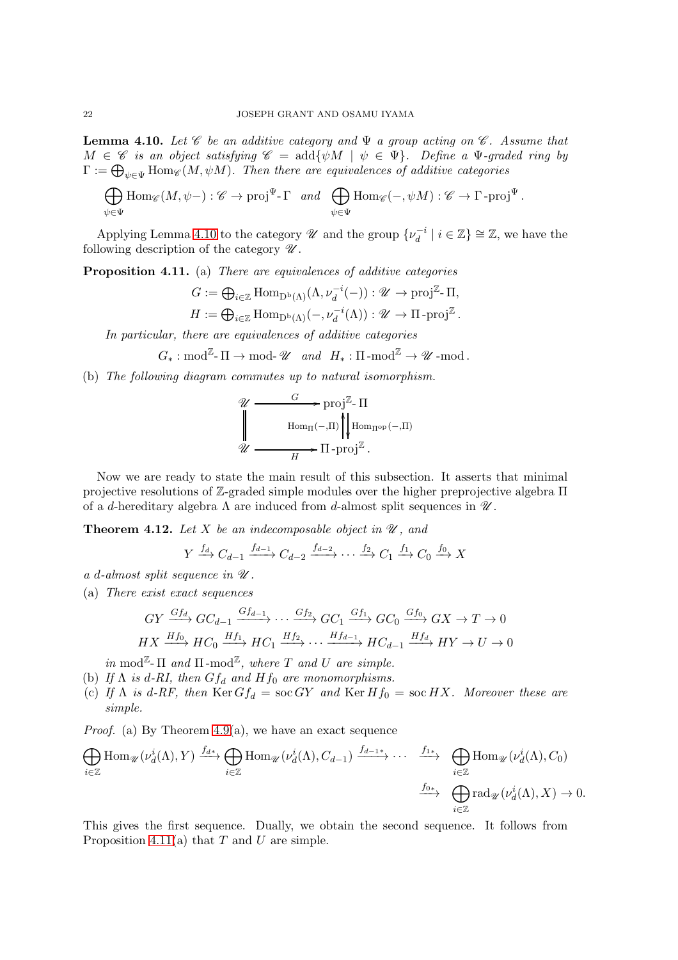<span id="page-21-1"></span>**Lemma 4.10.** Let  $\mathscr C$  be an additive category and  $\Psi$  a group acting on  $\mathscr C$ . Assume that  $M \in \mathscr{C}$  is an object satisfying  $\mathscr{C} = \text{add}\{\psi M \mid \psi \in \Psi\}$ . Define a  $\Psi$ -graded ring by  $\Gamma:=\bigoplus_{\psi\in\Psi}\mathrm{Hom}_{\mathscr{C}}(M,\psi M).$  Then there are equivalences of additive categories

$$
\bigoplus_{\psi \in \Psi} \text{Hom}_{\mathscr{C}}(M, \psi-) : \mathscr{C} \to \text{proj}^{\Psi} \text{-} \Gamma \quad and \quad \bigoplus_{\psi \in \Psi} \text{Hom}_{\mathscr{C}}(-, \psi M) : \mathscr{C} \to \Gamma \text{-}\text{proj}^{\Psi}.
$$

Applying Lemma [4.10](#page-21-1) to the category  $\mathscr U$  and the group  $\{\nu_d^{-i}\}$  $\binom{-i}{d}$  |  $i \in \mathbb{Z}$  ≥  $\mathbb{Z}$ , we have the following description of the category  $\mathscr U$ .

Proposition 4.11. (a) There are equivalences of additive categories

$$
G := \bigoplus_{i \in \mathbb{Z}} \text{Hom}_{\mathcal{D}^{\mathbf{b}}(\Lambda)}(\Lambda, \nu_d^{-i}(-)) : \mathcal{U} \to \text{proj}^{\mathbb{Z}} \text{-} \Pi,
$$
  

$$
H := \bigoplus_{i \in \mathbb{Z}} \text{Hom}_{\mathcal{D}^{\mathbf{b}}(\Lambda)}(-, \nu_d^{-i}(\Lambda)) : \mathcal{U} \to \Pi \text{-}\text{proj}^{\mathbb{Z}}.
$$

In particular, there are equivalences of additive categories

$$
G_*: \text{mod}^{\mathbb{Z}}\text{-}\Pi \to \text{mod-}\mathscr{U} \text{ and } H_*: \Pi\text{-mod}^{\mathbb{Z}} \to \mathscr{U}\text{-mod}.
$$

(b) The following diagram commutes up to natural isomorphism.

$$
\mathcal{U} \xrightarrow{\qquad G} \text{proj}^{\mathbb{Z}} \cdot \Pi
$$
\n
$$
\parallel \qquad \text{Hom}_{\Pi}(-, \Pi) \parallel_{\text{Hom}_{\Pi^{\text{op}}}(-, \Pi)}
$$
\n
$$
\mathcal{U} \xrightarrow{\qquad \qquad H} \Pi \cdot \text{proj}^{\mathbb{Z}}.
$$

Now we are ready to state the main result of this subsection. It asserts that minimal projective resolutions of  $\mathbb{Z}$ -graded simple modules over the higher preprojective algebra  $\Pi$ of a d-hereditary algebra  $\Lambda$  are induced from d-almost split sequences in  $\mathscr{U}$ .

<span id="page-21-0"></span>**Theorem 4.12.** Let X be an indecomposable object in  $\mathcal{U}$ , and

$$
Y \xrightarrow{f_d} C_{d-1} \xrightarrow{f_{d-1}} C_{d-2} \xrightarrow{f_{d-2}} \cdots \xrightarrow{f_2} C_1 \xrightarrow{f_1} C_0 \xrightarrow{f_0} X
$$

a d-almost split sequence in  $\mathcal U$ .

(a) There exist exact sequences

$$
GY \xrightarrow{Gf_d} GC_{d-1} \xrightarrow{Gf_{d-1}} \cdots \xrightarrow{Gf_2} GC_1 \xrightarrow{Gf_1} GC_0 \xrightarrow{Gf_0} GX \to T \to 0
$$
  

$$
HX \xrightarrow{Hf_0} HC_0 \xrightarrow{Hf_1} HC_1 \xrightarrow{Hf_2} \cdots \xrightarrow{Hf_{d-1}} HC_{d-1} \xrightarrow{Hf_d} HY \to U \to 0
$$

in mod<sup> $\mathbb{Z}_{\text{-}}\Pi$  and  $\Pi$ -mod $\mathbb{Z}_{\text{-}}$  where  $T$  and  $U$  are simple.</sup>

- (b) If  $\Lambda$  is d-RI, then  $Gf_d$  and  $Hf_0$  are monomorphisms.
- (c) If  $\Lambda$  is d-RF, then  $\text{Ker } G f_d = \text{soc } GY$  and  $\text{Ker } H f_0 = \text{soc } HX$ . Moreover these are simple.

*Proof.* (a) By Theorem  $4.9(a)$ , we have an exact sequence

$$
\bigoplus_{i\in\mathbb{Z}} \text{Hom}_{\mathscr{U}}(\nu_d^i(\Lambda), Y) \xrightarrow{f_{d*}} \bigoplus_{i\in\mathbb{Z}} \text{Hom}_{\mathscr{U}}(\nu_d^i(\Lambda), C_{d-1}) \xrightarrow{f_{d-1*}} \cdots \xrightarrow{f_{1*}} \bigoplus_{i\in\mathbb{Z}} \text{Hom}_{\mathscr{U}}(\nu_d^i(\Lambda), C_0)
$$
\n
$$
\xrightarrow{f_{0*}} \bigoplus_{i\in\mathbb{Z}} \text{rad}_{\mathscr{U}}(\nu_d^i(\Lambda), X) \to 0.
$$

This gives the first sequence. Dually, we obtain the second sequence. It follows from Proposition 4.11(a) that  $T$  and  $U$  are simple.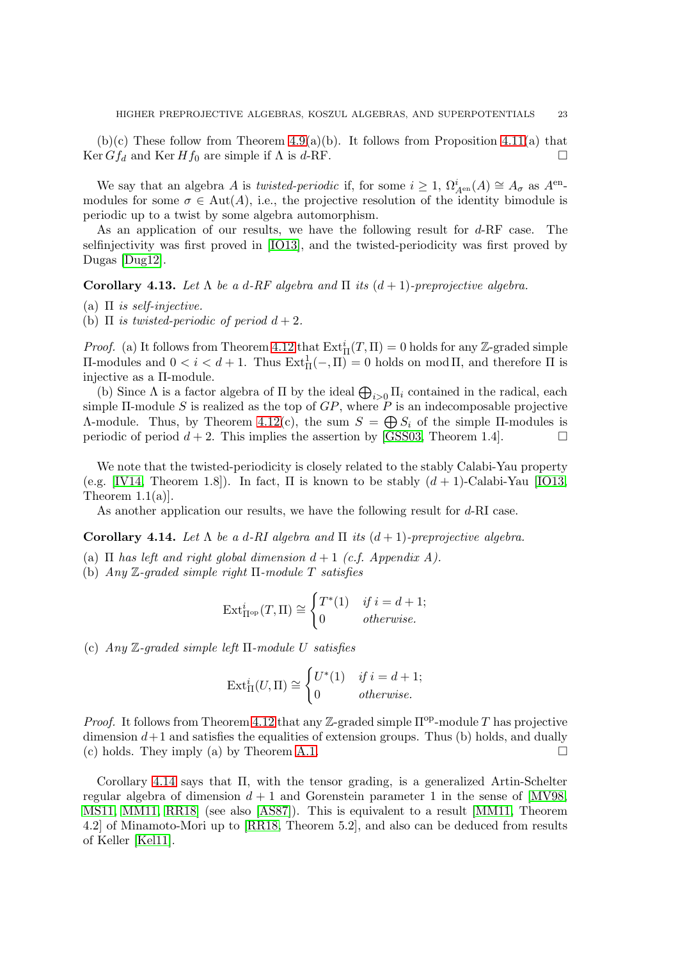$(b)(c)$  These follow from Theorem [4.9\(](#page-19-1)a)(b). It follows from Proposition 4.11(a) that Ker  $Gf_d$  and Ker  $Hf_0$  are simple if  $\Lambda$  is d-RF.

We say that an algebra A is *twisted-periodic* if, for some  $i \geq 1$ ,  $\Omega_{A^{en}}^i(A) \cong A_{\sigma}$  as  $A^{en}$ modules for some  $\sigma \in Aut(A)$ , i.e., the projective resolution of the identity bimodule is periodic up to a twist by some algebra automorphism.

As an application of our results, we have the following result for d-RF case. The selfinjectivity was first proved in [\[IO13\]](#page-34-9), and the twisted-periodicity was first proved by Dugas [\[Dug12\]](#page-33-14).

<span id="page-22-0"></span>Corollary 4.13. Let  $\Lambda$  be a d-RF algebra and  $\Pi$  its  $(d+1)$ -preprojective algebra.

(a)  $\Pi$  is self-injective.

(b)  $\Pi$  is twisted-periodic of period  $d+2$ .

*Proof.* (a) It follows from Theorem [4.12](#page-21-0) that  $Ext^i_{\Pi}(T, \Pi) = 0$  holds for any Z-graded simple  $\Pi$ -modules and 0 < *i* < *d* + 1. Thus Ext<sup>1</sup><sub>π</sub>(−, π) = 0 holds on mod π, and therefore π is injective as a Π-module.

(b) Since  $\Lambda$  is a factor algebra of  $\Pi$  by the ideal  $\bigoplus_{i>0} \Pi_i$  contained in the radical, each simple  $\Pi$ -module S is realized as the top of  $GP$ , where P is an indecomposable projective A-module. Thus, by Theorem [4.12\(](#page-21-0)c), the sum  $S = \bigoplus S_i$  of the simple II-modules is periodic of period  $d + 2$ . This implies the assertion by [\[GSS03,](#page-34-23) Theorem 1.4].

We note that the twisted-periodicity is closely related to the stably Calabi-Yau property (e.g. [\[IV14,](#page-34-24) Theorem 1.8]). In fact,  $\Pi$  is known to be stably  $(d+1)$ -Calabi-Yau [\[IO13,](#page-34-9) Theorem  $1.1(a)$ .

As another application our results, we have the following result for d-RI case.

<span id="page-22-1"></span>**Corollary 4.14.** Let  $\Lambda$  be a d-RI algebra and  $\Pi$  its  $(d+1)$ -preprojective algebra.

- (a)  $\Pi$  has left and right global dimension  $d+1$  (c.f. Appendix A).
- (b) Any  $\mathbb{Z}$ -graded simple right  $\Pi$ -module T satisfies

$$
\operatorname{Ext}_{\Pi^{\rm op}}^i(T,\Pi) \cong \begin{cases} T^*(1) & \text{if } i = d+1; \\ 0 & \text{otherwise.} \end{cases}
$$

(c)  $Any \mathbb{Z}-graded \ simple \ left \ \Pi-module \ U \ satisfies$ 

$$
\operatorname{Ext}^i_{\Pi}(U,\Pi) \cong \begin{cases} U^*(1) & \text{if } i = d+1; \\ 0 & \text{otherwise.} \end{cases}
$$

*Proof.* It follows from Theorem [4.12](#page-21-0) that any Z-graded simple  $\Pi^{op}$ -module T has projective dimension  $d+1$  and satisfies the equalities of extension groups. Thus (b) holds, and dually (c) holds. They imply (a) by Theorem [A.1.](#page-32-0)  $\Box$ 

Corollary [4.14](#page-22-1) says that Π, with the tensor grading, is a generalized Artin-Schelter regular algebra of dimension  $d+1$  and Gorenstein parameter 1 in the sense of [\[MV98,](#page-34-17) [MS11,](#page-34-18) [MM11,](#page-35-3) [RR18\]](#page-35-8) (see also [\[AS87\]](#page-33-15)). This is equivalent to a result [\[MM11,](#page-35-3) Theorem 4.2] of Minamoto-Mori up to [\[RR18,](#page-35-8) Theorem 5.2], and also can be deduced from results of Keller [\[Kel11\]](#page-34-5).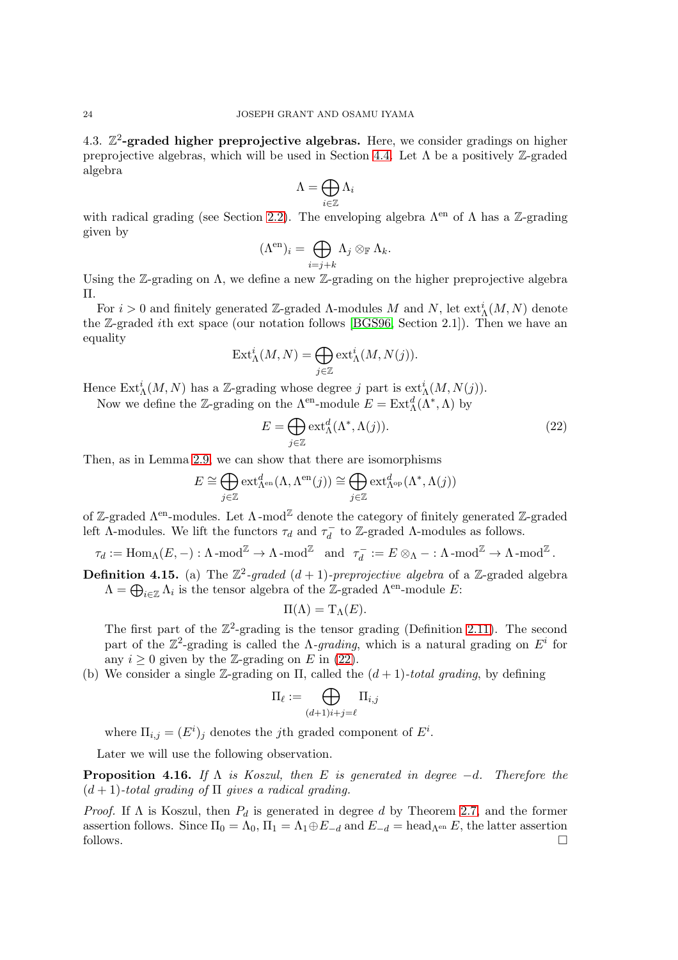4.3.  $\mathbb{Z}^2$ -graded higher preprojective algebras. Here, we consider gradings on higher preprojective algebras, which will be used in Section [4.4.](#page-24-0) Let  $\Lambda$  be a positively Z-graded algebra

$$
\Lambda=\bigoplus_{i\in\mathbb{Z}}\Lambda_i
$$

with radical grading (see Section [2.2\)](#page-6-0). The enveloping algebra  $\Lambda^{en}$  of  $\Lambda$  has a Z-grading given by

$$
(\Lambda^{\mathrm{en}})_i = \bigoplus_{i=j+k} \Lambda_j \otimes_{\mathbb{F}} \Lambda_k.
$$

Using the Z-grading on  $\Lambda$ , we define a new Z-grading on the higher preprojective algebra Π.

For  $i > 0$  and finitely generated Z-graded  $\Lambda$ -modules M and N, let  $ext^i_{\Lambda}(M, N)$  denote the Z-graded ith ext space (our notation follows [\[BGS96,](#page-33-17) Section 2.1]). Then we have an equality

$$
\operatorname{Ext}\nolimits_{\Lambda}^{i}(M,N)=\bigoplus_{j\in\mathbb{Z}}\operatorname{ext}\nolimits_{\Lambda}^{i}(M,N(j)).
$$

Hence  $\text{Ext}^i_{\Lambda}(M,N)$  has a Z-grading whose degree j part is  $\text{ext}^i_{\Lambda}(M,N(j)).$ 

Now we define the Z-grading on the  $\Lambda^{\text{en}}$ -module  $E = \text{Ext}^d_{\Lambda}(\Lambda^*, \Lambda)$  by

<span id="page-23-0"></span>
$$
E = \bigoplus_{j \in \mathbb{Z}} \text{ext}_{\Lambda}^d(\Lambda^*, \Lambda(j)).
$$
\n(22)

Then, as in Lemma [2.9,](#page-8-2) we can show that there are isomorphisms

$$
E \cong \bigoplus_{j \in \mathbb{Z}} \operatorname{ext}_{\Lambda^{\rm en}}^d(\Lambda, \Lambda^{\rm en}(j)) \cong \bigoplus_{j \in \mathbb{Z}} \operatorname{ext}_{\Lambda^{\rm op}}^d(\Lambda^*, \Lambda(j))
$$

of Z-graded  $\Lambda^{en}$ -modules. Let  $\Lambda$ -mod<sup>Z</sup> denote the category of finitely generated Z-graded left  $\Lambda$ -modules. We lift the functors  $\tau_d$  and  $\tau_d^ \overline{d}$  to Z-graded Λ-modules as follows.

$$
\tau_d := \text{Hom}_{\Lambda}(E, -) : \Lambda \text{-mod}^{\mathbb{Z}} \to \Lambda \text{-mod}^{\mathbb{Z}} \quad \text{and} \quad \tau_d^- := E \otimes_{\Lambda} - : \Lambda \text{-mod}^{\mathbb{Z}} \to \Lambda \text{-mod}^{\mathbb{Z}}.
$$

**Definition 4.15.** (a) The  $\mathbb{Z}^2$ -graded  $(d+1)$ -preprojective algebra of a Z-graded algebra  $\Lambda = \bigoplus_{i \in \mathbb{Z}} \Lambda_i$  is the tensor algebra of the Z-graded  $\Lambda^{\text{en}}$ -module E:

$$
\Pi(\Lambda) = \mathrm{T}_{\Lambda}(E).
$$

The first part of the  $\mathbb{Z}^2$ -grading is the tensor grading (Definition [2.11\)](#page-8-3). The second part of the  $\mathbb{Z}^2$ -grading is called the  $\Lambda$ -grading, which is a natural grading on  $E^i$  for any  $i \geq 0$  given by the Z-grading on E in [\(22\)](#page-23-0).

(b) We consider a single Z-grading on  $\Pi$ , called the  $(d+1)$ -total grading, by defining

$$
\Pi_\ell := \bigoplus_{(d+1)i+j = \ell} \Pi_{i,j}
$$

where  $\Pi_{i,j} = (E^i)_j$  denotes the *j*th graded component of  $E^i$ .

Later we will use the following observation.

<span id="page-23-1"></span>**Proposition 4.16.** If  $\Lambda$  is Koszul, then E is generated in degree  $-d$ . Therefore the  $(d+1)$ -total grading of  $\Pi$  gives a radical grading.

*Proof.* If  $\Lambda$  is Koszul, then  $P_d$  is generated in degree d by Theorem [2.7,](#page-7-1) and the former assertion follows. Since  $\Pi_0 = \Lambda_0$ ,  $\Pi_1 = \Lambda_1 \oplus E_{-d}$  and  $E_{-d} = \text{head}_{\Lambda^{en}} E$ , the latter assertion follows.  $\Box$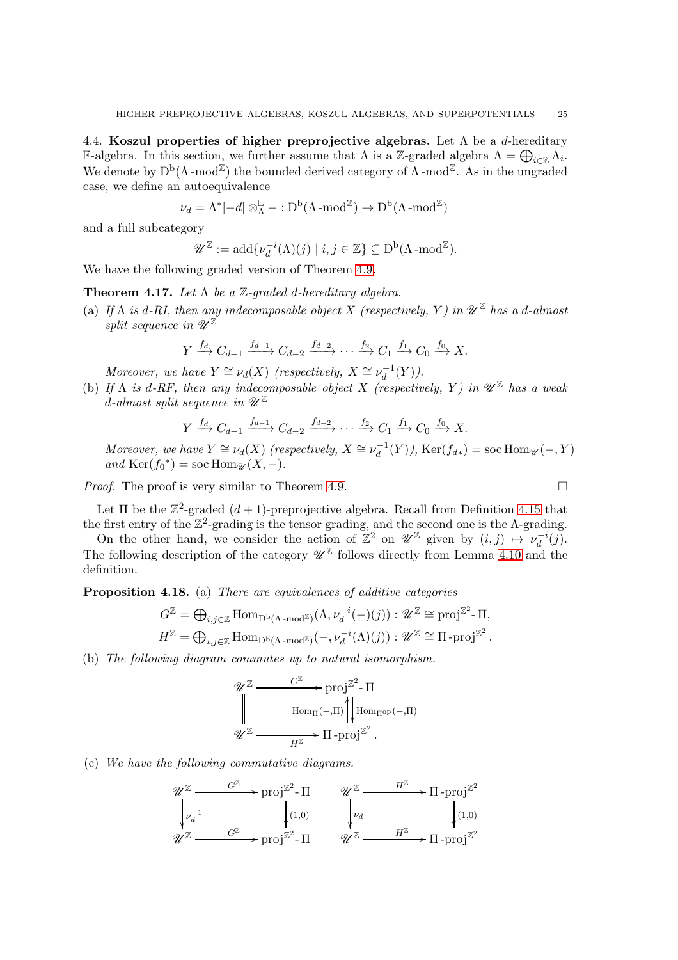<span id="page-24-0"></span>4.4. Koszul properties of higher preprojective algebras. Let  $\Lambda$  be a d-hereditary **F**-algebra. In this section, we further assume that  $\Lambda$  is a Z-graded algebra  $\Lambda = \bigoplus_{i \in \mathbb{Z}} \Lambda_i$ . We denote by  $D^b(\Lambda\text{-mod}^{\mathbb{Z}})$  the bounded derived category of  $\Lambda\text{-mod}^{\mathbb{Z}}$ . As in the ungraded case, we define an autoequivalence

$$
\nu_d = \Lambda^*[-d] \otimes_{\Lambda}^{\mathbb{L}} - :D^b(\Lambda \text{-mod}^{\mathbb{Z}}) \to D^b(\Lambda \text{-mod}^{\mathbb{Z}})
$$

and a full subcategory

$$
\mathscr{U}^{\mathbb{Z}} := \mathrm{add} \{ \nu_d^{-i}(\Lambda)(j) \mid i, j \in \mathbb{Z} \} \subseteq \mathrm{D}^{\mathrm{b}}(\Lambda \text{-}\mathrm{mod}^{\mathbb{Z}}).
$$

We have the following graded version of Theorem [4.9.](#page-19-1)

<span id="page-24-1"></span>**Theorem 4.17.** Let  $\Lambda$  be a  $\mathbb{Z}$ -graded d-hereditary algebra.

(a) If  $\Lambda$  is d-RI, then any indecomposable object X (respectively, Y) in  $\mathscr{U}^{\mathbb{Z}}$  has a d-almost split sequence in  $\mathscr{U}^{\mathbb{Z}}$ 

$$
Y \xrightarrow{f_d} C_{d-1} \xrightarrow{f_{d-1}} C_{d-2} \xrightarrow{f_{d-2}} \cdots \xrightarrow{f_2} C_1 \xrightarrow{f_1} C_0 \xrightarrow{f_0} X.
$$

Moreover, we have  $Y \cong \nu_d(X)$  (respectively,  $X \cong \nu_d^{-1}$ )  $d^{-1}(Y)$ ).

(b) If  $\Lambda$  is d-RF, then any indecomposable object X (respectively, Y) in  $\mathscr{U}^{\mathbb{Z}}$  has a weak d-almost split sequence in  $\mathscr{U}^{\mathbb{Z}}$ 

$$
Y \xrightarrow{f_d} C_{d-1} \xrightarrow{f_{d-1}} C_{d-2} \xrightarrow{f_{d-2}} \cdots \xrightarrow{f_2} C_1 \xrightarrow{f_1} C_0 \xrightarrow{f_0} X.
$$

Moreover, we have  $Y \cong \nu_d(X)$  (respectively,  $X \cong \nu_d^{-1}$  $d_d^{-1}(Y)$ ), Ker $(f_{d*}) = \text{soc Hom}_{\mathscr{U}}(-, Y)$ and  $\text{Ker}(f_0^*) = \text{soc Hom}_{\mathscr{U}}(X, -).$ 

Proof. The proof is very similar to Theorem [4.9.](#page-19-1)

Let  $\Pi$  be the  $\mathbb{Z}^2$ -graded  $(d+1)$ -preprojective algebra. Recall from Definition 4.15 that the first entry of the  $\mathbb{Z}^2$ -grading is the tensor grading, and the second one is the  $\Lambda$ -grading.

On the other hand, we consider the action of  $\mathbb{Z}^2$  on  $\mathscr{U}^{\mathbb{Z}}$  given by  $(i, j) \mapsto \nu_d^{-i}$  $\bar{d}^{i}(j).$ The following description of the category  $\mathscr{U}^{\mathbb{Z}}$  follows directly from Lemma [4.10](#page-21-1) and the definition.

Proposition 4.18. (a) There are equivalences of additive categories

$$
G^{\mathbb{Z}} = \bigoplus_{i,j \in \mathbb{Z}} \text{Hom}_{\mathcal{D}^b(\Lambda \text{-}\mathbf{mod}^{\mathbb{Z}})}(\Lambda, \nu_d^{-i}(-)(j)) : \mathscr{U}^{\mathbb{Z}} \cong \text{proj}^{\mathbb{Z}^2} \text{-}\Pi,
$$
  

$$
H^{\mathbb{Z}} = \bigoplus_{i,j \in \mathbb{Z}} \text{Hom}_{\mathcal{D}^b(\Lambda \text{-}\mathbf{mod}^{\mathbb{Z}})}(-, \nu_d^{-i}(\Lambda)(j)) : \mathscr{U}^{\mathbb{Z}} \cong \Pi \text{-}\text{proj}^{\mathbb{Z}^2}.
$$

(b) The following diagram commutes up to natural isomorphism.

$$
\mathscr{U}^{\mathbb{Z}} \xrightarrow{\qquad G^{\mathbb{Z}} \qquad \text{proj}^{\mathbb{Z}^2} \text{-} \Pi}
$$
\n
$$
\downarrow^{\mathbb{Z}} \xrightarrow{\qquad \text{Hom}_{\Pi}(-,\Pi)} \left\| \text{Hom}_{\Pi^{\text{op}}(-,\Pi)} \right\|
$$
\n
$$
\mathscr{U}^{\mathbb{Z}} \xrightarrow{\qquad \qquad H^{\mathbb{Z}}} \Pi \text{-} \text{proj}^{\mathbb{Z}^2}.
$$

(c) We have the following commutative diagrams.

$$
\begin{array}{ccc}\n\mathcal{U}^{\mathbb{Z}} & \xrightarrow{G^{\mathbb{Z}}} \text{proj}^{\mathbb{Z}^2 - \Pi} & \mathcal{U}^{\mathbb{Z}} & \xrightarrow{H^{\mathbb{Z}}} \Pi - \text{proj}^{\mathbb{Z}^2} \\
\downarrow \nu_d^{-1} & \downarrow (1,0) & \downarrow \nu_d & \downarrow (1,0) \\
\mathcal{U}^{\mathbb{Z}} & \xrightarrow{G^{\mathbb{Z}}} \text{proj}^{\mathbb{Z}^2 - \Pi} & \mathcal{U}^{\mathbb{Z}} & \xrightarrow{H^{\mathbb{Z}}} \Pi - \text{proj}^{\mathbb{Z}^2}\n\end{array}
$$

$$
\Box
$$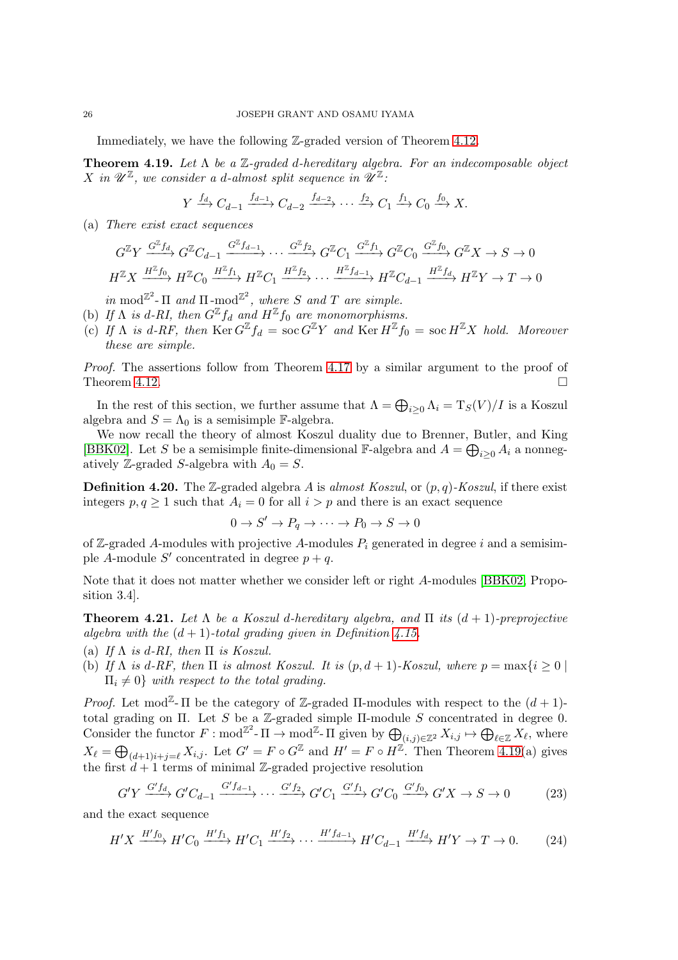Immediately, we have the following Z-graded version of Theorem [4.12.](#page-21-0)

<span id="page-25-1"></span>**Theorem 4.19.** Let  $\Lambda$  be a  $\mathbb{Z}$ -graded d-hereditary algebra. For an indecomposable object X in  $\mathscr{U}^{\mathbb{Z}}$ , we consider a d-almost split sequence in  $\mathscr{U}^{\mathbb{Z}}$ :

$$
Y \xrightarrow{f_d} C_{d-1} \xrightarrow{f_{d-1}} C_{d-2} \xrightarrow{f_{d-2}} \cdots \xrightarrow{f_2} C_1 \xrightarrow{f_1} C_0 \xrightarrow{f_0} X.
$$

(a) There exist exact sequences

$$
G^{\mathbb{Z}}Y \xrightarrow{G^{\mathbb{Z}}f_d} G^{\mathbb{Z}}C_{d-1} \xrightarrow{G^{\mathbb{Z}}f_{d-1}} \cdots \xrightarrow{G^{\mathbb{Z}}f_2} G^{\mathbb{Z}}C_1 \xrightarrow{G^{\mathbb{Z}}f_1} G^{\mathbb{Z}}C_0 \xrightarrow{G^{\mathbb{Z}}f_0} G^{\mathbb{Z}}X \to S \to 0
$$
  

$$
H^{\mathbb{Z}}X \xrightarrow{H^{\mathbb{Z}}f_0} H^{\mathbb{Z}}C_0 \xrightarrow{H^{\mathbb{Z}}f_1} H^{\mathbb{Z}}C_1 \xrightarrow{H^{\mathbb{Z}}f_2} \cdots \xrightarrow{H^{\mathbb{Z}}f_{d-1}} H^{\mathbb{Z}}C_{d-1} \xrightarrow{H^{\mathbb{Z}}f_d} H^{\mathbb{Z}}Y \to T \to 0
$$

in mod<sup> $\mathbb{Z}^2$ </sup>-  $\Pi$  and  $\Pi$ -mod<sup> $\mathbb{Z}^2$ </sup>, where S and T are simple.

- (b) If  $\Lambda$  is d-RI, then  $G^{\mathbb{Z}} f_d$  and  $H^{\mathbb{Z}} f_0$  are monomorphisms.
- (c) If  $\Lambda$  is d-RF, then  $\mathop{\rm Ker} G^{\mathbb{Z}} f_d = \mathop{\rm soc} G^{\mathbb{Z}} Y$  and  $\mathop{\rm Ker} H^{\mathbb{Z}} f_0 = \mathop{\rm soc} H^{\mathbb{Z}} X$  hold. Moreover these are simple.

Proof. The assertions follow from Theorem [4.17](#page-24-1) by a similar argument to the proof of Theorem [4.12.](#page-21-0)

In the rest of this section, we further assume that  $\Lambda = \bigoplus_{i \geq 0} \Lambda_i = T_S(V)/I$  is a Koszul algebra and  $S = \Lambda_0$  is a semisimple F-algebra.

We now recall the theory of almost Koszul duality due to Brenner, Butler, and King [\[BBK02\]](#page-33-6). Let S be a semisimple finite-dimensional F-algebra and  $A = \bigoplus_{i \geq 0} A_i$  a nonnegatively Z-graded S-algebra with  $A_0 = S$ .

**Definition 4.20.** The Z-graded algebra A is almost Koszul, or  $(p, q)$ -Koszul, if there exist integers  $p, q \ge 1$  such that  $A_i = 0$  for all  $i > p$  and there is an exact sequence

$$
0 \to S' \to P_q \to \cdots \to P_0 \to S \to 0
$$

of Z-graded A-modules with projective A-modules  $P_i$  generated in degree i and a semisimple A-module S' concentrated in degree  $p + q$ .

Note that it does not matter whether we consider left or right A-modules [\[BBK02,](#page-33-6) Proposition 3.4].

<span id="page-25-0"></span>**Theorem 4.21.** Let  $\Lambda$  be a Koszul d-hereditary algebra, and  $\Pi$  its  $(d + 1)$ -preprojective algebra with the  $(d+1)$ -total grading given in Definition 4.15.

(a) If  $\Lambda$  is d-RI, then  $\Pi$  is Koszul.

(b) If  $\Lambda$  is d-RF, then  $\Pi$  is almost Koszul. It is  $(p, d + 1)$ -Koszul, where  $p = \max\{i \geq 0\}$  $\Pi_i \neq 0$  with respect to the total grading.

*Proof.* Let mod<sup> $\mathbb{Z}$ -  $\Pi$  be the category of  $\mathbb{Z}$ -graded  $\Pi$ -modules with respect to the  $(d+1)$ -</sup> total grading on Π. Let S be a Z-graded simple  $\Pi$ -module S concentrated in degree 0. Consider the functor  $F: \text{mod}^{\mathbb{Z}^2} \to \text{mod}^{\mathbb{Z}^2} \to \text{mod}^{\mathbb{Z}^2}$  and  $\bigoplus_{(i,j)\in \mathbb{Z}^2} X_{i,j} \mapsto \bigoplus_{\ell \in \mathbb{Z}} X_{\ell}$ , where  $X_{\ell} = \bigoplus_{(d+1)i+j=\ell} X_{i,j}$ . Let  $G' = F \circ G^{\mathbb{Z}}$  and  $H' = F \circ H^{\mathbb{Z}}$ . Then Theorem [4.19\(](#page-25-1)a) gives the first  $d+1$  terms of minimal Z-graded projective resolution

<span id="page-25-2"></span>
$$
G'Y \xrightarrow{G'f_d} G'C_{d-1} \xrightarrow{G'f_{d-1}} \cdots \xrightarrow{G'f_2} G'C_1 \xrightarrow{G'f_1} G'C_0 \xrightarrow{G'f_0} G'X \to S \to 0
$$
 (23)

and the exact sequence

<span id="page-25-3"></span>
$$
H'X \xrightarrow{H'f_0} H'C_0 \xrightarrow{H'f_1} H'C_1 \xrightarrow{H'f_2} \cdots \xrightarrow{H'f_{d-1}} H'C_{d-1} \xrightarrow{H'f_d} H'Y \to T \to 0. \tag{24}
$$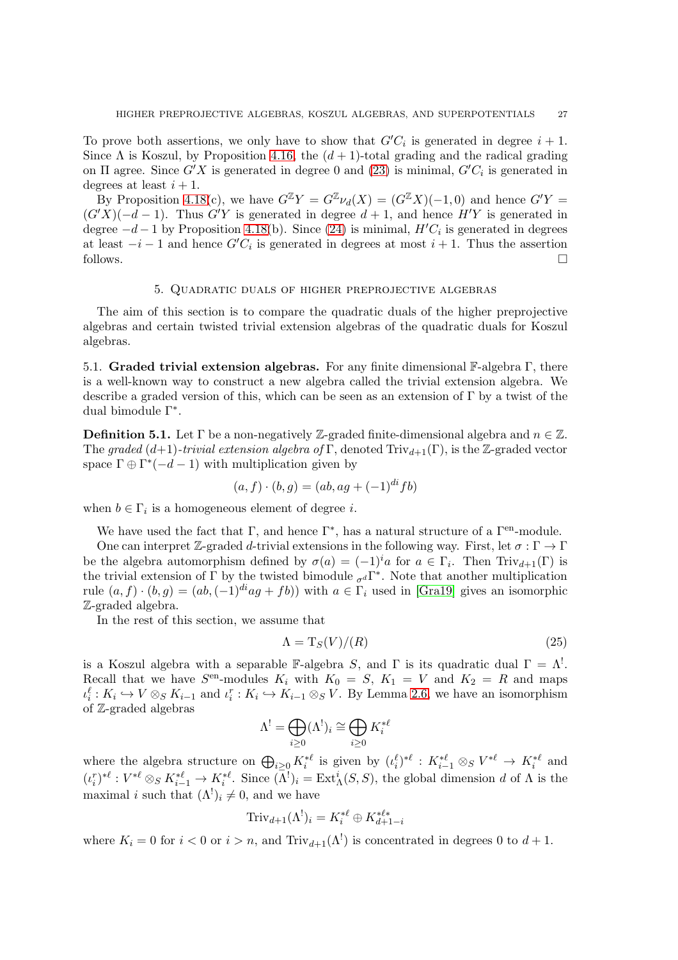To prove both assertions, we only have to show that  $G'C_i$  is generated in degree  $i + 1$ . Since  $\Lambda$  is Koszul, by Proposition [4.16,](#page-23-1) the  $(d+1)$ -total grading and the radical grading on  $\Pi$  agree. Since  $G'X$  is generated in degree 0 and [\(23\)](#page-25-2) is minimal,  $G'C_i$  is generated in degrees at least  $i + 1$ .

By Proposition 4.18(c), we have  $G^{\mathbb{Z}}Y = G^{\mathbb{Z}}\nu_d(X) = (G^{\mathbb{Z}}X)(-1,0)$  and hence  $G'Y =$  $(G'X)(-d-1)$ . Thus  $G'Y$  is generated in degree  $d+1$ , and hence  $H'Y$  is generated in degree  $-d-1$  by Proposition 4.18(b). Since [\(24\)](#page-25-3) is minimal,  $H'C_i$  is generated in degrees at least  $-i-1$  and hence  $G'C_i$  is generated in degrees at most  $i+1$ . Thus the assertion follows.  $\Box$ 

### 5. Quadratic duals of higher preprojective algebras

The aim of this section is to compare the quadratic duals of the higher preprojective algebras and certain twisted trivial extension algebras of the quadratic duals for Koszul algebras.

<span id="page-26-0"></span>5.1. Graded trivial extension algebras. For any finite dimensional F-algebra Γ, there is a well-known way to construct a new algebra called the trivial extension algebra. We describe a graded version of this, which can be seen as an extension of  $\Gamma$  by a twist of the dual bimodule Γ<sup>∗</sup> .

**Definition 5.1.** Let  $\Gamma$  be a non-negatively Z-graded finite-dimensional algebra and  $n \in \mathbb{Z}$ . The graded (d+1)-trivial extension algebra of Γ, denoted  $\text{Triv}_{d+1}(\Gamma)$ , is the Z-graded vector space  $\Gamma \oplus \Gamma^*(-d-1)$  with multiplication given by

$$
(a, f) \cdot (b, g) = (ab, ag + (-1)^{di} fb)
$$

when  $b \in \Gamma_i$  is a homogeneous element of degree *i*.

We have used the fact that  $\Gamma$ , and hence  $\Gamma^*$ , has a natural structure of a  $\Gamma^{\text{en}}$ -module.

One can interpret Z-graded d-trivial extensions in the following way. First, let  $\sigma : \Gamma \to \Gamma$ be the algebra automorphism defined by  $\sigma(a) = (-1)^i a$  for  $a \in \Gamma_i$ . Then Triv<sub>d+1</sub>(Γ) is the trivial extension of  $\Gamma$  by the twisted bimodule  $_{\sigma^d}\Gamma^*$ . Note that another multiplication rule  $(a, f) \cdot (b, g) = (ab, (-1)^{di}ag + fb)$  with  $a \in \Gamma_i$  used in [\[Gra19\]](#page-34-25) gives an isomorphic Z-graded algebra.

In the rest of this section, we assume that

<span id="page-26-1"></span>
$$
\Lambda = \mathrm{T}_S(V)/(R) \tag{25}
$$

is a Koszul algebra with a separable F-algebra S, and  $\Gamma$  is its quadratic dual  $\Gamma = \Lambda^!$ . Recall that we have  $S^{en}$ -modules  $K_i$  with  $K_0 = S$ ,  $K_1 = V$  and  $K_2 = R$  and maps  $\iota_i^{\ell}: K_i \hookrightarrow V \otimes_S K_{i-1}$  and  $\iota_i^r: K_i \hookrightarrow K_{i-1} \otimes_S V$ . By Lemma [2.6,](#page-7-2) we have an isomorphism of Z-graded algebras

$$
\Lambda^! = \bigoplus_{i \geq 0} (\Lambda^!)_i \cong \bigoplus_{i \geq 0} K_i^{* \ell}
$$

where the algebra structure on  $\bigoplus_{i\geq 0} K_i^{*\ell}$  is given by  $(\iota_i^{\ell})^{*\ell}: K_{i-1}^{*\ell} \otimes_S V^{*\ell} \to K_i^{*\ell}$  and  $(\iota_i^r)^{*\ell}: V^{*\ell} \otimes_S K_{i-1}^{*\ell} \to K_i^{*\ell}$ . Since  $(\Lambda^!)_i = \text{Ext}^i_{\Lambda}(S, S)$ , the global dimension d of  $\Lambda$  is the maximal *i* such that  $(\Lambda^!)_i \neq 0$ , and we have

$$
\operatorname{Triv}_{d+1}(\Lambda^!)_i = K_i^{*\ell} \oplus K_{d+1-i}^{*\ell *}
$$

where  $K_i = 0$  for  $i < 0$  or  $i > n$ , and  $Triv_{d+1}(\Lambda^!)$  is concentrated in degrees 0 to  $d+1$ .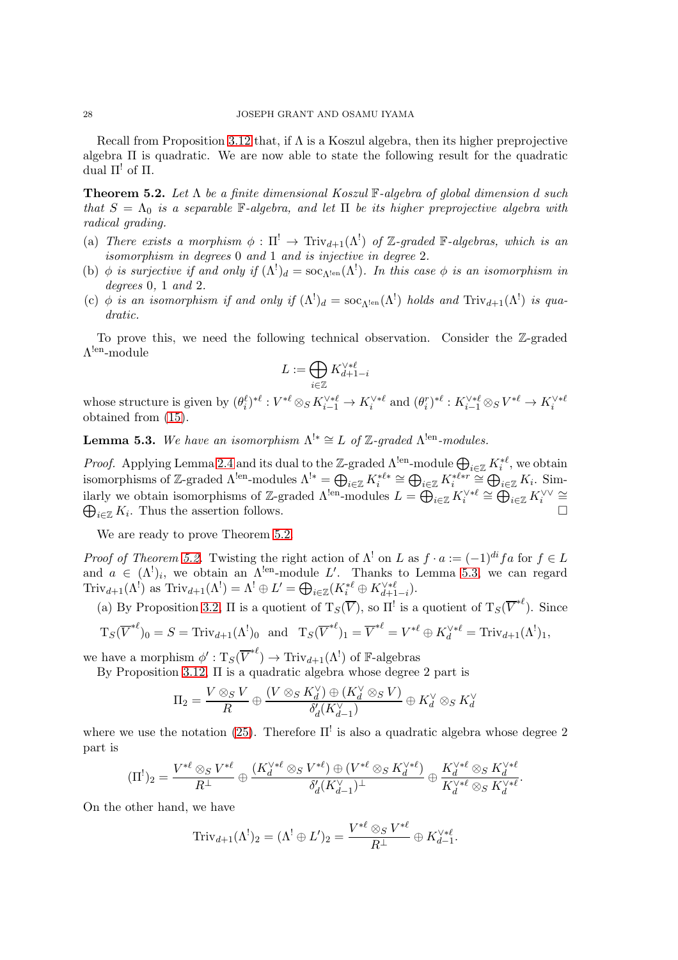Recall from Proposition [3.12](#page-14-1) that, if  $\Lambda$  is a Koszul algebra, then its higher preprojective algebra  $\Pi$  is quadratic. We are now able to state the following result for the quadratic dual  $\Pi^!$  of  $\Pi$ .

<span id="page-27-0"></span>**Theorem 5.2.** Let  $\Lambda$  be a finite dimensional Koszul F-algebra of global dimension d such that  $S = \Lambda_0$  is a separable F-algebra, and let  $\Pi$  be its higher preprojective algebra with radical grading.

- (a) There exists a morphism  $\phi : \Pi^! \to \text{Triv}_{d+1}(\Lambda^!)$  of Z-graded F-algebras, which is an isomorphism in degrees 0 and 1 and is injective in degree 2.
- (b)  $\phi$  is surjective if and only if  $(\Lambda^!)_d = \text{soc}_{\Lambda^!}(\Lambda^!)$ . In this case  $\phi$  is an isomorphism in degrees 0, 1 and 2.
- (c)  $\phi$  is an isomorphism if and only if  $(\Lambda^!)_d = \text{soc}_{\Lambda^{\text{len}}}(\Lambda^!)$  holds and  $\text{Triv}_{d+1}(\Lambda^!)$  is quadratic.

To prove this, we need the following technical observation. Consider the Z-graded  $\Lambda^{\rm len}\textrm{-module}$ 

$$
L:=\bigoplus_{i\in\mathbb{Z}}K_{d+1-i}^{\vee*\ell}
$$

whose structure is given by  $(\theta_i^{\ell})^{*\ell}: V^{*\ell} \otimes_S K_{i-1}^{\vee * \ell} \to K_i^{\vee * \ell}$  and  $(\theta_i^r)^{*\ell}: K_{i-1}^{\vee * \ell} \otimes_S V^{*\ell} \to K_i^{\vee * \ell}$ obtained from [\(15\)](#page-13-2).

<span id="page-27-1"></span>**Lemma 5.3.** We have an isomorphism  $\Lambda^{!*} \cong L$  of Z-graded  $\Lambda^{!en}\text{-modules.}$ 

*Proof.* Applying Lemma 2.4 and its dual to the Z-graded  $\Lambda^{len}$ -module  $\bigoplus_{i\in\mathbb{Z}} K_i^{*\ell}$ , we obtain *i* from the set of  $\mathbb{Z}$ -graded  $\Lambda^{!*} = \bigoplus_{i \in \mathbb{Z}} K_i^{*\ell *} \cong \bigoplus_{i \in \mathbb{Z}} K_i^{*\ell * r} \cong \bigoplus_{i \in \mathbb{Z}} K_i$ . Sim-<br>isomorphisms of  $\mathbb{Z}$ -graded  $\Lambda^{!*}$ -modules  $\Lambda^{!*} = \bigoplus_{i \in \mathbb{Z}} K_i^{*\ell * r} \cong \bigoplus_{i \in \mathbb{Z}} K_i$ . Similarly we obtain isomorphisms of Z-graded  $\Lambda^{len}$ -modules  $L = \bigoplus_{i \in \mathbb{Z}} K_i^{\vee \ast \ell} \cong \bigoplus_{i \in \mathbb{Z}} K_i^{\vee \vee} \cong$  $\bigoplus_{i\in\mathbb{Z}}K_i$ . Thus the assertion follows.  $\Box$ 

We are ready to prove Theorem [5.2.](#page-27-0)

*Proof of Theorem [5.2.](#page-27-0)* Twisting the right action of  $\Lambda^!$  on L as  $f \cdot a := (-1)^{di} fa$  for  $f \in L$ and  $a \in (\Lambda^!)_i$ , we obtain an  $\Lambda^{len}$ -module L'. Thanks to Lemma [5.3,](#page-27-1) we can regard Triv<sub>d+1</sub>( $\Lambda^!$ ) as Triv<sub>d+1</sub>( $\Lambda^!$ ) =  $\Lambda^! \oplus L' = \bigoplus_{i \in \mathbb{Z}} (K_i^{*\ell} \oplus K_{d+1-i}^{\vee * \ell})$ .

(a) By Proposition [3.2,](#page-9-4)  $\Pi$  is a quotient of  $T_S(\overline{V})$ , so  $\Pi^!$  is a quotient of  $T_S(\overline{V}^{*\ell})$ . Since

$$
\mathrm{T}_S(\overline{V}^{*\ell})_0 = S = \mathrm{Triv}_{d+1}(\Lambda^!)_0 \text{ and } \mathrm{T}_S(\overline{V}^{*\ell})_1 = \overline{V}^{*\ell} = V^{*\ell} \oplus K_d^{\vee * \ell} = \mathrm{Triv}_{d+1}(\Lambda^!)_1,
$$

we have a morphism  $\phi': \mathrm{T}_S(\overline{V}^{*\ell}) \to \mathrm{Triv}_{d+1}(\Lambda^!)$  of  $\mathbb{F}\text{-algebras}$ 

By Proposition [3.12,](#page-14-1) Π is a quadratic algebra whose degree 2 part is

$$
\Pi_2 = \frac{V \otimes_S V}{R} \oplus \frac{(V \otimes_S K_d^{\vee}) \oplus (K_d^{\vee} \otimes_S V)}{\delta_d^{\prime}(K_{d-1}^{\vee})} \oplus K_d^{\vee} \otimes_S K_d^{\vee}
$$

where we use the notation [\(25\)](#page-26-1). Therefore  $\Pi^!$  is also a quadratic algebra whose degree 2 part is

$$
(\Pi^!)_2 = \frac{V^{*\ell} \otimes_S V^{*\ell}}{R^\perp} \oplus \frac{(K_d^{\vee * \ell} \otimes_S V^{*\ell}) \oplus (V^{*\ell} \otimes_S K_d^{\vee * \ell})}{\delta_d'(K_{d-1}^\vee)^\perp} \oplus \frac{K_d^{\vee * \ell} \otimes_S K_d^{\vee * \ell}}{K_d^{\vee * \ell} \otimes_S K_d^{\vee * \ell}}.
$$

On the other hand, we have

$$
\operatorname{Triv}_{d+1}(\Lambda^!)_2 = (\Lambda^! \oplus L')_2 = \frac{V^{*\ell} \otimes_S V^{*\ell}}{R^\perp} \oplus K_{d-1}^{\vee * \ell}.
$$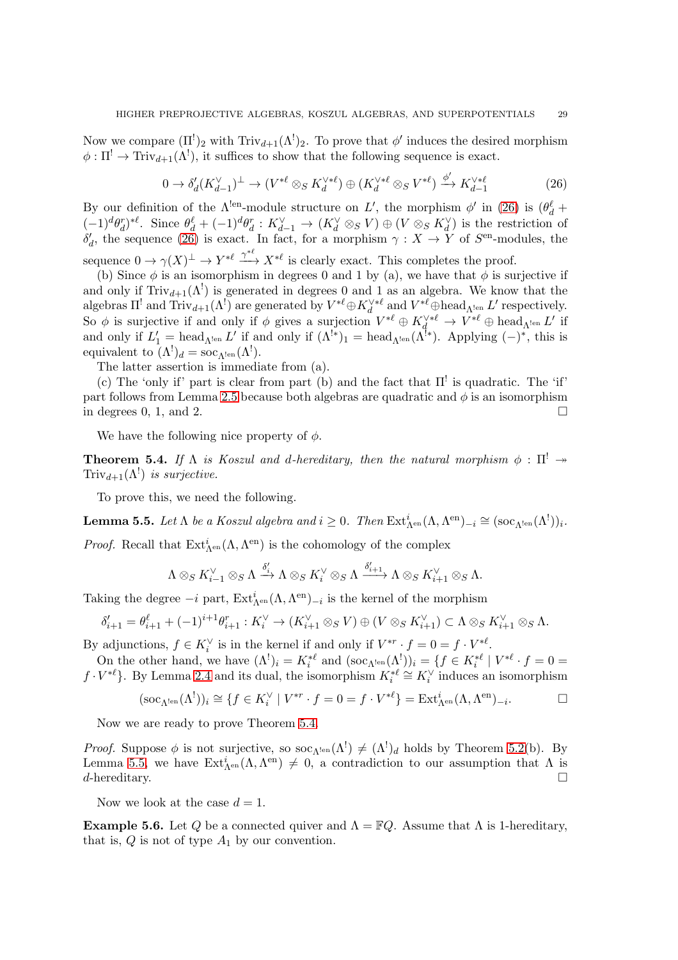Now we compare  $(\Pi^!)_2$  with  $\text{Triv}_{d+1}(\Lambda^!)_2$ . To prove that  $\phi'$  induces the desired morphism  $\phi: \Pi^! \to \text{Triv}_{d+1}(\Lambda^!)$ , it suffices to show that the following sequence is exact.

<span id="page-28-1"></span>
$$
0 \to \delta_d'(K_{d-1}^{\vee})^{\perp} \to (V^{*\ell} \otimes_S K_d^{\vee * \ell}) \oplus (K_d^{\vee * \ell} \otimes_S V^{*\ell}) \xrightarrow{\phi'} K_{d-1}^{\vee * \ell} \tag{26}
$$

By our definition of the  $\Lambda^{\text{len}}$ -module structure on L', the morphism  $\phi'$  in [\(26\)](#page-28-1) is  $(\theta_d^{\ell} +$  $(-1)^d \theta_d^r$ <sup>\*</sup>. Since  $\theta_d^{\ell} + (-1)^d \theta_d^r : K_{d-1}^{\vee} \to (K_d^{\vee} \otimes_S V) \oplus (V \otimes_S K_d^{\vee})$  is the restriction of  $\delta'_{d}$ , the sequence [\(26\)](#page-28-1) is exact. In fact, for a morphism  $\gamma: X \to Y$  of  $S^{en}$ -modules, the sequence  $0 \to \gamma(X)^{\perp} \to Y^{*\ell} \xrightarrow{\gamma^*\ell} X^{*\ell}$  is clearly exact. This completes the proof.

(b) Since  $\phi$  is an isomorphism in degrees 0 and 1 by (a), we have that  $\phi$  is surjective if and only if  $Triv_{d+1}(\Lambda^!)$  is generated in degrees 0 and 1 as an algebra. We know that the algebras  $\Pi^!$  and  $\text{Triv}_{d+1}(\Lambda^!)$  are generated by  $V^{*\ell} \oplus K_d^{\vee * \ell}$  and  $V^{*\ell} \oplus \text{head}_{\Lambda^{\text{len}}} L'$  respectively. So  $\phi$  is surjective if and only if  $\phi$  gives a surjection  $V^{*\ell} \oplus K_d^{\vee * \ell} \to V^{*\ell} \oplus \text{head}_{\Lambda^{len}} L'$  if and only if  $L'_1 = \text{head}_{\Lambda^{\text{len}}} L'$  if and only if  $(\Lambda^{\text{lg}})_1 = \text{head}_{\Lambda^{\text{len}}}(\Lambda^{\text{lg}})$ . Applying  $(-)^*$ , this is equivalent to  $(\Lambda^!)_d = \operatorname{soc}_{\Lambda^{\text{len}}}(\Lambda^!)$ .

The latter assertion is immediate from (a).

(c) The 'only if' part is clear from part (b) and the fact that  $\Pi^!$  is quadratic. The 'if' part follows from Lemma [2.5](#page-6-1) because both algebras are quadratic and  $\phi$  is an isomorphism in degrees  $0, 1,$  and  $2.$ 

We have the following nice property of  $\phi$ .

<span id="page-28-0"></span>**Theorem 5.4.** If  $\Lambda$  is Koszul and d-hereditary, then the natural morphism  $\phi : \Pi^! \rightarrow$  $\text{Triv}_{d+1}(\Lambda^!)$  is surjective.

To prove this, we need the following.

<span id="page-28-2"></span>**Lemma 5.5.** Let  $\Lambda$  be a Koszul algebra and  $i \geq 0$ . Then  $\text{Ext}_{\Lambda^{\text{en}}}^i(\Lambda, \Lambda^{\text{en}})_{-i} \cong (\text{soc}_{\Lambda^{\text{len}}}(\Lambda^!))_i$ .

*Proof.* Recall that  $Ext^i_{\Lambda^{en}}(\Lambda, \Lambda^{en})$  is the cohomology of the complex

$$
\Lambda\otimes_S K_{i-1}^\vee\otimes_S\Lambda\xrightarrow{\delta_i'}\Lambda\otimes_S K_i^\vee\otimes_S\Lambda\xrightarrow{\delta_{i+1}'}\Lambda\otimes_S K_{i+1}^\vee\otimes_S\Lambda.
$$

Taking the degree  $-i$  part,  $\text{Ext}_{\Lambda^{en}}^i(\Lambda, \Lambda^{en})_{-i}$  is the kernel of the morphism

$$
\delta'_{i+1} = \theta_{i+1}^{\ell} + (-1)^{i+1} \theta_{i+1}^r : K_i^{\vee} \to (K_{i+1}^{\vee} \otimes_S V) \oplus (V \otimes_S K_{i+1}^{\vee}) \subset \Lambda \otimes_S K_{i+1}^{\vee} \otimes_S \Lambda.
$$

By adjunctions,  $f \in K_i^{\vee}$  is in the kernel if and only if  $V^{*r} \cdot f = 0 = f \cdot V^{*\ell}$ .

On the other hand, we have  $(\Lambda^!)_i = K_i^{*\ell}$  and  $(\text{soc}_{\Lambda^!\text{en}}(\Lambda^!))_i = \{f \in K_i^{*\ell} \mid V^{*\ell} \cdot f = 0 = 0\}$  $i$  and  $\left(\text{soc}_{\Lambda^{[\text{en}}(1)})/i - 1\right) \subset \Lambda_i$  $f \cdot V^{*\ell}$ . By Lemma 2.4 and its dual, the isomorphism  $K_i^{*\ell} \cong K_i^{\vee}$  induces an isomorphism

$$
(\operatorname{soc}_{\Lambda^{\operatorname{len}}}(\Lambda^{\mathfrak{l}}))_i \cong \{ f \in K_i^{\vee} \mid V^{*r} \cdot f = 0 = f \cdot V^{*\ell} \} = \operatorname{Ext}_{\Lambda^{\operatorname{en}}}^i(\Lambda, \Lambda^{\operatorname{en}})_{-i}.
$$

Now we are ready to prove Theorem [5.4.](#page-28-0)

*Proof.* Suppose  $\phi$  is not surjective, so  $\operatorname{soc}_{\Lambda^{len}}(\Lambda^!) \neq (\Lambda^!)_d$  holds by Theorem [5.2\(](#page-27-0)b). By Lemma [5.5,](#page-28-2) we have  $Ext^i_{\Lambda^{en}}(\Lambda, \Lambda^{en}) \neq 0$ , a contradiction to our assumption that  $\Lambda$  is  $d$ -hereditary.

Now we look at the case  $d = 1$ .

<span id="page-28-3"></span>**Example 5.6.** Let Q be a connected quiver and  $\Lambda = \mathbb{F}Q$ . Assume that  $\Lambda$  is 1-hereditary, that is,  $Q$  is not of type  $A_1$  by our convention.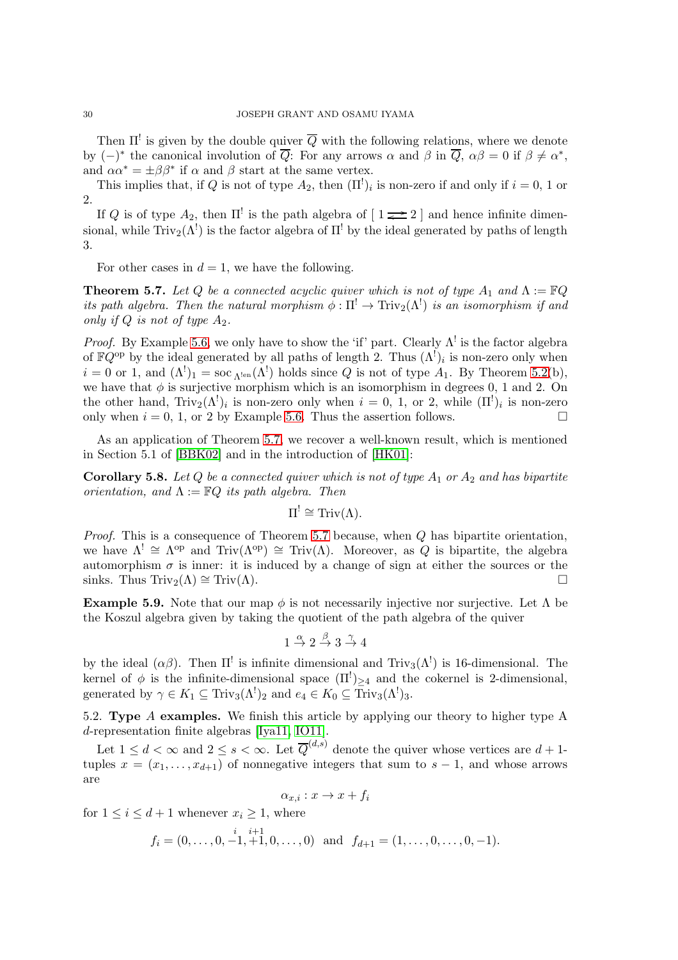Then  $\Pi^!$  is given by the double quiver  $\overline{Q}$  with the following relations, where we denote by  $(-)^*$  the canonical involution of  $\overline{Q}$ : For any arrows  $\alpha$  and  $\beta$  in  $\overline{Q}$ ,  $\alpha\beta = 0$  if  $\beta \neq \alpha^*$ , and  $\alpha \alpha^* = \pm \beta \beta^*$  if  $\alpha$  and  $\beta$  start at the same vertex.

This implies that, if Q is not of type  $A_2$ , then  $(\Pi^!)_i$  is non-zero if and only if  $i = 0, 1$  or 2.

If Q is of type  $A_2$ , then  $\Pi^!$  is the path algebra of  $[1 \rightleftarrows 2]$  and hence infinite dimensional, while  $\text{Triv}_2(\Lambda^!)$  is the factor algebra of  $\Pi^!$  by the ideal generated by paths of length 3.

For other cases in  $d = 1$ , we have the following.

<span id="page-29-0"></span>**Theorem 5.7.** Let Q be a connected acyclic quiver which is not of type  $A_1$  and  $\Lambda := \mathbb{F} Q$ its path algebra. Then the natural morphism  $\phi : \Pi^! \to \text{Triv}_2(\Lambda^!)$  is an isomorphism if and only if Q is not of type  $A_2$ .

*Proof.* By Example [5.6,](#page-28-3) we only have to show the 'if' part. Clearly  $\Lambda^!$  is the factor algebra of  $\mathbb{F}Q^{\text{op}}$  by the ideal generated by all paths of length 2. Thus  $(\Lambda^!)_i$  is non-zero only when  $i = 0$  or 1, and  $(\Lambda^!)_1 = \text{soc}_{\Lambda^{!}}(\Lambda^!)$  holds since Q is not of type  $A_1$ . By Theorem [5.2\(](#page-27-0)b), we have that  $\phi$  is surjective morphism which is an isomorphism in degrees 0, 1 and 2. On the other hand,  $\text{Triv}_2(\Lambda^!)_i$  is non-zero only when  $i = 0, 1, \text{ or } 2$ , while  $(\Pi^!)_i$  is non-zero only when  $i = 0, 1$ , or 2 by Example [5.6.](#page-28-3) Thus the assertion follows.

As an application of Theorem [5.7,](#page-29-0) we recover a well-known result, which is mentioned in Section 5.1 of [\[BBK02\]](#page-33-6) and in the introduction of [\[HK01\]](#page-34-26):

**Corollary 5.8.** Let Q be a connected quiver which is not of type  $A_1$  or  $A_2$  and has bipartite orientation, and  $\Lambda := \mathbb{F}Q$  its path algebra. Then

$$
\Pi^! \cong \operatorname{Triv}(\Lambda).
$$

*Proof.* This is a consequence of Theorem [5.7](#page-29-0) because, when  $Q$  has bipartite orientation, we have  $\Lambda^! \cong \Lambda^{\text{op}}$  and Triv $(\Lambda^{\text{op}}) \cong \text{Triv}(\Lambda)$ . Moreover, as Q is bipartite, the algebra automorphism  $\sigma$  is inner: it is induced by a change of sign at either the sources or the sinks. Thus Triv<sub>2</sub>( $\Lambda$ ) ≅ Triv( $\Lambda$ ).

**Example 5.9.** Note that our map  $\phi$  is not necessarily injective nor surjective. Let  $\Lambda$  be the Koszul algebra given by taking the quotient of the path algebra of the quiver

$$
1 \stackrel{\alpha}{\rightarrow} 2 \stackrel{\beta}{\rightarrow} 3 \stackrel{\gamma}{\rightarrow} 4
$$

by the ideal  $(\alpha\beta)$ . Then  $\Pi^!$  is infinite dimensional and Triv<sub>3</sub>( $\Lambda^!$ ) is 16-dimensional. The kernel of  $\phi$  is the infinite-dimensional space  $(\Pi^!)_{\geq 4}$  and the cokernel is 2-dimensional, generated by  $\gamma \in K_1 \subseteq \text{Triv}_3(\Lambda^!)_2$  and  $e_4 \in K_0 \subseteq \text{Triv}_3(\Lambda^!)_3$ .

5.2. Type A examples. We finish this article by applying our theory to higher type A d-representation finite algebras [\[Iya11,](#page-34-21) [IO11\]](#page-34-8).

Let  $1 \leq d < \infty$  and  $2 \leq s < \infty$ . Let  $\overline{Q}^{(d,s)}$  denote the quiver whose vertices are  $d+1$ tuples  $x = (x_1, \ldots, x_{d+1})$  of nonnegative integers that sum to  $s - 1$ , and whose arrows are

$$
\alpha_{x,i}: x \to x + f_i
$$

for  $1 \leq i \leq d+1$  whenever  $x_i \geq 1$ , where

$$
f_i = (0, \ldots, 0, -1, +1, 0, \ldots, 0)
$$
 and  $f_{d+1} = (1, \ldots, 0, \ldots, 0, -1).$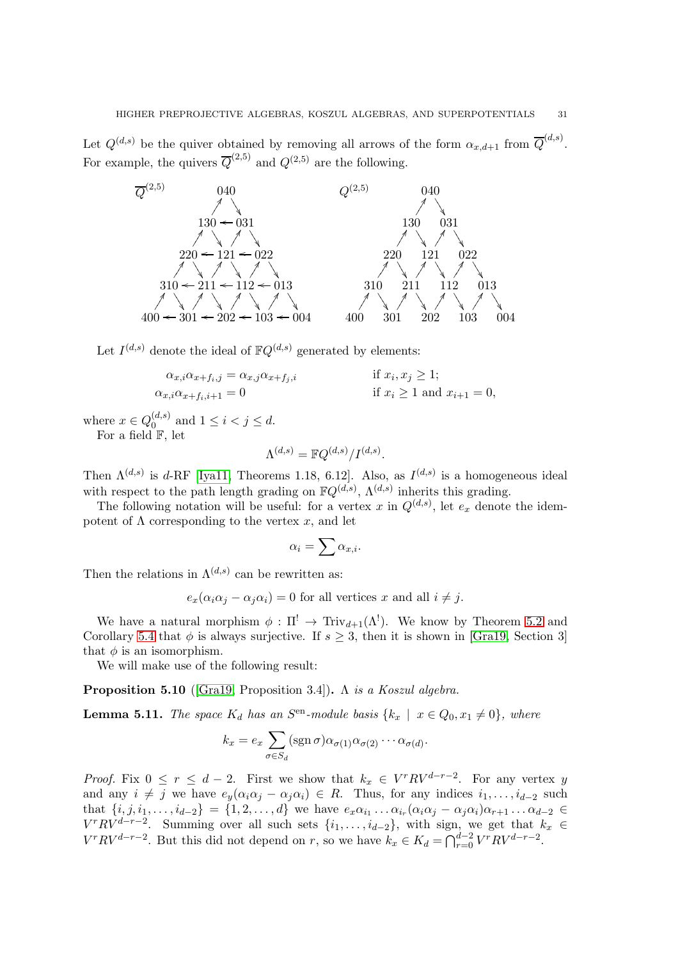Let  $Q^{(d,s)}$  be the quiver obtained by removing all arrows of the form  $\alpha_{x,d+1}$  from  $\overline{Q}^{(d,s)}$ . For example, the quivers  $\overline{Q}^{(2,5)}$  and  $Q^{(2,5)}$  are the following.



Let  $I^{(d,s)}$  denote the ideal of  $\mathbb{F}Q^{(d,s)}$  generated by elements:

$$
\alpha_{x,i}\alpha_{x+f_i,j} = \alpha_{x,j}\alpha_{x+f_j,i}
$$
 if  $x_i, x_j \ge 1$ ;  
\n
$$
\alpha_{x,i}\alpha_{x+f_i,i+1} = 0
$$
 if  $x_i \ge 1$  and  $x_{i+1} = 0$ ,

where  $x \in Q_0^{(d,s)}$  $\binom{a,s}{0}$  and  $1 \leq i < j \leq d$ . For a field F, let

$$
\Lambda^{(d,s)} = \mathbb{F} Q^{(d,s)}/I^{(d,s)}.
$$

Then  $\Lambda^{(d,s)}$  is d-RF [\[Iya11,](#page-34-21) Theorems 1.18, 6.12]. Also, as  $I^{(d,s)}$  is a homogeneous ideal with respect to the path length grading on  $\mathbb{F}Q^{(d,s)}$ ,  $\Lambda^{(d,s)}$  inherits this grading.

The following notation will be useful: for a vertex x in  $Q^{(d,s)}$ , let  $e_x$  denote the idempotent of  $\Lambda$  corresponding to the vertex x, and let

$$
\alpha_i = \sum \alpha_{x,i}.
$$

Then the relations in  $\Lambda^{(d,s)}$  can be rewritten as:

$$
e_x(\alpha_i\alpha_j - \alpha_j\alpha_i) = 0
$$
 for all vertices x and all  $i \neq j$ .

We have a natural morphism  $\phi : \Pi^! \to \text{Triv}_{d+1}(\Lambda^!)$ . We know by Theorem [5.2](#page-27-0) and Corollary [5.4](#page-28-0) that  $\phi$  is always surjective. If  $s \geq 3$ , then it is shown in [\[Gra19,](#page-34-25) Section 3] that  $\phi$  is an isomorphism.

We will make use of the following result:

**Proposition 5.10** ([\[Gra19,](#page-34-25) Proposition 3.4]).  $\Lambda$  is a Koszul algebra.

<span id="page-30-0"></span>**Lemma 5.11.** The space  $K_d$  has an  $S^{en}$ -module basis  $\{k_x \mid x \in Q_0, x_1 \neq 0\}$ , where

$$
k_x = e_x \sum_{\sigma \in S_d} (\operatorname{sgn} \sigma) \alpha_{\sigma(1)} \alpha_{\sigma(2)} \cdots \alpha_{\sigma(d)}.
$$

*Proof.* Fix  $0 \le r \le d - 2$ . First we show that  $k_x \in V^r R V^{d-r-2}$ . For any vertex y and any  $i \neq j$  we have  $e_y(\alpha_i \alpha_j - \alpha_j \alpha_i) \in R$ . Thus, for any indices  $i_1, \ldots, i_{d-2}$  such that  $\{i, j, i_1, \ldots, i_{d-2}\} = \{1, 2, \ldots, d\}$  we have  $e_x \alpha_{i_1} \ldots \alpha_{i_r} (\alpha_i \alpha_j - \alpha_j \alpha_i) \alpha_{r+1} \ldots \alpha_{d-2} \in$  $V^r R V^{d-r-2}$ . Summing over all such sets  $\{i_1, \ldots, i_{d-2}\}$ , with sign, we get that  $k_x \in$  $V^r R V^{d-r-2}$ . But this did not depend on r, so we have  $k_x \in K_d = \bigcap_{r=0}^{d-2} V^r R V^{d-r-2}$ .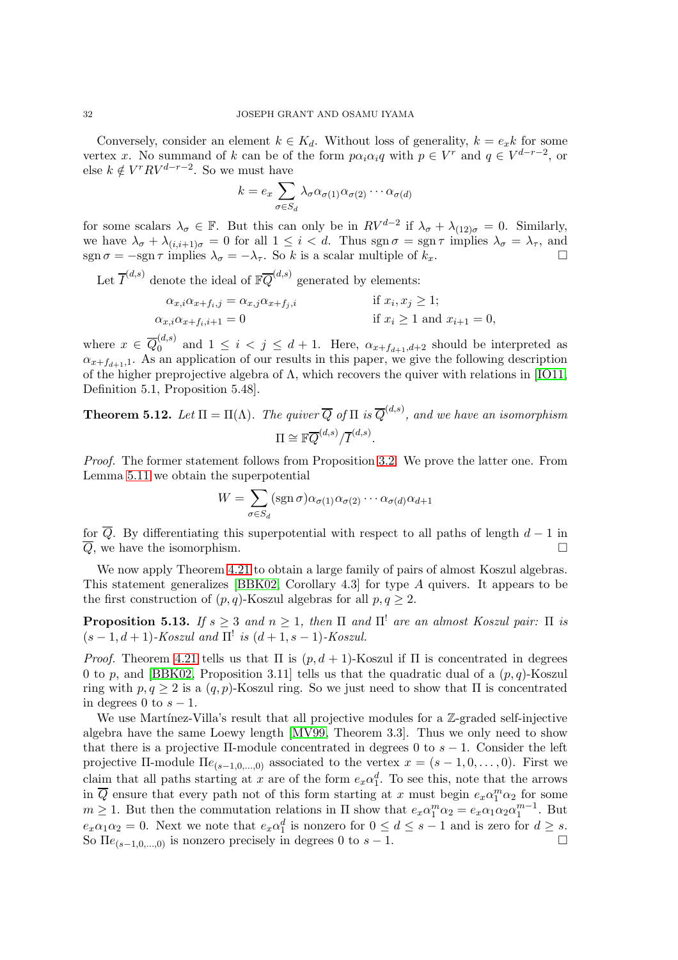Conversely, consider an element  $k \in K_d$ . Without loss of generality,  $k = e_x k$  for some vertex x. No summand of k can be of the form  $p\alpha_i\alpha_i q$  with  $p \in V^r$  and  $q \in V^{d-r-2}$ , or else  $k \notin V^r R V^{d-r-2}$ . So we must have

$$
k = e_x \sum_{\sigma \in S_d} \lambda_\sigma \alpha_{\sigma(1)} \alpha_{\sigma(2)} \cdots \alpha_{\sigma(d)}
$$

for some scalars  $\lambda_{\sigma} \in \mathbb{F}$ . But this can only be in  $RV^{d-2}$  if  $\lambda_{\sigma} + \lambda_{(12)\sigma} = 0$ . Similarly, we have  $\lambda_{\sigma} + \lambda_{(i,i+1)\sigma} = 0$  for all  $1 \leq i < d$ . Thus sgn  $\sigma = \text{sgn } \tau$  implies  $\lambda_{\sigma} = \lambda_{\tau}$ , and  $\text{sgn}\,\sigma = -\text{sgn}\,\tau \text{ implies } \lambda_{\sigma} = -\lambda_{\tau}.$  So k is a scalar multiple of  $k_x$ .

Let  $\overline{I}^{(d,s)}$  denote the ideal of  $\mathbb{F}_{Q}^{\overline{Q}^{(d,s)}}$  generated by elements:

$$
\alpha_{x,i}\alpha_{x+f_i,j} = \alpha_{x,j}\alpha_{x+f_j,i}
$$
 if  $x_i, x_j \ge 1$ ;  
\n
$$
\alpha_{x,i}\alpha_{x+f_i,i+1} = 0
$$
 if  $x_i \ge 1$  and  $x_{i+1} = 0$ ,

where  $x \in \overline{Q}_0^{(d,s)}$  $0 \n\in (a, b)$  and  $1 \leq i \leq j \leq d+1$ . Here,  $\alpha_{x+f_{d+1},d+2}$  should be interpreted as  $\alpha_{x+f_{d+1},1}$ . As an application of our results in this paper, we give the following description of the higher preprojective algebra of Λ, which recovers the quiver with relations in [\[IO11,](#page-34-8) Definition 5.1, Proposition 5.48].

**Theorem 5.12.** Let  $\Pi = \Pi(\Lambda)$ . The quiver  $\overline{Q}$  of  $\Pi$  is  $\overline{Q}^{(d,s)}$ , and we have an isomorphism  $\Pi\cong \mathbb{F}\overline{Q}^{(d,s)}/\overline{I}^{(d,s)}.$ 

Proof. The former statement follows from Proposition [3.2.](#page-9-4) We prove the latter one. From Lemma [5.11](#page-30-0) we obtain the superpotential

$$
W = \sum_{\sigma \in S_d} (\operatorname{sgn} \sigma) \alpha_{\sigma(1)} \alpha_{\sigma(2)} \cdots \alpha_{\sigma(d)} \alpha_{d+1}
$$

for  $\overline{Q}$ . By differentiating this superpotential with respect to all paths of length  $d-1$  in  $\overline{Q}$ , we have the isomorphism.

We now apply Theorem [4.21](#page-25-0) to obtain a large family of pairs of almost Koszul algebras. This statement generalizes [\[BBK02,](#page-33-6) Corollary 4.3] for type A quivers. It appears to be the first construction of  $(p, q)$ -Koszul algebras for all  $p, q \geq 2$ .

**Proposition 5.13.** If  $s \geq 3$  and  $n \geq 1$ , then  $\Pi$  and  $\Pi'$  are an almost Koszul pair:  $\Pi$  is  $(s-1, d+1)$ -Koszul and  $\Pi^!$  is  $(d+1, s-1)$ -Koszul.

*Proof.* Theorem [4.21](#page-25-0) tells us that  $\Pi$  is  $(p, d + 1)$ -Koszul if  $\Pi$  is concentrated in degrees 0 to p, and [\[BBK02,](#page-33-6) Proposition 3.11] tells us that the quadratic dual of a  $(p, q)$ -Koszul ring with  $p, q \geq 2$  is a  $(q, p)$ -Koszul ring. So we just need to show that  $\Pi$  is concentrated in degrees 0 to  $s - 1$ .

We use Martínez-Villa's result that all projective modules for a  $\mathbb{Z}$ -graded self-injective algebra have the same Loewy length [\[MV99,](#page-34-27) Theorem 3.3]. Thus we only need to show that there is a projective  $\Pi$ -module concentrated in degrees 0 to  $s-1$ . Consider the left projective II-module  $\text{He}_{(s-1,0,...,0)}$  associated to the vertex  $x = (s-1,0,...,0)$ . First we claim that all paths starting at x are of the form  $e_x \alpha_1^d$ . To see this, note that the arrows in  $\overline{Q}$  ensure that every path not of this form starting at x must begin  $e_x \alpha_1^m \alpha_2$  for some  $m \geq 1$ . But then the commutation relations in  $\Pi$  show that  $e_x \alpha_1^m \alpha_2 = e_x \alpha_1 \alpha_2 \alpha_1^{m-1}$ . But  $e_x\alpha_1\alpha_2=0$ . Next we note that  $e_x\alpha_1^d$  is nonzero for  $0 \leq d \leq s-1$  and is zero for  $d \geq s$ . So  $\Pi e_{(s-1,0,\ldots,0)}$  is nonzero precisely in degrees 0 to  $s-1$ .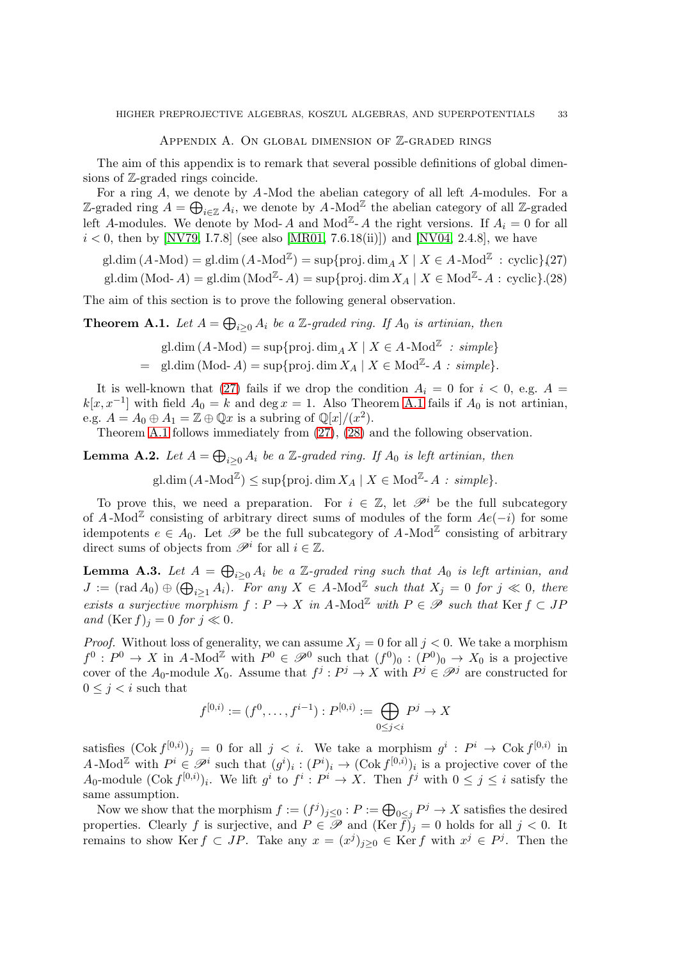#### APPENDIX A. ON GLOBAL DIMENSION OF Z-GRADED RINGS

The aim of this appendix is to remark that several possible definitions of global dimensions of Z-graded rings coincide.

For a ring A, we denote by A -Mod the abelian category of all left A-modules. For a Z-graded ring  $A = \bigoplus_{i \in \mathbb{Z}} A_i$ , we denote by  $A$ -Mod<sup>Z</sup> the abelian category of all Z-graded left A-modules. We denote by Mod- A and  $\text{Mod}^{\mathbb{Z}}$ - A the right versions. If  $A_i = 0$  for all  $i < 0$ , then by [\[NV79,](#page-35-13) I.7.8] (see also [\[MR01,](#page-34-28) 7.6.18(ii)]) and [\[NV04,](#page-35-14) 2.4.8], we have

<span id="page-32-1"></span>gl.dim  $(A \cdot Mod) = \text{gl.dim}(A \cdot Mod^{\mathbb{Z}}) = \sup\{\text{proj.dim}_A X \mid X \in A \cdot Mod^{\mathbb{Z}} : \text{cyclic}\}(27)$ 

gl.dim (Mod- A) = gl.dim (Mod<sup>Z</sup>- A) = sup{proj.dim  $X_A \mid X \in \text{Mod}^{\mathbb{Z}}-A$  : cyclic}.(28)

The aim of this section is to prove the following general observation.

<span id="page-32-0"></span>**Theorem A.1.** Let  $A = \bigoplus_{i \geq 0} A_i$  be a Z-graded ring. If  $A_0$  is artinian, then

gl.dim  $(A - Mod) = \sup \{ \text{proj. dim}_A X \mid X \in A - Mod^{\mathbb{Z}} : simple \}$ 

= gl.dim (Mod- A) = sup{proj. dim  $X_A | X \in Mod^{\mathbb{Z}}$ - A : simple}.

It is well-known that [\(27\)](#page-32-1) fails if we drop the condition  $A_i = 0$  for  $i < 0$ , e.g.  $A =$  $k[x, x^{-1}]$  with field  $A_0 = k$  and deg  $x = 1$ . Also Theorem [A.1](#page-32-0) fails if  $A_0$  is not artinian, e.g.  $A = A_0 \oplus A_1 = \mathbb{Z} \oplus \mathbb{Q}x$  is a subring of  $\mathbb{Q}[x]/(x^2)$ .

Theorem [A.1](#page-32-0) follows immediately from [\(27\)](#page-32-1), [\(28\)](#page-32-1) and the following observation.

<span id="page-32-2"></span>**Lemma A.2.** Let  $A = \bigoplus_{i \geq 0} A_i$  be a Z-graded ring. If  $A_0$  is left artinian, then

gl.dim  $(A \cdot \text{Mod}^{\mathbb{Z}}) \leq \sup \{ \text{proj.} \dim X_A \mid X \in \text{Mod}^{\mathbb{Z}} \text{-} A : simple \}.$ 

To prove this, we need a preparation. For  $i \in \mathbb{Z}$ , let  $\mathscr{P}^i$  be the full subcategory of A-Mod<sup> $\mathbb Z$ </sup> consisting of arbitrary direct sums of modules of the form  $Ae(-i)$  for some idempotents  $e \in A_0$ . Let  $\mathscr P$  be the full subcategory of A-Mod<sup> $\mathbb Z$ </sup> consisting of arbitrary direct sums of objects from  $\mathscr{P}^i$  for all  $i \in \mathbb{Z}$ .

<span id="page-32-3"></span>**Lemma A.3.** Let  $A = \bigoplus_{i \geq 0} A_i$  be a Z-graded ring such that  $A_0$  is left artinian, and  $J := (\text{rad } A_0) \oplus (\bigoplus_{i \geq 1} A_i)$ . For any  $X \in A$ -Mod<sup>Z</sup> such that  $X_j = 0$  for  $j \ll 0$ , there exists a surjective morphism  $f: P \to X$  in A-Mod<sup>Z</sup> with  $P \in \mathscr{P}$  such that Ker  $f \subset JP$ and  $(\text{Ker } f)_i = 0$  for  $j \ll 0$ .

*Proof.* Without loss of generality, we can assume  $X_j = 0$  for all  $j < 0$ . We take a morphism  $f^0: P^0 \to X$  in A-Mod<sup>Z</sup> with  $P^0 \in \mathscr{P}^0$  such that  $(f^0)_0: (P^0)_0 \to X_0$  is a projective cover of the  $A_0$ -module  $X_0$ . Assume that  $f^j: P^j \to X$  with  $P^j \in \mathscr{P}^j$  are constructed for  $0 \leq j \leq i$  such that

$$
f^{[0,i)} := (f^0, \dots, f^{i-1}) : P^{[0,i)} := \bigoplus_{0 \le j < i} P^j \to X
$$

satisfies  $(\text{Cok } f^{[0,i)})_j = 0$  for all  $j < i$ . We take a morphism  $g^i : P^i \to \text{Cok } f^{[0,i)}$  in A-Mod<sup>Z</sup> with  $P^i \in \mathscr{P}^i$  such that  $(g^i)_i : (P^i)_i \to (\text{Cok } f^{[0,i)})_i$  is a projective cover of the  $A_0$ -module  $(\text{Cok } f^{[0,i)})_i$ . We lift  $g^i$  to  $f^i: P^i \to X$ . Then  $f^j$  with  $0 \leq j \leq i$  satisfy the same assumption.

Now we show that the morphism  $f := (f^j)_{j \leq 0} : P := \bigoplus_{0 \leq j} P^j \to X$  satisfies the desired properties. Clearly f is surjective, and  $P \in \mathscr{P}$  and  $(\text{Ker } \tilde{f})_j = 0$  holds for all  $j < 0$ . It remains to show Ker  $f \subset JP$ . Take any  $x=(x^j)_{j\geq 0} \in \text{Ker } f$  with  $x^j \in P^j$ . Then the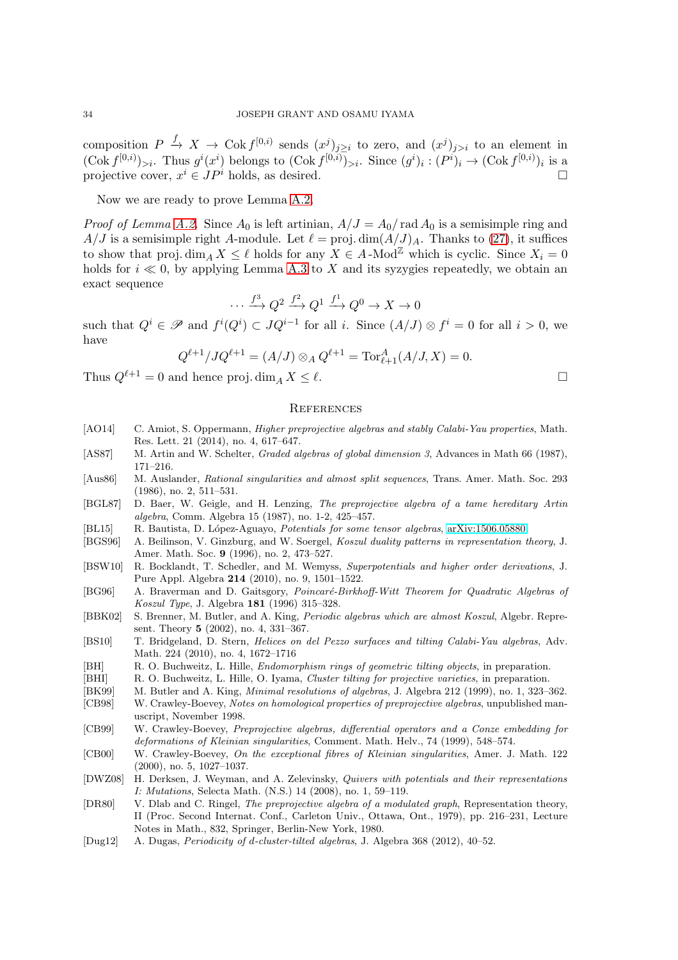composition  $P \xrightarrow{f} X \to \text{Cok } f^{[0,i)}$  sends  $(x^j)_{j\geq i}$  to zero, and  $(x^j)_{j>i}$  to an element in  $(\text{Cok } f^{[0,i]})_{>i}$ . Thus  $g^i(x^i)$  belongs to  $(\text{Cok } f^{[0,i]})_{>i}$ . Since  $(g^i)_i : (P^i)_i \to (\text{Cok } f^{[0,i]})_i$  is a projective cover,  $x^i \in JP^i$  holds, as desired.

Now we are ready to prove Lemma [A.2.](#page-32-2)

*Proof of Lemma [A.2.](#page-32-2)* Since  $A_0$  is left artinian,  $A/J = A_0/\text{rad } A_0$  is a semisimple ring and  $A/J$  is a semisimple right A-module. Let  $\ell = \text{proj.dim}(A/J)_A$ . Thanks to [\(27\)](#page-32-1), it suffices to show that proj.  $\dim_A X \leq \ell$  holds for any  $X \in A$ -Mod<sup>Z</sup> which is cyclic. Since  $X_i = 0$ holds for  $i \ll 0$ , by applying Lemma [A.3](#page-32-3) to X and its syzygies repeatedly, we obtain an exact sequence

$$
\cdots \xrightarrow{f^3} Q^2 \xrightarrow{f^2} Q^1 \xrightarrow{f^1} Q^0 \to X \to 0
$$

such that  $Q^i \in \mathscr{P}$  and  $f^i(Q^i) \subset JQ^{i-1}$  for all i. Since  $(A/J) \otimes f^i = 0$  for all  $i > 0$ , we have

$$
Q^{\ell+1}/JQ^{\ell+1} = (A/J) \otimes_A Q^{\ell+1} = \text{Tor}_{\ell+1}^A (A/J, X) = 0.
$$

Thus  $Q^{\ell+1} = 0$  and hence proj.  $\dim_A X \leq \ell$ .

### **REFERENCES**

- <span id="page-33-7"></span>[AO14] C. Amiot, S. Oppermann, *Higher preprojective algebras and stably Calabi-Yau properties*, Math. Res. Lett. 21 (2014), no. 4, 617–647.
- <span id="page-33-15"></span>[AS87] M. Artin and W. Schelter, Graded algebras of global dimension 3, Advances in Math 66 (1987), 171–216.
- <span id="page-33-0"></span>[Aus86] M. Auslander, Rational singularities and almost split sequences, Trans. Amer. Math. Soc. 293 (1986), no. 2, 511–531.
- <span id="page-33-3"></span>[BGL87] D. Baer, W. Geigle, and H. Lenzing, The preprojective algebra of a tame hereditary Artin algebra, Comm. Algebra 15 (1987), no. 1-2, 425–457.
- <span id="page-33-13"></span>[BL15] R. Bautista, D. López-Aguayo, Potentials for some tensor algebras, [arXiv:1506.05880.](http://arxiv.org/abs/1506.05880)
- <span id="page-33-17"></span>[BGS96] A. Beilinson, V. Ginzburg, and W. Soergel, Koszul duality patterns in representation theory, J. Amer. Math. Soc. 9 (1996), no. 2, 473–527.
- <span id="page-33-12"></span>[BSW10] R. Bocklandt, T. Schedler, and M. Wemyss, Superpotentials and higher order derivations, J. Pure Appl. Algebra 214 (2010), no. 9, 1501–1522.
- <span id="page-33-18"></span>[BG96] A. Braverman and D. Gaitsgory, *Poincaré-Birkhoff-Witt Theorem for Quadratic Algebras of* Koszul Type, J. Algebra 181 (1996) 315–328.
- <span id="page-33-6"></span>[BBK02] S. Brenner, M. Butler, and A. King, Periodic algebras which are almost Koszul, Algebr. Represent. Theory 5 (2002), no. 4, 331–367.
- <span id="page-33-10"></span>[BS10] T. Bridgeland, D. Stern, Helices on del Pezzo surfaces and tilting Calabi-Yau algebras, Adv. Math. 224 (2010), no. 4, 1672–1716
- <span id="page-33-8"></span>[BH] R. O. Buchweitz, L. Hille, *Endomorphism rings of geometric tilting objects*, in preparation.
- <span id="page-33-9"></span>[BHI] R. O. Buchweitz, L. Hille, O. Iyama, *Cluster tilting for projective varieties*, in preparation.
- <span id="page-33-16"></span><span id="page-33-5"></span>[BK99] M. Butler and A. King, *Minimal resolutions of algebras*, J. Algebra 212 (1999), no. 1, 323–362. [CB98] W. Crawley-Boevey, Notes on homological properties of preprojective algebras, unpublished man-
- <span id="page-33-4"></span>uscript, November 1998. [CB99] W. Crawley-Boevey, Preprojective algebras, differential operators and a Conze embedding for deformations of Kleinian singularities, Comment. Math. Helv., 74 (1999), 548–574.
- <span id="page-33-1"></span>[CB00] W. Crawley-Boevey, On the exceptional fibres of Kleinian singularities, Amer. J. Math. 122 (2000), no. 5, 1027–1037.
- <span id="page-33-11"></span>[DWZ08] H. Derksen, J. Weyman, and A. Zelevinsky, Quivers with potentials and their representations I: Mutations, Selecta Math. (N.S.) 14 (2008), no. 1, 59–119.
- <span id="page-33-2"></span>[DR80] V. Dlab and C. Ringel, *The preprojective algebra of a modulated graph*, Representation theory, II (Proc. Second Internat. Conf., Carleton Univ., Ottawa, Ont., 1979), pp. 216–231, Lecture Notes in Math., 832, Springer, Berlin-New York, 1980.
- <span id="page-33-14"></span>[Dug12] A. Dugas, Periodicity of d-cluster-tilted algebras, J. Algebra 368 (2012), 40–52.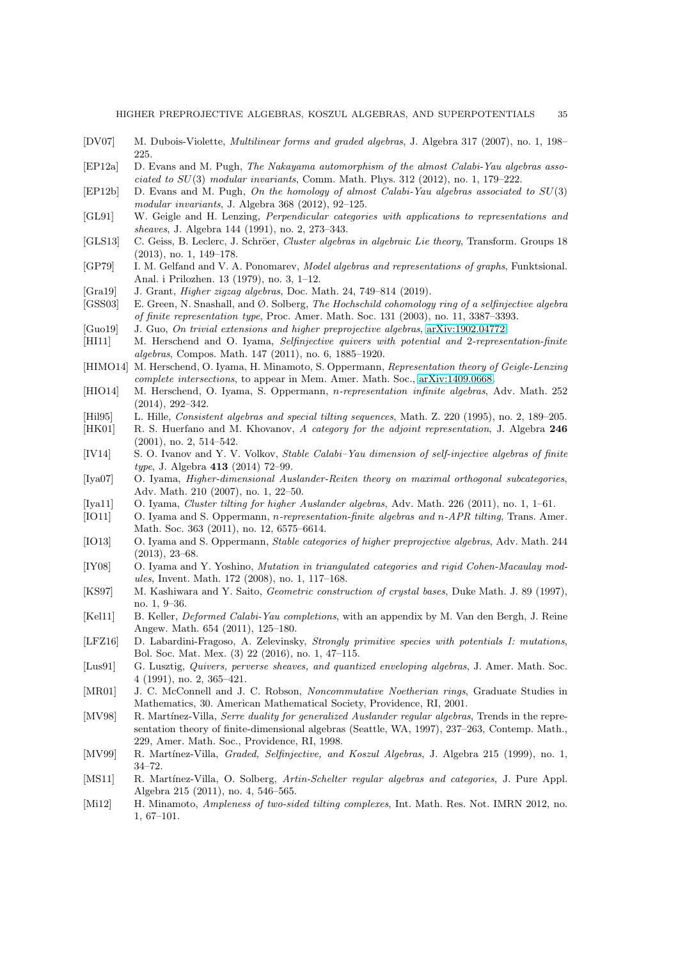- <span id="page-34-15"></span>[DV07] M. Dubois-Violette, Multilinear forms and graded algebras, J. Algebra 317 (2007), no. 1, 198– 225.
- <span id="page-34-11"></span>[EP12a] D. Evans and M. Pugh, The Nakayama automorphism of the almost Calabi-Yau algebras associated to  $SU(3)$  modular invariants, Comm. Math. Phys. 312 (2012), no. 1, 179–222.
- <span id="page-34-12"></span>[EP12b] D. Evans and M. Pugh, On the homology of almost Calabi-Yau algebras associated to SU(3) modular invariants, J. Algebra 368 (2012), 92–125.
- <span id="page-34-0"></span>[GL91] W. Geigle and H. Lenzing, Perpendicular categories with applications to representations and sheaves, J. Algebra 144 (1991), no. 2, 273–343.
- <span id="page-34-1"></span>[GLS13] C. Geiss, B. Leclerc, J. Schröer, Cluster algebras in algebraic Lie theory, Transform. Groups 18 (2013), no. 1, 149–178.
- <span id="page-34-4"></span>[GP79] I. M. Gelfand and V. A. Ponomarev, Model algebras and representations of graphs, Funktsional. Anal. i Prilozhen. 13 (1979), no. 3, 1–12.
- <span id="page-34-25"></span>[Gra19] J. Grant, Higher zigzag algebras, Doc. Math. 24, 749–814 (2019).
- <span id="page-34-23"></span>[GSS03] E. Green, N. Snashall, and Ø. Solberg, The Hochschild cohomology ring of a selfinjective algebra of finite representation type, Proc. Amer. Math. Soc. 131 (2003), no. 11, 3387–3393.
- <span id="page-34-19"></span>[Guo19] J. Guo, On trivial extensions and higher preprojective algebras, [arXiv:1902.04772.](http://arxiv.org/abs/1902.04772)
- <span id="page-34-7"></span>[HI11] M. Herschend and O. Iyama, *Selfinjective quivers with potential and 2-representation-finite* algebras, Compos. Math. 147 (2011), no. 6, 1885–1920.
- <span id="page-34-13"></span>[HIMO14] M. Herschend, O. Iyama, H. Minamoto, S. Oppermann, Representation theory of Geigle-Lenzing complete intersections, to appear in Mem. Amer. Math. Soc., [arXiv:1409.0668.](http://arxiv.org/abs/1409.0668)
- <span id="page-34-10"></span>[HIO14] M. Herschend, O. Iyama, S. Oppermann, n-representation infinite algebras, Adv. Math. 252 (2014), 292–342.
- <span id="page-34-20"></span>[Hil95] L. Hille, Consistent algebras and special tilting sequences, Math. Z. 220 (1995), no. 2, 189–205.
- <span id="page-34-26"></span>[HK01] R. S. Huerfano and M. Khovanov, A category for the adjoint representation, J. Algebra 246 (2001), no. 2, 514–542.
- <span id="page-34-24"></span>[IV14] S. O. Ivanov and Y. V. Volkov, Stable Calabi–Yau dimension of self-injective algebras of finite type, J. Algebra 413 (2014) 72–99.
- <span id="page-34-6"></span>[Iya07] O. Iyama, Higher-dimensional Auslander-Reiten theory on maximal orthogonal subcategories, Adv. Math. 210 (2007), no. 1, 22–50.
- <span id="page-34-21"></span>[Iya11] O. Iyama, Cluster tilting for higher Auslander algebras, Adv. Math. 226 (2011), no. 1, 1–61.
- <span id="page-34-8"></span>[IO11] O. Iyama and S. Oppermann, n-representation-finite algebras and n-APR tilting, Trans. Amer. Math. Soc. 363 (2011), no. 12, 6575–6614.
- <span id="page-34-9"></span>[IO13] O. Iyama and S. Oppermann, *Stable categories of higher preprojective algebras*, Adv. Math. 244 (2013), 23–68.
- <span id="page-34-22"></span>[IY08] O. Iyama and Y. Yoshino, Mutation in triangulated categories and rigid Cohen-Macaulay modules, Invent. Math. 172 (2008), no. 1, 117–168.
- <span id="page-34-2"></span>[KS97] M. Kashiwara and Y. Saito, Geometric construction of crystal bases, Duke Math. J. 89 (1997), no. 1, 9–36.
- <span id="page-34-5"></span>[Kel11] B. Keller, Deformed Calabi-Yau completions, with an appendix by M. Van den Bergh, J. Reine Angew. Math. 654 (2011), 125–180.
- <span id="page-34-16"></span>[LFZ16] D. Labardini-Fragoso, A. Zelevinsky, Strongly primitive species with potentials I: mutations, Bol. Soc. Mat. Mex. (3) 22 (2016), no. 1, 47–115.
- <span id="page-34-3"></span>[Lus91] G. Lusztig, Quivers, perverse sheaves, and quantized enveloping algebras, J. Amer. Math. Soc. 4 (1991), no. 2, 365–421.
- <span id="page-34-28"></span>[MR01] J. C. McConnell and J. C. Robson, Noncommutative Noetherian rings, Graduate Studies in Mathematics, 30. American Mathematical Society, Providence, RI, 2001.
- <span id="page-34-17"></span>[MV98] R. Martínez-Villa, Serre duality for generalized Auslander regular algebras, Trends in the representation theory of finite-dimensional algebras (Seattle, WA, 1997), 237–263, Contemp. Math., 229, Amer. Math. Soc., Providence, RI, 1998.
- <span id="page-34-27"></span>[MV99] R. Martínez-Villa, *Graded, Selfinjective, and Koszul Algebras*, J. Algebra 215 (1999), no. 1, 34–72.
- <span id="page-34-18"></span>[MS11] R. Martínez-Villa, O. Solberg, Artin-Schelter regular algebras and categories, J. Pure Appl. Algebra 215 (2011), no. 4, 546–565.
- <span id="page-34-14"></span>[Mi12] H. Minamoto, Ampleness of two-sided tilting complexes, Int. Math. Res. Not. IMRN 2012, no. 1, 67–101.